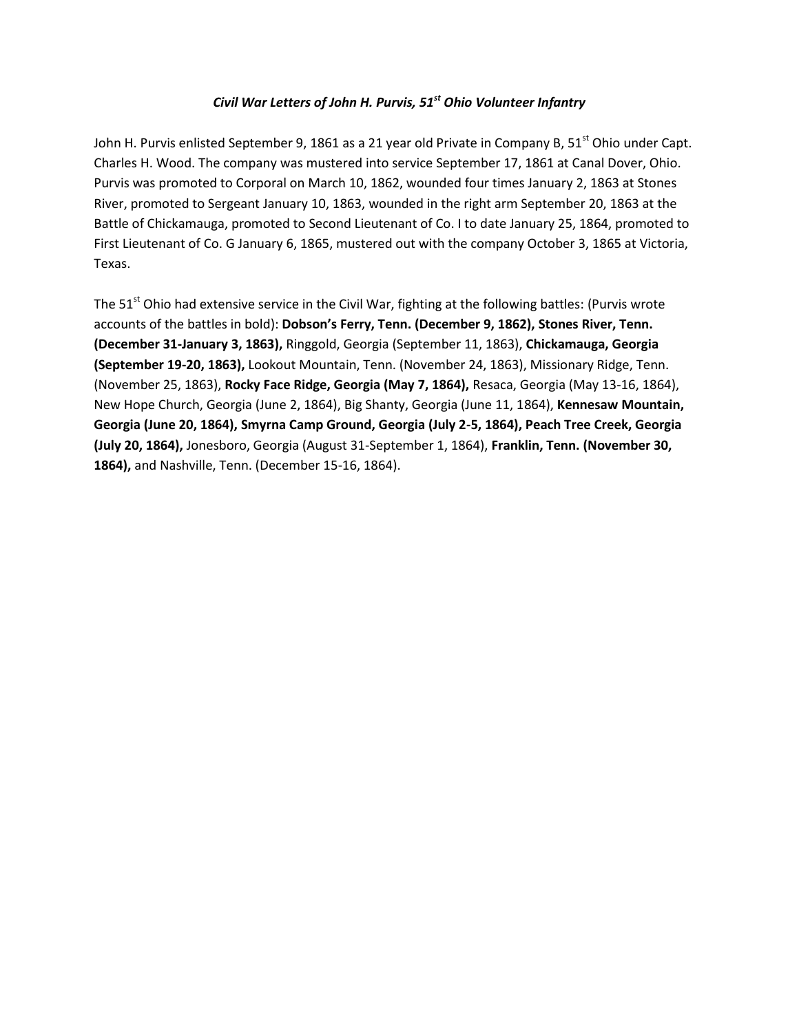# *Civil War Letters of John H. Purvis, 51st Ohio Volunteer Infantry*

John H. Purvis enlisted September 9, 1861 as a 21 year old Private in Company B,  $51<sup>st</sup>$  Ohio under Capt. Charles H. Wood. The company was mustered into service September 17, 1861 at Canal Dover, Ohio. Purvis was promoted to Corporal on March 10, 1862, wounded four times January 2, 1863 at Stones River, promoted to Sergeant January 10, 1863, wounded in the right arm September 20, 1863 at the Battle of Chickamauga, promoted to Second Lieutenant of Co. I to date January 25, 1864, promoted to First Lieutenant of Co. G January 6, 1865, mustered out with the company October 3, 1865 at Victoria, Texas.

The  $51<sup>st</sup>$  Ohio had extensive service in the Civil War, fighting at the following battles: (Purvis wrote accounts of the battles in bold): **Dobson's Ferry, Tenn. (December 9, 1862), Stones River, Tenn. (December 31-January 3, 1863),** Ringgold, Georgia (September 11, 1863), **Chickamauga, Georgia (September 19-20, 1863),** Lookout Mountain, Tenn. (November 24, 1863), Missionary Ridge, Tenn. (November 25, 1863), **Rocky Face Ridge, Georgia (May 7, 1864),** Resaca, Georgia (May 13-16, 1864), New Hope Church, Georgia (June 2, 1864), Big Shanty, Georgia (June 11, 1864), **Kennesaw Mountain, Georgia (June 20, 1864), Smyrna Camp Ground, Georgia (July 2-5, 1864), Peach Tree Creek, Georgia (July 20, 1864),** Jonesboro, Georgia (August 31-September 1, 1864), **Franklin, Tenn. (November 30, 1864),** and Nashville, Tenn. (December 15-16, 1864).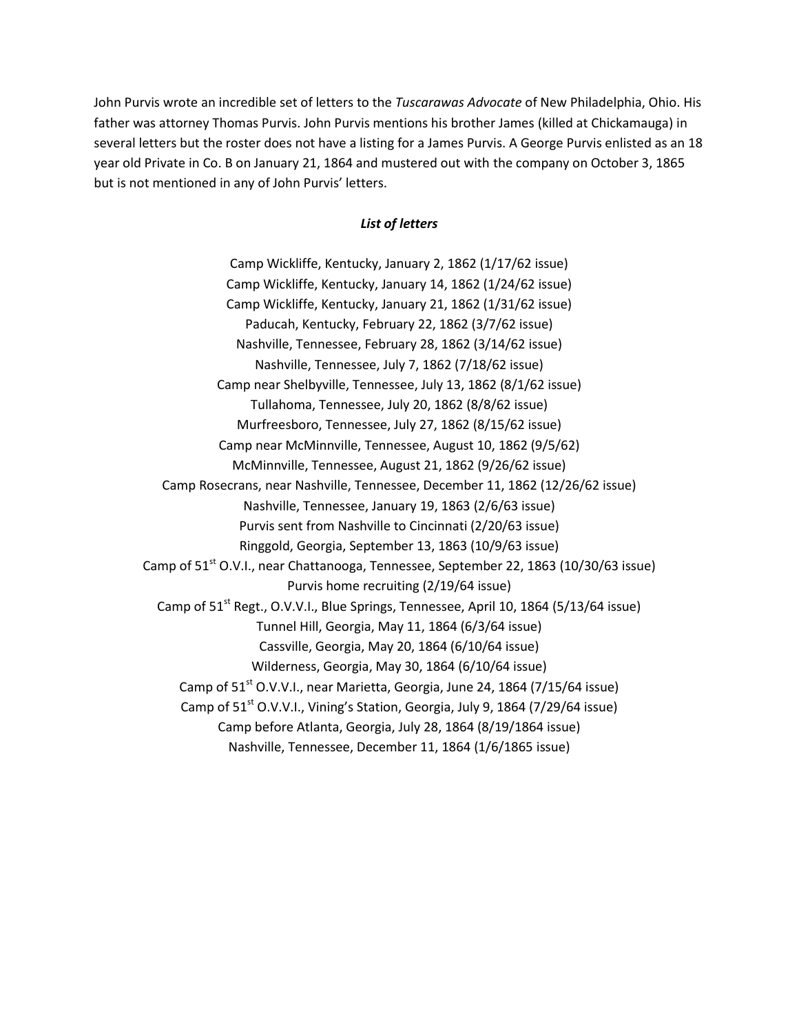John Purvis wrote an incredible set of letters to the *Tuscarawas Advocate* of New Philadelphia, Ohio. His father was attorney Thomas Purvis. John Purvis mentions his brother James (killed at Chickamauga) in several letters but the roster does not have a listing for a James Purvis. A George Purvis enlisted as an 18 year old Private in Co. B on January 21, 1864 and mustered out with the company on October 3, 1865 but is not mentioned in any of John Purvis' letters.

# *List of letters*

Camp Wickliffe, Kentucky, January 2, 1862 (1/17/62 issue) Camp Wickliffe, Kentucky, January 14, 1862 (1/24/62 issue) Camp Wickliffe, Kentucky, January 21, 1862 (1/31/62 issue) Paducah, Kentucky, February 22, 1862 (3/7/62 issue) Nashville, Tennessee, February 28, 1862 (3/14/62 issue) Nashville, Tennessee, July 7, 1862 (7/18/62 issue) Camp near Shelbyville, Tennessee, July 13, 1862 (8/1/62 issue) Tullahoma, Tennessee, July 20, 1862 (8/8/62 issue) Murfreesboro, Tennessee, July 27, 1862 (8/15/62 issue) Camp near McMinnville, Tennessee, August 10, 1862 (9/5/62) McMinnville, Tennessee, August 21, 1862 (9/26/62 issue) Camp Rosecrans, near Nashville, Tennessee, December 11, 1862 (12/26/62 issue) Nashville, Tennessee, January 19, 1863 (2/6/63 issue) Purvis sent from Nashville to Cincinnati (2/20/63 issue) Ringgold, Georgia, September 13, 1863 (10/9/63 issue) Camp of  $51<sup>st</sup>$  O.V.I., near Chattanooga, Tennessee, September 22, 1863 (10/30/63 issue) Purvis home recruiting (2/19/64 issue) Camp of  $51<sup>st</sup>$  Regt., O.V.V.I., Blue Springs, Tennessee, April 10, 1864 (5/13/64 issue) Tunnel Hill, Georgia, May 11, 1864 (6/3/64 issue) Cassville, Georgia, May 20, 1864 (6/10/64 issue) Wilderness, Georgia, May 30, 1864 (6/10/64 issue) Camp of  $51<sup>st</sup>$  O.V.V.I., near Marietta, Georgia, June 24, 1864 (7/15/64 issue) Camp of 51<sup>st</sup> O.V.V.I., Vining's Station, Georgia, July 9, 1864 (7/29/64 issue) Camp before Atlanta, Georgia, July 28, 1864 (8/19/1864 issue) Nashville, Tennessee, December 11, 1864 (1/6/1865 issue)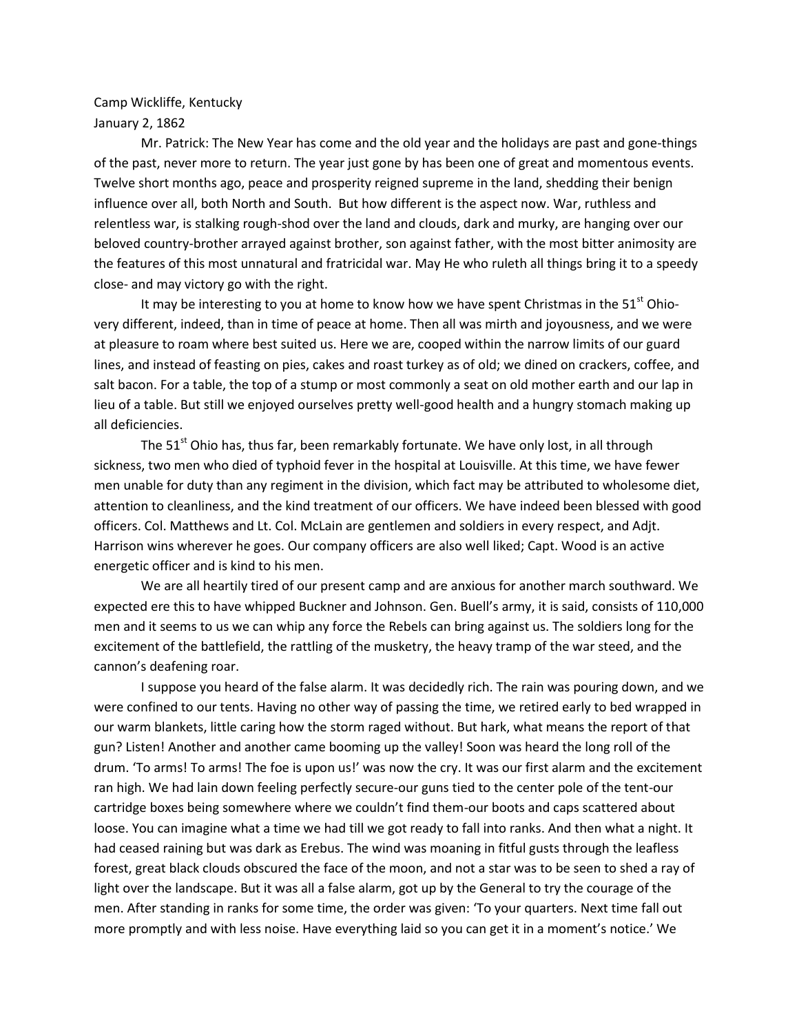Camp Wickliffe, Kentucky January 2, 1862

Mr. Patrick: The New Year has come and the old year and the holidays are past and gone-things of the past, never more to return. The year just gone by has been one of great and momentous events. Twelve short months ago, peace and prosperity reigned supreme in the land, shedding their benign influence over all, both North and South. But how different is the aspect now. War, ruthless and relentless war, is stalking rough-shod over the land and clouds, dark and murky, are hanging over our beloved country-brother arrayed against brother, son against father, with the most bitter animosity are the features of this most unnatural and fratricidal war. May He who ruleth all things bring it to a speedy close- and may victory go with the right.

It may be interesting to you at home to know how we have spent Christmas in the  $51<sup>st</sup>$  Ohiovery different, indeed, than in time of peace at home. Then all was mirth and joyousness, and we were at pleasure to roam where best suited us. Here we are, cooped within the narrow limits of our guard lines, and instead of feasting on pies, cakes and roast turkey as of old; we dined on crackers, coffee, and salt bacon. For a table, the top of a stump or most commonly a seat on old mother earth and our lap in lieu of a table. But still we enjoyed ourselves pretty well-good health and a hungry stomach making up all deficiencies.

The  $51<sup>st</sup>$  Ohio has, thus far, been remarkably fortunate. We have only lost, in all through sickness, two men who died of typhoid fever in the hospital at Louisville. At this time, we have fewer men unable for duty than any regiment in the division, which fact may be attributed to wholesome diet, attention to cleanliness, and the kind treatment of our officers. We have indeed been blessed with good officers. Col. Matthews and Lt. Col. McLain are gentlemen and soldiers in every respect, and Adjt. Harrison wins wherever he goes. Our company officers are also well liked; Capt. Wood is an active energetic officer and is kind to his men.

We are all heartily tired of our present camp and are anxious for another march southward. We expected ere this to have whipped Buckner and Johnson. Gen. Buell's army, it is said, consists of 110,000 men and it seems to us we can whip any force the Rebels can bring against us. The soldiers long for the excitement of the battlefield, the rattling of the musketry, the heavy tramp of the war steed, and the cannon's deafening roar.

I suppose you heard of the false alarm. It was decidedly rich. The rain was pouring down, and we were confined to our tents. Having no other way of passing the time, we retired early to bed wrapped in our warm blankets, little caring how the storm raged without. But hark, what means the report of that gun? Listen! Another and another came booming up the valley! Soon was heard the long roll of the drum. 'To arms! To arms! The foe is upon us!' was now the cry. It was our first alarm and the excitement ran high. We had lain down feeling perfectly secure-our guns tied to the center pole of the tent-our cartridge boxes being somewhere where we couldn't find them-our boots and caps scattered about loose. You can imagine what a time we had till we got ready to fall into ranks. And then what a night. It had ceased raining but was dark as Erebus. The wind was moaning in fitful gusts through the leafless forest, great black clouds obscured the face of the moon, and not a star was to be seen to shed a ray of light over the landscape. But it was all a false alarm, got up by the General to try the courage of the men. After standing in ranks for some time, the order was given: 'To your quarters. Next time fall out more promptly and with less noise. Have everything laid so you can get it in a moment's notice.' We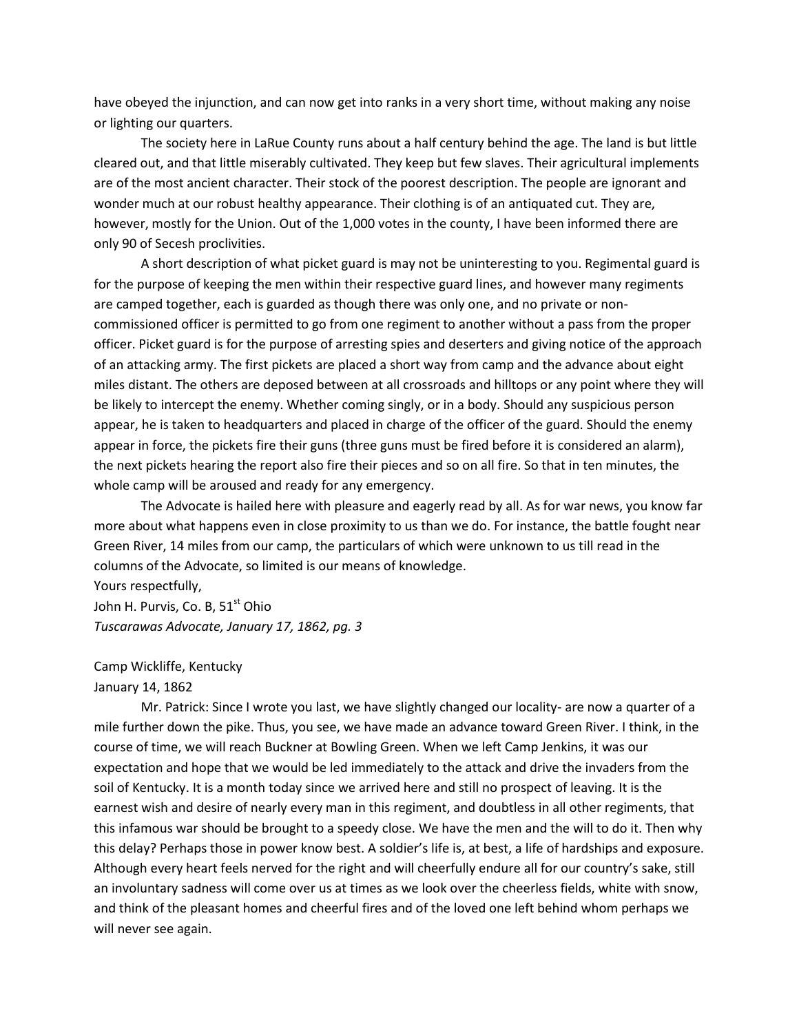have obeyed the injunction, and can now get into ranks in a very short time, without making any noise or lighting our quarters.

The society here in LaRue County runs about a half century behind the age. The land is but little cleared out, and that little miserably cultivated. They keep but few slaves. Their agricultural implements are of the most ancient character. Their stock of the poorest description. The people are ignorant and wonder much at our robust healthy appearance. Their clothing is of an antiquated cut. They are, however, mostly for the Union. Out of the 1,000 votes in the county, I have been informed there are only 90 of Secesh proclivities.

A short description of what picket guard is may not be uninteresting to you. Regimental guard is for the purpose of keeping the men within their respective guard lines, and however many regiments are camped together, each is guarded as though there was only one, and no private or noncommissioned officer is permitted to go from one regiment to another without a pass from the proper officer. Picket guard is for the purpose of arresting spies and deserters and giving notice of the approach of an attacking army. The first pickets are placed a short way from camp and the advance about eight miles distant. The others are deposed between at all crossroads and hilltops or any point where they will be likely to intercept the enemy. Whether coming singly, or in a body. Should any suspicious person appear, he is taken to headquarters and placed in charge of the officer of the guard. Should the enemy appear in force, the pickets fire their guns (three guns must be fired before it is considered an alarm), the next pickets hearing the report also fire their pieces and so on all fire. So that in ten minutes, the whole camp will be aroused and ready for any emergency.

The Advocate is hailed here with pleasure and eagerly read by all. As for war news, you know far more about what happens even in close proximity to us than we do. For instance, the battle fought near Green River, 14 miles from our camp, the particulars of which were unknown to us till read in the columns of the Advocate, so limited is our means of knowledge.

Yours respectfully, John H. Purvis, Co. B, 51<sup>st</sup> Ohio *Tuscarawas Advocate, January 17, 1862, pg. 3*

# Camp Wickliffe, Kentucky

#### January 14, 1862

Mr. Patrick: Since I wrote you last, we have slightly changed our locality- are now a quarter of a mile further down the pike. Thus, you see, we have made an advance toward Green River. I think, in the course of time, we will reach Buckner at Bowling Green. When we left Camp Jenkins, it was our expectation and hope that we would be led immediately to the attack and drive the invaders from the soil of Kentucky. It is a month today since we arrived here and still no prospect of leaving. It is the earnest wish and desire of nearly every man in this regiment, and doubtless in all other regiments, that this infamous war should be brought to a speedy close. We have the men and the will to do it. Then why this delay? Perhaps those in power know best. A soldier's life is, at best, a life of hardships and exposure. Although every heart feels nerved for the right and will cheerfully endure all for our country's sake, still an involuntary sadness will come over us at times as we look over the cheerless fields, white with snow, and think of the pleasant homes and cheerful fires and of the loved one left behind whom perhaps we will never see again.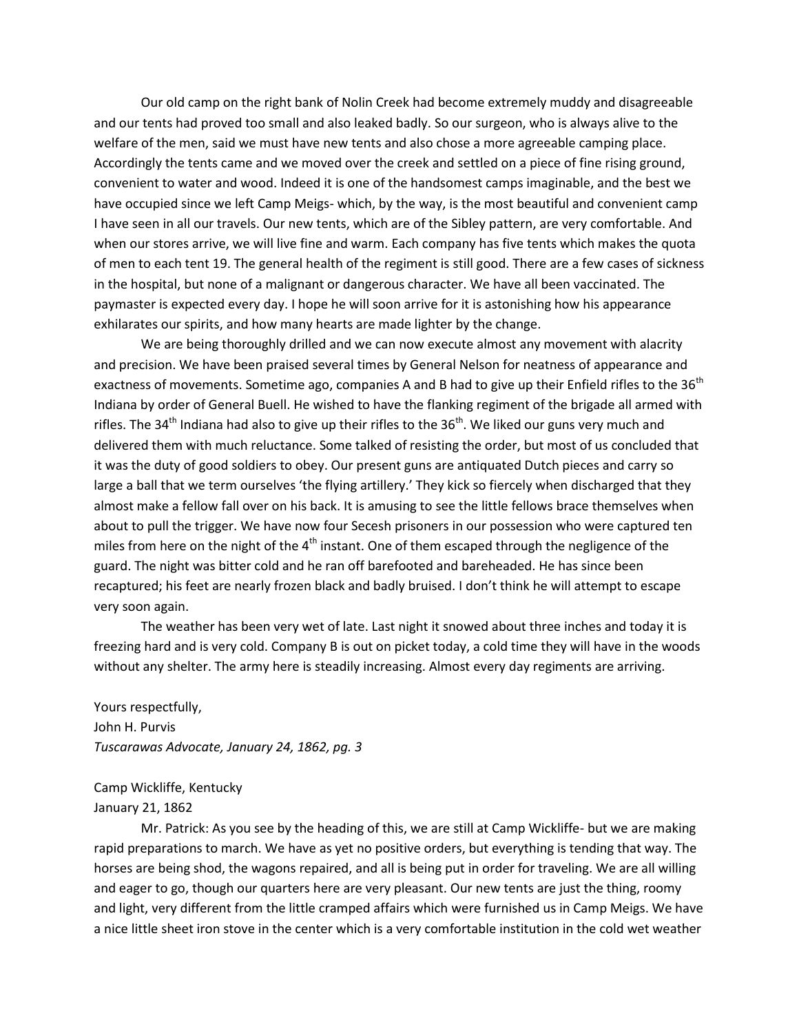Our old camp on the right bank of Nolin Creek had become extremely muddy and disagreeable and our tents had proved too small and also leaked badly. So our surgeon, who is always alive to the welfare of the men, said we must have new tents and also chose a more agreeable camping place. Accordingly the tents came and we moved over the creek and settled on a piece of fine rising ground, convenient to water and wood. Indeed it is one of the handsomest camps imaginable, and the best we have occupied since we left Camp Meigs- which, by the way, is the most beautiful and convenient camp I have seen in all our travels. Our new tents, which are of the Sibley pattern, are very comfortable. And when our stores arrive, we will live fine and warm. Each company has five tents which makes the quota of men to each tent 19. The general health of the regiment is still good. There are a few cases of sickness in the hospital, but none of a malignant or dangerous character. We have all been vaccinated. The paymaster is expected every day. I hope he will soon arrive for it is astonishing how his appearance exhilarates our spirits, and how many hearts are made lighter by the change.

We are being thoroughly drilled and we can now execute almost any movement with alacrity and precision. We have been praised several times by General Nelson for neatness of appearance and exactness of movements. Sometime ago, companies A and B had to give up their Enfield rifles to the 36<sup>th</sup> Indiana by order of General Buell. He wished to have the flanking regiment of the brigade all armed with rifles. The 34<sup>th</sup> Indiana had also to give up their rifles to the 36<sup>th</sup>. We liked our guns very much and delivered them with much reluctance. Some talked of resisting the order, but most of us concluded that it was the duty of good soldiers to obey. Our present guns are antiquated Dutch pieces and carry so large a ball that we term ourselves 'the flying artillery.' They kick so fiercely when discharged that they almost make a fellow fall over on his back. It is amusing to see the little fellows brace themselves when about to pull the trigger. We have now four Secesh prisoners in our possession who were captured ten miles from here on the night of the  $4<sup>th</sup>$  instant. One of them escaped through the negligence of the guard. The night was bitter cold and he ran off barefooted and bareheaded. He has since been recaptured; his feet are nearly frozen black and badly bruised. I don't think he will attempt to escape very soon again.

The weather has been very wet of late. Last night it snowed about three inches and today it is freezing hard and is very cold. Company B is out on picket today, a cold time they will have in the woods without any shelter. The army here is steadily increasing. Almost every day regiments are arriving.

Yours respectfully, John H. Purvis *Tuscarawas Advocate, January 24, 1862, pg. 3*

Camp Wickliffe, Kentucky

# January 21, 1862

Mr. Patrick: As you see by the heading of this, we are still at Camp Wickliffe- but we are making rapid preparations to march. We have as yet no positive orders, but everything is tending that way. The horses are being shod, the wagons repaired, and all is being put in order for traveling. We are all willing and eager to go, though our quarters here are very pleasant. Our new tents are just the thing, roomy and light, very different from the little cramped affairs which were furnished us in Camp Meigs. We have a nice little sheet iron stove in the center which is a very comfortable institution in the cold wet weather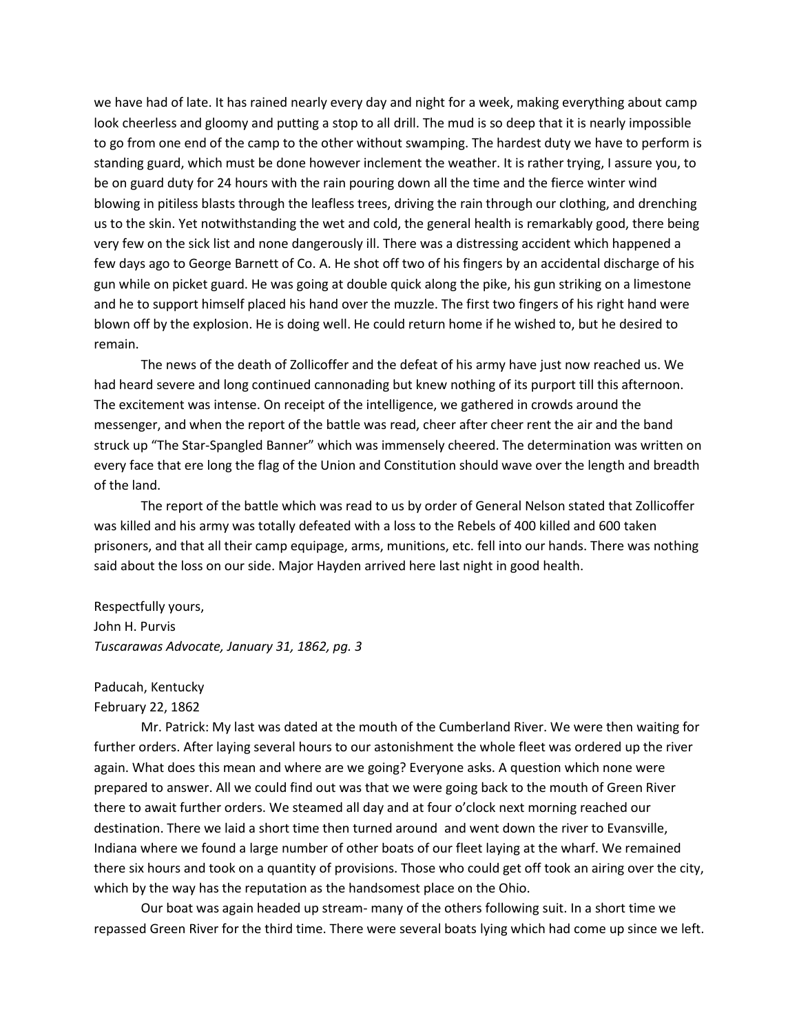we have had of late. It has rained nearly every day and night for a week, making everything about camp look cheerless and gloomy and putting a stop to all drill. The mud is so deep that it is nearly impossible to go from one end of the camp to the other without swamping. The hardest duty we have to perform is standing guard, which must be done however inclement the weather. It is rather trying, I assure you, to be on guard duty for 24 hours with the rain pouring down all the time and the fierce winter wind blowing in pitiless blasts through the leafless trees, driving the rain through our clothing, and drenching us to the skin. Yet notwithstanding the wet and cold, the general health is remarkably good, there being very few on the sick list and none dangerously ill. There was a distressing accident which happened a few days ago to George Barnett of Co. A. He shot off two of his fingers by an accidental discharge of his gun while on picket guard. He was going at double quick along the pike, his gun striking on a limestone and he to support himself placed his hand over the muzzle. The first two fingers of his right hand were blown off by the explosion. He is doing well. He could return home if he wished to, but he desired to remain.

The news of the death of Zollicoffer and the defeat of his army have just now reached us. We had heard severe and long continued cannonading but knew nothing of its purport till this afternoon. The excitement was intense. On receipt of the intelligence, we gathered in crowds around the messenger, and when the report of the battle was read, cheer after cheer rent the air and the band struck up "The Star-Spangled Banner" which was immensely cheered. The determination was written on every face that ere long the flag of the Union and Constitution should wave over the length and breadth of the land.

The report of the battle which was read to us by order of General Nelson stated that Zollicoffer was killed and his army was totally defeated with a loss to the Rebels of 400 killed and 600 taken prisoners, and that all their camp equipage, arms, munitions, etc. fell into our hands. There was nothing said about the loss on our side. Major Hayden arrived here last night in good health.

Respectfully yours, John H. Purvis *Tuscarawas Advocate, January 31, 1862, pg. 3*

# Paducah, Kentucky

# February 22, 1862

Mr. Patrick: My last was dated at the mouth of the Cumberland River. We were then waiting for further orders. After laying several hours to our astonishment the whole fleet was ordered up the river again. What does this mean and where are we going? Everyone asks. A question which none were prepared to answer. All we could find out was that we were going back to the mouth of Green River there to await further orders. We steamed all day and at four o'clock next morning reached our destination. There we laid a short time then turned around and went down the river to Evansville, Indiana where we found a large number of other boats of our fleet laying at the wharf. We remained there six hours and took on a quantity of provisions. Those who could get off took an airing over the city, which by the way has the reputation as the handsomest place on the Ohio.

Our boat was again headed up stream- many of the others following suit. In a short time we repassed Green River for the third time. There were several boats lying which had come up since we left.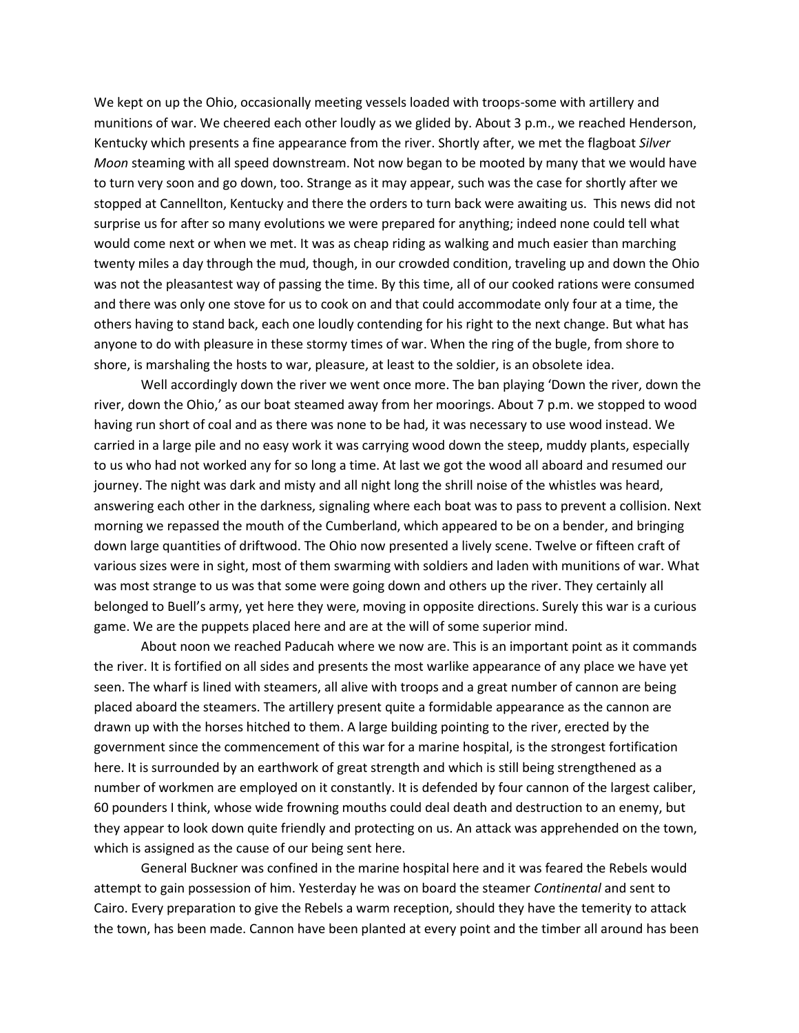We kept on up the Ohio, occasionally meeting vessels loaded with troops-some with artillery and munitions of war. We cheered each other loudly as we glided by. About 3 p.m., we reached Henderson, Kentucky which presents a fine appearance from the river. Shortly after, we met the flagboat *Silver Moon* steaming with all speed downstream. Not now began to be mooted by many that we would have to turn very soon and go down, too. Strange as it may appear, such was the case for shortly after we stopped at Cannellton, Kentucky and there the orders to turn back were awaiting us. This news did not surprise us for after so many evolutions we were prepared for anything; indeed none could tell what would come next or when we met. It was as cheap riding as walking and much easier than marching twenty miles a day through the mud, though, in our crowded condition, traveling up and down the Ohio was not the pleasantest way of passing the time. By this time, all of our cooked rations were consumed and there was only one stove for us to cook on and that could accommodate only four at a time, the others having to stand back, each one loudly contending for his right to the next change. But what has anyone to do with pleasure in these stormy times of war. When the ring of the bugle, from shore to shore, is marshaling the hosts to war, pleasure, at least to the soldier, is an obsolete idea.

Well accordingly down the river we went once more. The ban playing 'Down the river, down the river, down the Ohio,' as our boat steamed away from her moorings. About 7 p.m. we stopped to wood having run short of coal and as there was none to be had, it was necessary to use wood instead. We carried in a large pile and no easy work it was carrying wood down the steep, muddy plants, especially to us who had not worked any for so long a time. At last we got the wood all aboard and resumed our journey. The night was dark and misty and all night long the shrill noise of the whistles was heard, answering each other in the darkness, signaling where each boat was to pass to prevent a collision. Next morning we repassed the mouth of the Cumberland, which appeared to be on a bender, and bringing down large quantities of driftwood. The Ohio now presented a lively scene. Twelve or fifteen craft of various sizes were in sight, most of them swarming with soldiers and laden with munitions of war. What was most strange to us was that some were going down and others up the river. They certainly all belonged to Buell's army, yet here they were, moving in opposite directions. Surely this war is a curious game. We are the puppets placed here and are at the will of some superior mind.

About noon we reached Paducah where we now are. This is an important point as it commands the river. It is fortified on all sides and presents the most warlike appearance of any place we have yet seen. The wharf is lined with steamers, all alive with troops and a great number of cannon are being placed aboard the steamers. The artillery present quite a formidable appearance as the cannon are drawn up with the horses hitched to them. A large building pointing to the river, erected by the government since the commencement of this war for a marine hospital, is the strongest fortification here. It is surrounded by an earthwork of great strength and which is still being strengthened as a number of workmen are employed on it constantly. It is defended by four cannon of the largest caliber, 60 pounders I think, whose wide frowning mouths could deal death and destruction to an enemy, but they appear to look down quite friendly and protecting on us. An attack was apprehended on the town, which is assigned as the cause of our being sent here.

General Buckner was confined in the marine hospital here and it was feared the Rebels would attempt to gain possession of him. Yesterday he was on board the steamer *Continental* and sent to Cairo. Every preparation to give the Rebels a warm reception, should they have the temerity to attack the town, has been made. Cannon have been planted at every point and the timber all around has been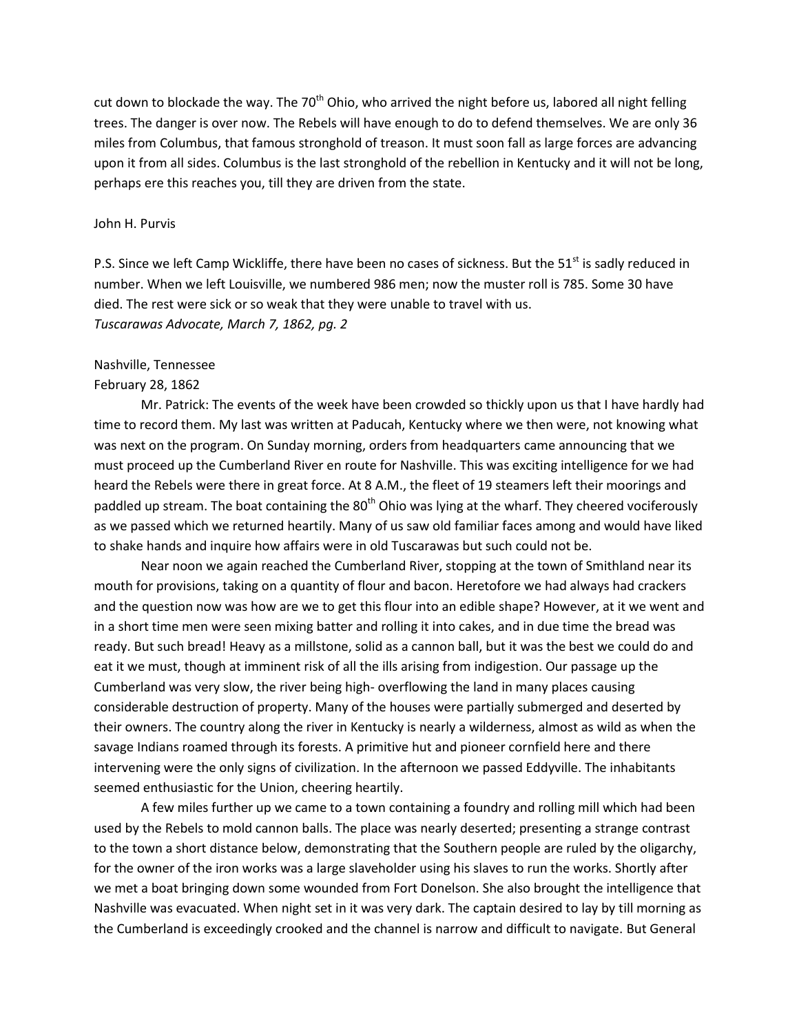cut down to blockade the way. The 70<sup>th</sup> Ohio, who arrived the night before us, labored all night felling trees. The danger is over now. The Rebels will have enough to do to defend themselves. We are only 36 miles from Columbus, that famous stronghold of treason. It must soon fall as large forces are advancing upon it from all sides. Columbus is the last stronghold of the rebellion in Kentucky and it will not be long, perhaps ere this reaches you, till they are driven from the state.

#### John H. Purvis

P.S. Since we left Camp Wickliffe, there have been no cases of sickness. But the 51<sup>st</sup> is sadly reduced in number. When we left Louisville, we numbered 986 men; now the muster roll is 785. Some 30 have died. The rest were sick or so weak that they were unable to travel with us. *Tuscarawas Advocate, March 7, 1862, pg. 2*

# Nashville, Tennessee

### February 28, 1862

Mr. Patrick: The events of the week have been crowded so thickly upon us that I have hardly had time to record them. My last was written at Paducah, Kentucky where we then were, not knowing what was next on the program. On Sunday morning, orders from headquarters came announcing that we must proceed up the Cumberland River en route for Nashville. This was exciting intelligence for we had heard the Rebels were there in great force. At 8 A.M., the fleet of 19 steamers left their moorings and paddled up stream. The boat containing the 80<sup>th</sup> Ohio was lying at the wharf. They cheered vociferously as we passed which we returned heartily. Many of us saw old familiar faces among and would have liked to shake hands and inquire how affairs were in old Tuscarawas but such could not be.

Near noon we again reached the Cumberland River, stopping at the town of Smithland near its mouth for provisions, taking on a quantity of flour and bacon. Heretofore we had always had crackers and the question now was how are we to get this flour into an edible shape? However, at it we went and in a short time men were seen mixing batter and rolling it into cakes, and in due time the bread was ready. But such bread! Heavy as a millstone, solid as a cannon ball, but it was the best we could do and eat it we must, though at imminent risk of all the ills arising from indigestion. Our passage up the Cumberland was very slow, the river being high- overflowing the land in many places causing considerable destruction of property. Many of the houses were partially submerged and deserted by their owners. The country along the river in Kentucky is nearly a wilderness, almost as wild as when the savage Indians roamed through its forests. A primitive hut and pioneer cornfield here and there intervening were the only signs of civilization. In the afternoon we passed Eddyville. The inhabitants seemed enthusiastic for the Union, cheering heartily.

A few miles further up we came to a town containing a foundry and rolling mill which had been used by the Rebels to mold cannon balls. The place was nearly deserted; presenting a strange contrast to the town a short distance below, demonstrating that the Southern people are ruled by the oligarchy, for the owner of the iron works was a large slaveholder using his slaves to run the works. Shortly after we met a boat bringing down some wounded from Fort Donelson. She also brought the intelligence that Nashville was evacuated. When night set in it was very dark. The captain desired to lay by till morning as the Cumberland is exceedingly crooked and the channel is narrow and difficult to navigate. But General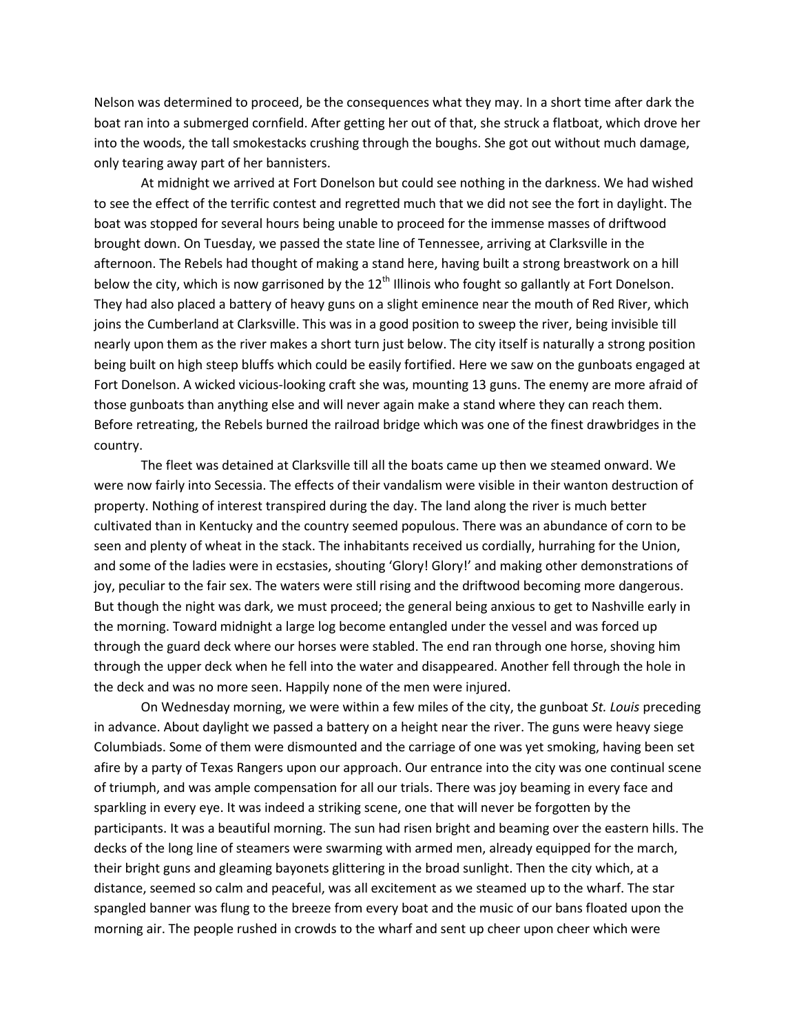Nelson was determined to proceed, be the consequences what they may. In a short time after dark the boat ran into a submerged cornfield. After getting her out of that, she struck a flatboat, which drove her into the woods, the tall smokestacks crushing through the boughs. She got out without much damage, only tearing away part of her bannisters.

At midnight we arrived at Fort Donelson but could see nothing in the darkness. We had wished to see the effect of the terrific contest and regretted much that we did not see the fort in daylight. The boat was stopped for several hours being unable to proceed for the immense masses of driftwood brought down. On Tuesday, we passed the state line of Tennessee, arriving at Clarksville in the afternoon. The Rebels had thought of making a stand here, having built a strong breastwork on a hill below the city, which is now garrisoned by the  $12<sup>th</sup>$  Illinois who fought so gallantly at Fort Donelson. They had also placed a battery of heavy guns on a slight eminence near the mouth of Red River, which joins the Cumberland at Clarksville. This was in a good position to sweep the river, being invisible till nearly upon them as the river makes a short turn just below. The city itself is naturally a strong position being built on high steep bluffs which could be easily fortified. Here we saw on the gunboats engaged at Fort Donelson. A wicked vicious-looking craft she was, mounting 13 guns. The enemy are more afraid of those gunboats than anything else and will never again make a stand where they can reach them. Before retreating, the Rebels burned the railroad bridge which was one of the finest drawbridges in the country.

The fleet was detained at Clarksville till all the boats came up then we steamed onward. We were now fairly into Secessia. The effects of their vandalism were visible in their wanton destruction of property. Nothing of interest transpired during the day. The land along the river is much better cultivated than in Kentucky and the country seemed populous. There was an abundance of corn to be seen and plenty of wheat in the stack. The inhabitants received us cordially, hurrahing for the Union, and some of the ladies were in ecstasies, shouting 'Glory! Glory!' and making other demonstrations of joy, peculiar to the fair sex. The waters were still rising and the driftwood becoming more dangerous. But though the night was dark, we must proceed; the general being anxious to get to Nashville early in the morning. Toward midnight a large log become entangled under the vessel and was forced up through the guard deck where our horses were stabled. The end ran through one horse, shoving him through the upper deck when he fell into the water and disappeared. Another fell through the hole in the deck and was no more seen. Happily none of the men were injured.

On Wednesday morning, we were within a few miles of the city, the gunboat *St. Louis* preceding in advance. About daylight we passed a battery on a height near the river. The guns were heavy siege Columbiads. Some of them were dismounted and the carriage of one was yet smoking, having been set afire by a party of Texas Rangers upon our approach. Our entrance into the city was one continual scene of triumph, and was ample compensation for all our trials. There was joy beaming in every face and sparkling in every eye. It was indeed a striking scene, one that will never be forgotten by the participants. It was a beautiful morning. The sun had risen bright and beaming over the eastern hills. The decks of the long line of steamers were swarming with armed men, already equipped for the march, their bright guns and gleaming bayonets glittering in the broad sunlight. Then the city which, at a distance, seemed so calm and peaceful, was all excitement as we steamed up to the wharf. The star spangled banner was flung to the breeze from every boat and the music of our bans floated upon the morning air. The people rushed in crowds to the wharf and sent up cheer upon cheer which were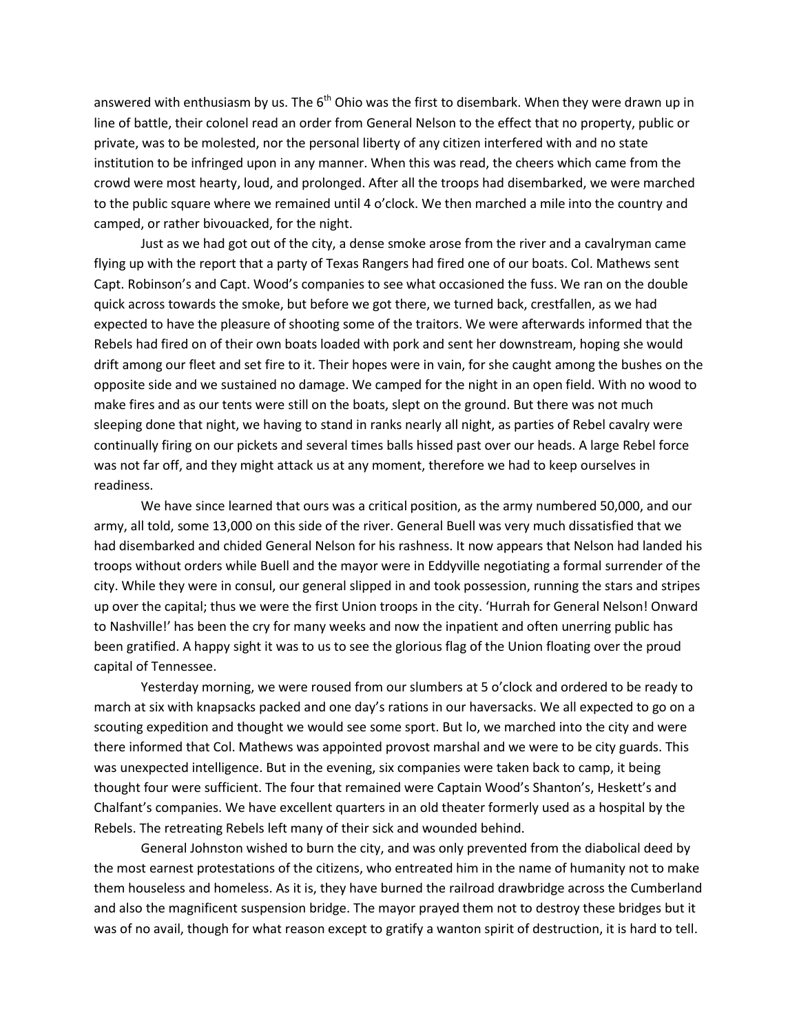answered with enthusiasm by us. The  $6<sup>th</sup>$  Ohio was the first to disembark. When they were drawn up in line of battle, their colonel read an order from General Nelson to the effect that no property, public or private, was to be molested, nor the personal liberty of any citizen interfered with and no state institution to be infringed upon in any manner. When this was read, the cheers which came from the crowd were most hearty, loud, and prolonged. After all the troops had disembarked, we were marched to the public square where we remained until 4 o'clock. We then marched a mile into the country and camped, or rather bivouacked, for the night.

Just as we had got out of the city, a dense smoke arose from the river and a cavalryman came flying up with the report that a party of Texas Rangers had fired one of our boats. Col. Mathews sent Capt. Robinson's and Capt. Wood's companies to see what occasioned the fuss. We ran on the double quick across towards the smoke, but before we got there, we turned back, crestfallen, as we had expected to have the pleasure of shooting some of the traitors. We were afterwards informed that the Rebels had fired on of their own boats loaded with pork and sent her downstream, hoping she would drift among our fleet and set fire to it. Their hopes were in vain, for she caught among the bushes on the opposite side and we sustained no damage. We camped for the night in an open field. With no wood to make fires and as our tents were still on the boats, slept on the ground. But there was not much sleeping done that night, we having to stand in ranks nearly all night, as parties of Rebel cavalry were continually firing on our pickets and several times balls hissed past over our heads. A large Rebel force was not far off, and they might attack us at any moment, therefore we had to keep ourselves in readiness.

We have since learned that ours was a critical position, as the army numbered 50,000, and our army, all told, some 13,000 on this side of the river. General Buell was very much dissatisfied that we had disembarked and chided General Nelson for his rashness. It now appears that Nelson had landed his troops without orders while Buell and the mayor were in Eddyville negotiating a formal surrender of the city. While they were in consul, our general slipped in and took possession, running the stars and stripes up over the capital; thus we were the first Union troops in the city. 'Hurrah for General Nelson! Onward to Nashville!' has been the cry for many weeks and now the inpatient and often unerring public has been gratified. A happy sight it was to us to see the glorious flag of the Union floating over the proud capital of Tennessee.

Yesterday morning, we were roused from our slumbers at 5 o'clock and ordered to be ready to march at six with knapsacks packed and one day's rations in our haversacks. We all expected to go on a scouting expedition and thought we would see some sport. But lo, we marched into the city and were there informed that Col. Mathews was appointed provost marshal and we were to be city guards. This was unexpected intelligence. But in the evening, six companies were taken back to camp, it being thought four were sufficient. The four that remained were Captain Wood's Shanton's, Heskett's and Chalfant's companies. We have excellent quarters in an old theater formerly used as a hospital by the Rebels. The retreating Rebels left many of their sick and wounded behind.

General Johnston wished to burn the city, and was only prevented from the diabolical deed by the most earnest protestations of the citizens, who entreated him in the name of humanity not to make them houseless and homeless. As it is, they have burned the railroad drawbridge across the Cumberland and also the magnificent suspension bridge. The mayor prayed them not to destroy these bridges but it was of no avail, though for what reason except to gratify a wanton spirit of destruction, it is hard to tell.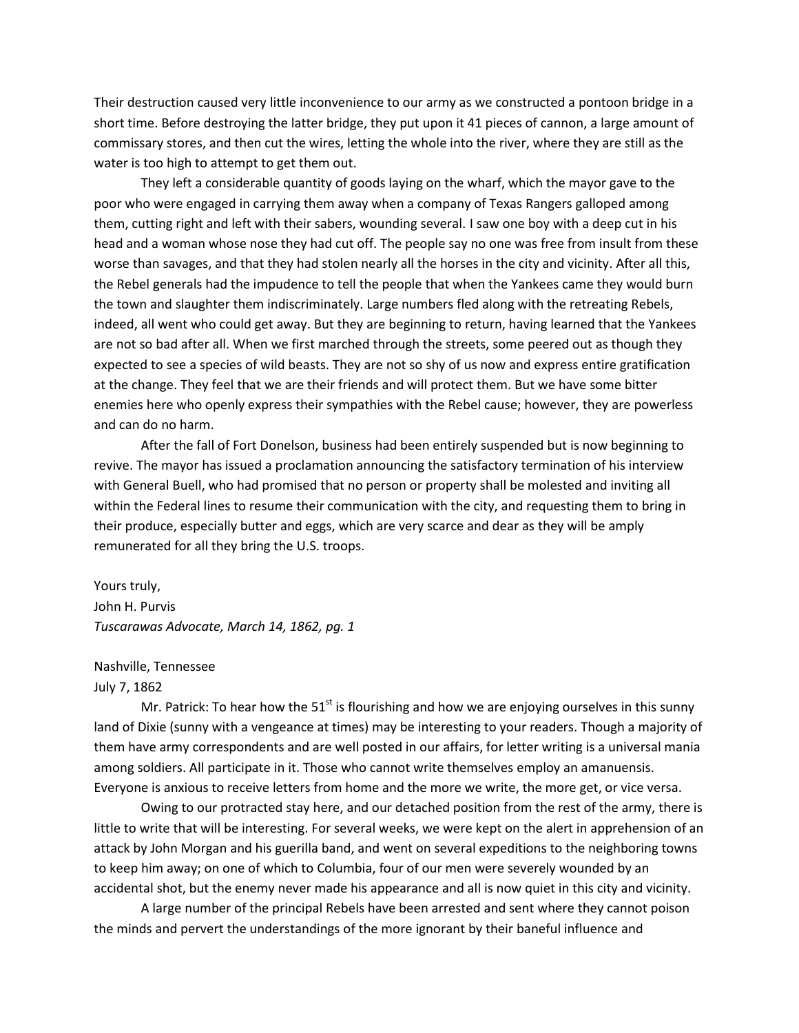Their destruction caused very little inconvenience to our army as we constructed a pontoon bridge in a short time. Before destroying the latter bridge, they put upon it 41 pieces of cannon, a large amount of commissary stores, and then cut the wires, letting the whole into the river, where they are still as the water is too high to attempt to get them out.

They left a considerable quantity of goods laying on the wharf, which the mayor gave to the poor who were engaged in carrying them away when a company of Texas Rangers galloped among them, cutting right and left with their sabers, wounding several. I saw one boy with a deep cut in his head and a woman whose nose they had cut off. The people say no one was free from insult from these worse than savages, and that they had stolen nearly all the horses in the city and vicinity. After all this, the Rebel generals had the impudence to tell the people that when the Yankees came they would burn the town and slaughter them indiscriminately. Large numbers fled along with the retreating Rebels, indeed, all went who could get away. But they are beginning to return, having learned that the Yankees are not so bad after all. When we first marched through the streets, some peered out as though they expected to see a species of wild beasts. They are not so shy of us now and express entire gratification at the change. They feel that we are their friends and will protect them. But we have some bitter enemies here who openly express their sympathies with the Rebel cause; however, they are powerless and can do no harm.

After the fall of Fort Donelson, business had been entirely suspended but is now beginning to revive. The mayor has issued a proclamation announcing the satisfactory termination of his interview with General Buell, who had promised that no person or property shall be molested and inviting all within the Federal lines to resume their communication with the city, and requesting them to bring in their produce, especially butter and eggs, which are very scarce and dear as they will be amply remunerated for all they bring the U.S. troops.

Yours truly, John H. Purvis *Tuscarawas Advocate, March 14, 1862, pg. 1*

Nashville, Tennessee

July 7, 1862

Mr. Patrick: To hear how the 51 $^{\rm st}$  is flourishing and how we are enjoying ourselves in this sunny land of Dixie (sunny with a vengeance at times) may be interesting to your readers. Though a majority of them have army correspondents and are well posted in our affairs, for letter writing is a universal mania among soldiers. All participate in it. Those who cannot write themselves employ an amanuensis. Everyone is anxious to receive letters from home and the more we write, the more get, or vice versa.

Owing to our protracted stay here, and our detached position from the rest of the army, there is little to write that will be interesting. For several weeks, we were kept on the alert in apprehension of an attack by John Morgan and his guerilla band, and went on several expeditions to the neighboring towns to keep him away; on one of which to Columbia, four of our men were severely wounded by an accidental shot, but the enemy never made his appearance and all is now quiet in this city and vicinity.

A large number of the principal Rebels have been arrested and sent where they cannot poison the minds and pervert the understandings of the more ignorant by their baneful influence and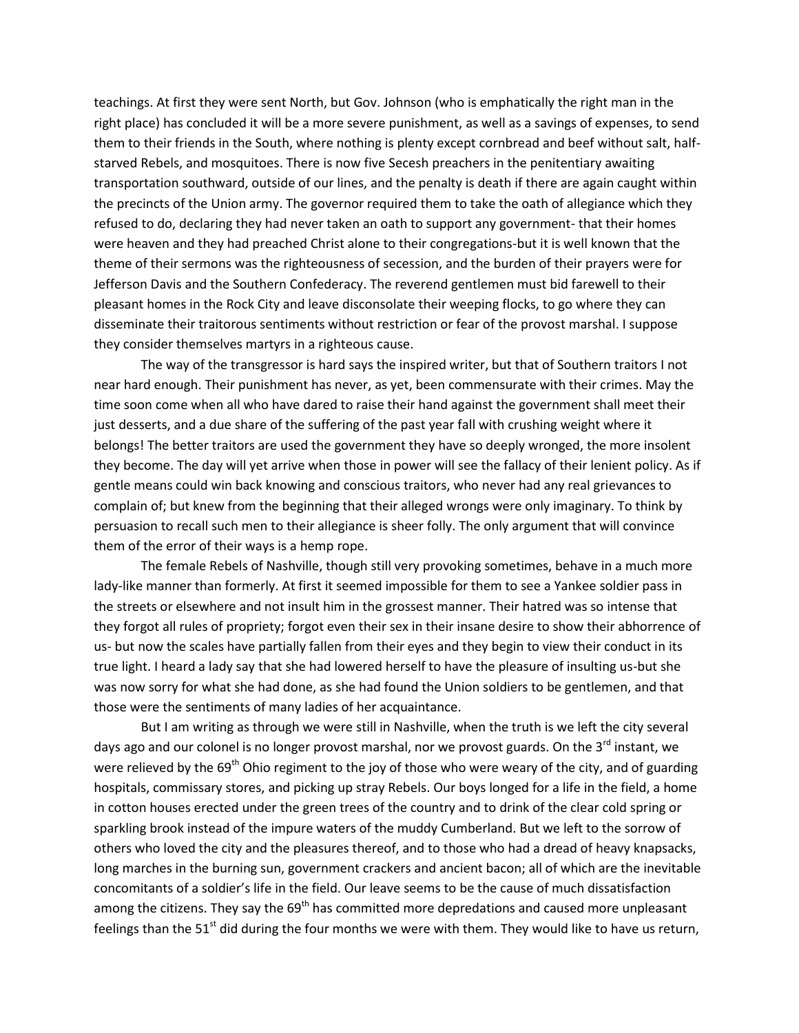teachings. At first they were sent North, but Gov. Johnson (who is emphatically the right man in the right place) has concluded it will be a more severe punishment, as well as a savings of expenses, to send them to their friends in the South, where nothing is plenty except cornbread and beef without salt, halfstarved Rebels, and mosquitoes. There is now five Secesh preachers in the penitentiary awaiting transportation southward, outside of our lines, and the penalty is death if there are again caught within the precincts of the Union army. The governor required them to take the oath of allegiance which they refused to do, declaring they had never taken an oath to support any government- that their homes were heaven and they had preached Christ alone to their congregations-but it is well known that the theme of their sermons was the righteousness of secession, and the burden of their prayers were for Jefferson Davis and the Southern Confederacy. The reverend gentlemen must bid farewell to their pleasant homes in the Rock City and leave disconsolate their weeping flocks, to go where they can disseminate their traitorous sentiments without restriction or fear of the provost marshal. I suppose they consider themselves martyrs in a righteous cause.

The way of the transgressor is hard says the inspired writer, but that of Southern traitors I not near hard enough. Their punishment has never, as yet, been commensurate with their crimes. May the time soon come when all who have dared to raise their hand against the government shall meet their just desserts, and a due share of the suffering of the past year fall with crushing weight where it belongs! The better traitors are used the government they have so deeply wronged, the more insolent they become. The day will yet arrive when those in power will see the fallacy of their lenient policy. As if gentle means could win back knowing and conscious traitors, who never had any real grievances to complain of; but knew from the beginning that their alleged wrongs were only imaginary. To think by persuasion to recall such men to their allegiance is sheer folly. The only argument that will convince them of the error of their ways is a hemp rope.

The female Rebels of Nashville, though still very provoking sometimes, behave in a much more lady-like manner than formerly. At first it seemed impossible for them to see a Yankee soldier pass in the streets or elsewhere and not insult him in the grossest manner. Their hatred was so intense that they forgot all rules of propriety; forgot even their sex in their insane desire to show their abhorrence of us- but now the scales have partially fallen from their eyes and they begin to view their conduct in its true light. I heard a lady say that she had lowered herself to have the pleasure of insulting us-but she was now sorry for what she had done, as she had found the Union soldiers to be gentlemen, and that those were the sentiments of many ladies of her acquaintance.

But I am writing as through we were still in Nashville, when the truth is we left the city several days ago and our colonel is no longer provost marshal, nor we provost guards. On the 3<sup>rd</sup> instant, we were relieved by the 69<sup>th</sup> Ohio regiment to the joy of those who were weary of the city, and of guarding hospitals, commissary stores, and picking up stray Rebels. Our boys longed for a life in the field, a home in cotton houses erected under the green trees of the country and to drink of the clear cold spring or sparkling brook instead of the impure waters of the muddy Cumberland. But we left to the sorrow of others who loved the city and the pleasures thereof, and to those who had a dread of heavy knapsacks, long marches in the burning sun, government crackers and ancient bacon; all of which are the inevitable concomitants of a soldier's life in the field. Our leave seems to be the cause of much dissatisfaction among the citizens. They say the 69<sup>th</sup> has committed more depredations and caused more unpleasant feelings than the  $51<sup>st</sup>$  did during the four months we were with them. They would like to have us return,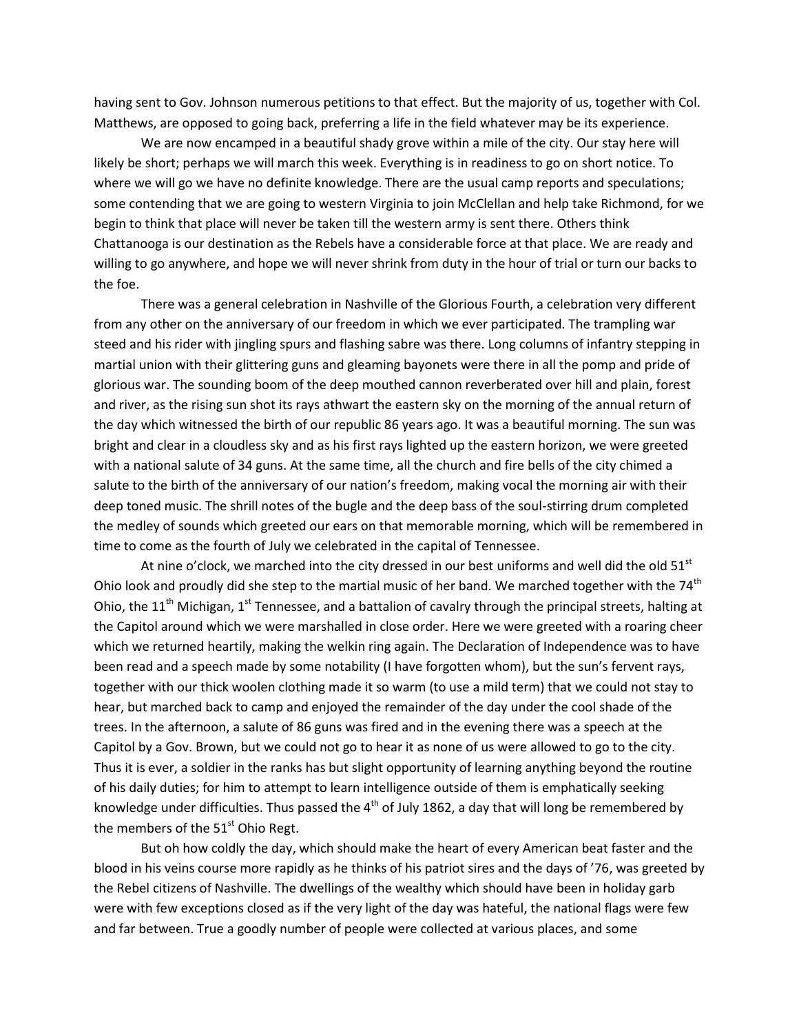having sent to Gov. Johnson numerous petitions to that effect. But the majority of us, together with Col. Matthews, are opposed to going back, preferring a life in the field whatever may be its experience.

We are now encamped in a beautiful shady grove within a mile of the city. Our stay here will likely be short; perhaps we will march this week. Everything is in readiness to go on short notice. To where we will go we have no definite knowledge. There are the usual camp reports and speculations; some contending that we are going to western Virginia to join McClellan and help take Richmond, for we begin to think that place will never be taken till the western army is sent there. Others think Chattanooga is our destination as the Rebels have a considerable force at that place. We are ready and willing to go anywhere, and hope we will never shrink from duty in the hour of trial or turn our backs to the foe.

There was a general celebration in Nashville of the Glorious Fourth, a celebration very different from any other on the anniversary of our freedom in which we ever participated. The trampling war steed and his rider with jingling spurs and flashing sabre was there. Long columns of infantry stepping in martial union with their glittering guns and gleaming bayonets were there in all the pomp and pride of glorious war. The sounding boom of the deep mouthed cannon reverberated over hill and plain, forest and river, as the rising sun shot its rays athwart the eastern sky on the morning of the annual return of the day which witnessed the birth of our republic 86 years ago. It was a beautiful morning. The sun was bright and clear in a cloudless sky and as his first rays lighted up the eastern horizon, we were greeted with a national salute of 34 guns. At the same time, all the church and fire bells of the city chimed a salute to the birth of the anniversary of our nation's freedom, making vocal the morning air with their deep toned music. The shrill notes of the bugle and the deep bass of the soul-stirring drum completed the medley of sounds which greeted our ears on that memorable morning, which will be remembered in time to come as the fourth of July we celebrated in the capital of Tennessee.

At nine o'clock, we marched into the city dressed in our best uniforms and well did the old  $51<sup>st</sup>$ Ohio look and proudly did she step to the martial music of her band. We marched together with the 74 $^{\text{th}}$ Ohio, the 11<sup>th</sup> Michigan, 1<sup>st</sup> Tennessee, and a battalion of cavalry through the principal streets, halting at the Capitol around which we were marshalled in close order. Here we were greeted with a roaring cheer which we returned heartily, making the welkin ring again. The Declaration of Independence was to have been read and a speech made by some notability (I have forgotten whom), but the sun's fervent rays, together with our thick woolen clothing made it so warm (to use a mild term) that we could not stay to hear, but marched back to camp and enjoyed the remainder of the day under the cool shade of the trees. In the afternoon, a salute of 86 guns was fired and in the evening there was a speech at the Capitol by a Gov. Brown, but we could not go to hear it as none of us were allowed to go to the city. Thus it is ever, a soldier in the ranks has but slight opportunity of learning anything beyond the routine of his daily duties; for him to attempt to learn intelligence outside of them is emphatically seeking knowledge under difficulties. Thus passed the  $4<sup>th</sup>$  of July 1862, a day that will long be remembered by the members of the  $51<sup>st</sup>$  Ohio Regt.

But oh how coldly the day, which should make the heart of every American beat faster and the blood in his veins course more rapidly as he thinks of his patriot sires and the days of '76, was greeted by the Rebel citizens of Nashville. The dwellings of the wealthy which should have been in holiday garb were with few exceptions closed as if the very light of the day was hateful, the national flags were few and far between. True a goodly number of people were collected at various places, and some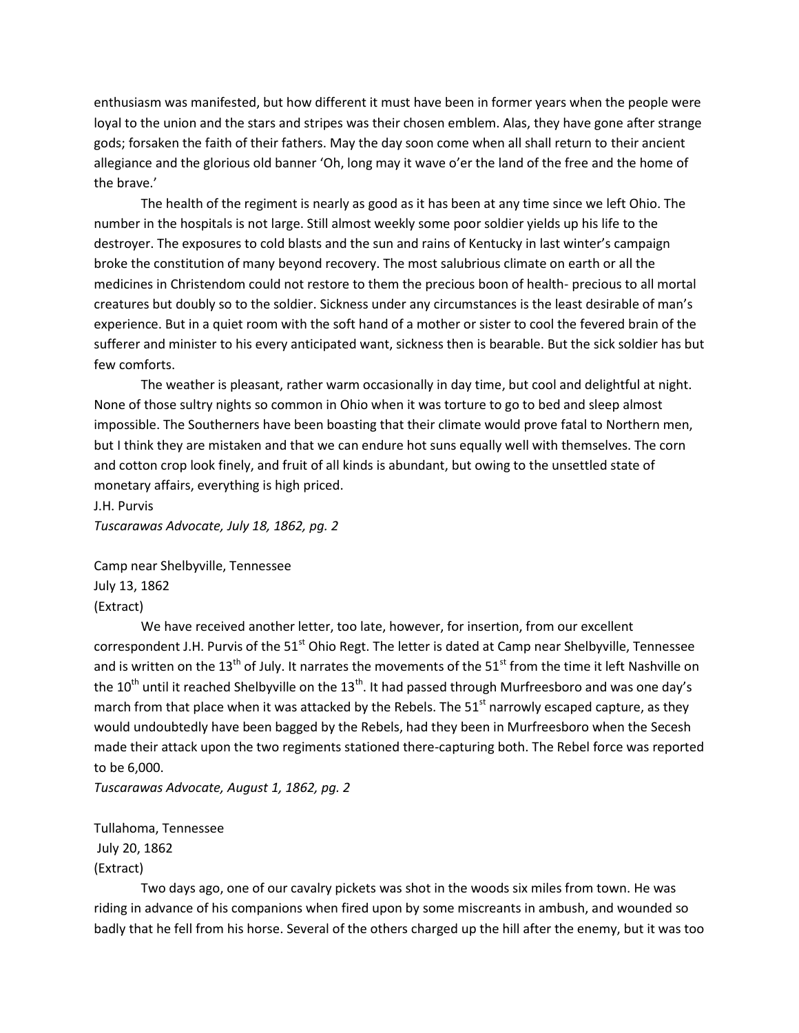enthusiasm was manifested, but how different it must have been in former years when the people were loyal to the union and the stars and stripes was their chosen emblem. Alas, they have gone after strange gods; forsaken the faith of their fathers. May the day soon come when all shall return to their ancient allegiance and the glorious old banner 'Oh, long may it wave o'er the land of the free and the home of the brave.'

The health of the regiment is nearly as good as it has been at any time since we left Ohio. The number in the hospitals is not large. Still almost weekly some poor soldier yields up his life to the destroyer. The exposures to cold blasts and the sun and rains of Kentucky in last winter's campaign broke the constitution of many beyond recovery. The most salubrious climate on earth or all the medicines in Christendom could not restore to them the precious boon of health- precious to all mortal creatures but doubly so to the soldier. Sickness under any circumstances is the least desirable of man's experience. But in a quiet room with the soft hand of a mother or sister to cool the fevered brain of the sufferer and minister to his every anticipated want, sickness then is bearable. But the sick soldier has but few comforts.

The weather is pleasant, rather warm occasionally in day time, but cool and delightful at night. None of those sultry nights so common in Ohio when it was torture to go to bed and sleep almost impossible. The Southerners have been boasting that their climate would prove fatal to Northern men, but I think they are mistaken and that we can endure hot suns equally well with themselves. The corn and cotton crop look finely, and fruit of all kinds is abundant, but owing to the unsettled state of monetary affairs, everything is high priced.

J.H. Purvis

*Tuscarawas Advocate, July 18, 1862, pg. 2*

Camp near Shelbyville, Tennessee July 13, 1862 (Extract)

We have received another letter, too late, however, for insertion, from our excellent correspondent J.H. Purvis of the 51<sup>st</sup> Ohio Regt. The letter is dated at Camp near Shelbyville, Tennessee and is written on the 13<sup>th</sup> of July. It narrates the movements of the 51<sup>st</sup> from the time it left Nashville on the 10<sup>th</sup> until it reached Shelbyville on the 13<sup>th</sup>. It had passed through Murfreesboro and was one day's march from that place when it was attacked by the Rebels. The  $51<sup>st</sup>$  narrowly escaped capture, as they would undoubtedly have been bagged by the Rebels, had they been in Murfreesboro when the Secesh made their attack upon the two regiments stationed there-capturing both. The Rebel force was reported to be 6,000.

*Tuscarawas Advocate, August 1, 1862, pg. 2*

Tullahoma, Tennessee July 20, 1862 (Extract)

Two days ago, one of our cavalry pickets was shot in the woods six miles from town. He was riding in advance of his companions when fired upon by some miscreants in ambush, and wounded so badly that he fell from his horse. Several of the others charged up the hill after the enemy, but it was too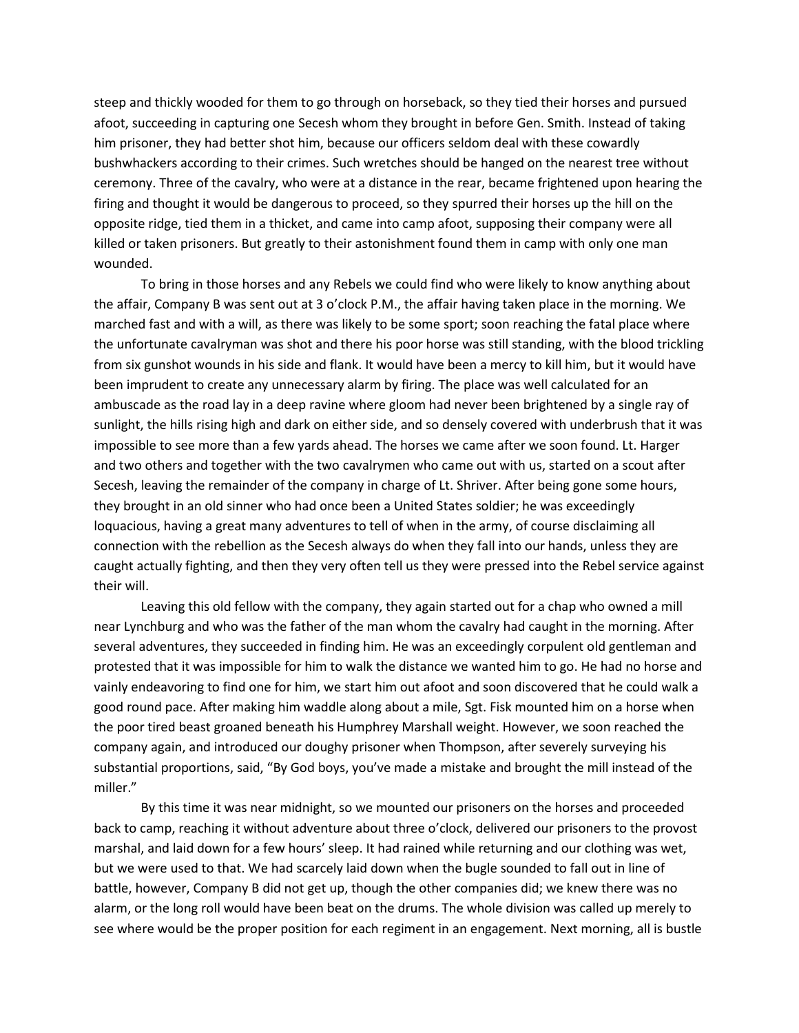steep and thickly wooded for them to go through on horseback, so they tied their horses and pursued afoot, succeeding in capturing one Secesh whom they brought in before Gen. Smith. Instead of taking him prisoner, they had better shot him, because our officers seldom deal with these cowardly bushwhackers according to their crimes. Such wretches should be hanged on the nearest tree without ceremony. Three of the cavalry, who were at a distance in the rear, became frightened upon hearing the firing and thought it would be dangerous to proceed, so they spurred their horses up the hill on the opposite ridge, tied them in a thicket, and came into camp afoot, supposing their company were all killed or taken prisoners. But greatly to their astonishment found them in camp with only one man wounded.

To bring in those horses and any Rebels we could find who were likely to know anything about the affair, Company B was sent out at 3 o'clock P.M., the affair having taken place in the morning. We marched fast and with a will, as there was likely to be some sport; soon reaching the fatal place where the unfortunate cavalryman was shot and there his poor horse was still standing, with the blood trickling from six gunshot wounds in his side and flank. It would have been a mercy to kill him, but it would have been imprudent to create any unnecessary alarm by firing. The place was well calculated for an ambuscade as the road lay in a deep ravine where gloom had never been brightened by a single ray of sunlight, the hills rising high and dark on either side, and so densely covered with underbrush that it was impossible to see more than a few yards ahead. The horses we came after we soon found. Lt. Harger and two others and together with the two cavalrymen who came out with us, started on a scout after Secesh, leaving the remainder of the company in charge of Lt. Shriver. After being gone some hours, they brought in an old sinner who had once been a United States soldier; he was exceedingly loquacious, having a great many adventures to tell of when in the army, of course disclaiming all connection with the rebellion as the Secesh always do when they fall into our hands, unless they are caught actually fighting, and then they very often tell us they were pressed into the Rebel service against their will.

Leaving this old fellow with the company, they again started out for a chap who owned a mill near Lynchburg and who was the father of the man whom the cavalry had caught in the morning. After several adventures, they succeeded in finding him. He was an exceedingly corpulent old gentleman and protested that it was impossible for him to walk the distance we wanted him to go. He had no horse and vainly endeavoring to find one for him, we start him out afoot and soon discovered that he could walk a good round pace. After making him waddle along about a mile, Sgt. Fisk mounted him on a horse when the poor tired beast groaned beneath his Humphrey Marshall weight. However, we soon reached the company again, and introduced our doughy prisoner when Thompson, after severely surveying his substantial proportions, said, "By God boys, you've made a mistake and brought the mill instead of the miller."

By this time it was near midnight, so we mounted our prisoners on the horses and proceeded back to camp, reaching it without adventure about three o'clock, delivered our prisoners to the provost marshal, and laid down for a few hours' sleep. It had rained while returning and our clothing was wet, but we were used to that. We had scarcely laid down when the bugle sounded to fall out in line of battle, however, Company B did not get up, though the other companies did; we knew there was no alarm, or the long roll would have been beat on the drums. The whole division was called up merely to see where would be the proper position for each regiment in an engagement. Next morning, all is bustle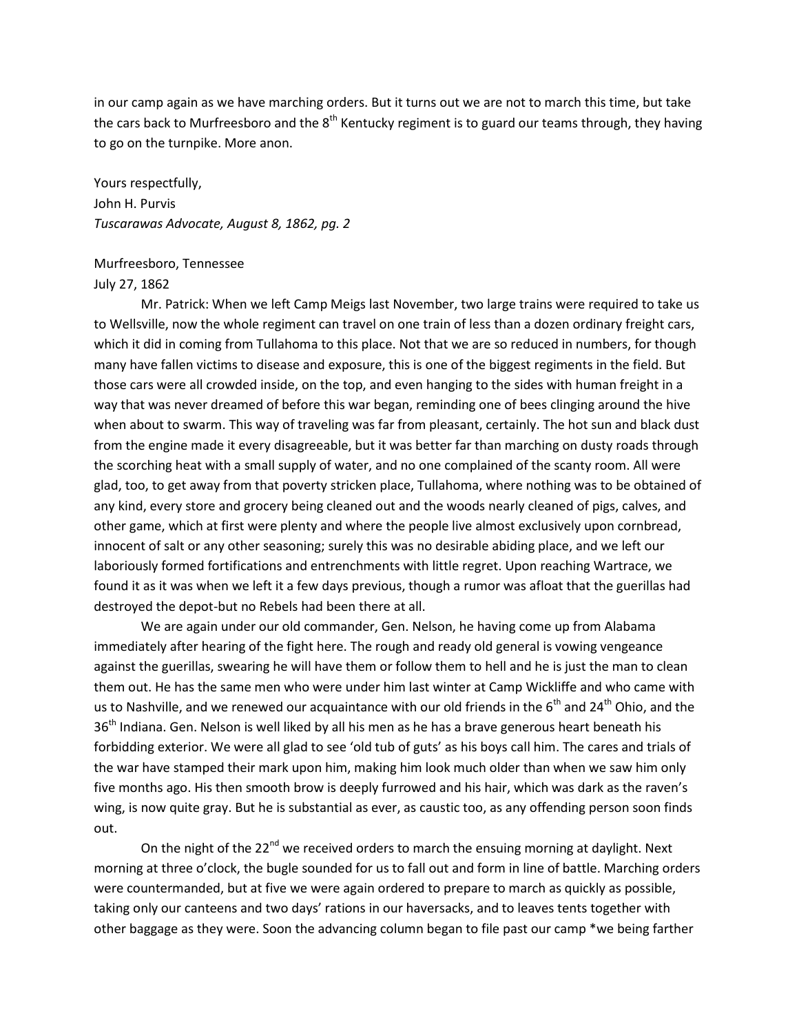in our camp again as we have marching orders. But it turns out we are not to march this time, but take the cars back to Murfreesboro and the  $8<sup>th</sup>$  Kentucky regiment is to guard our teams through, they having to go on the turnpike. More anon.

Yours respectfully, John H. Purvis *Tuscarawas Advocate, August 8, 1862, pg. 2*

#### Murfreesboro, Tennessee

#### July 27, 1862

Mr. Patrick: When we left Camp Meigs last November, two large trains were required to take us to Wellsville, now the whole regiment can travel on one train of less than a dozen ordinary freight cars, which it did in coming from Tullahoma to this place. Not that we are so reduced in numbers, for though many have fallen victims to disease and exposure, this is one of the biggest regiments in the field. But those cars were all crowded inside, on the top, and even hanging to the sides with human freight in a way that was never dreamed of before this war began, reminding one of bees clinging around the hive when about to swarm. This way of traveling was far from pleasant, certainly. The hot sun and black dust from the engine made it every disagreeable, but it was better far than marching on dusty roads through the scorching heat with a small supply of water, and no one complained of the scanty room. All were glad, too, to get away from that poverty stricken place, Tullahoma, where nothing was to be obtained of any kind, every store and grocery being cleaned out and the woods nearly cleaned of pigs, calves, and other game, which at first were plenty and where the people live almost exclusively upon cornbread, innocent of salt or any other seasoning; surely this was no desirable abiding place, and we left our laboriously formed fortifications and entrenchments with little regret. Upon reaching Wartrace, we found it as it was when we left it a few days previous, though a rumor was afloat that the guerillas had destroyed the depot-but no Rebels had been there at all.

We are again under our old commander, Gen. Nelson, he having come up from Alabama immediately after hearing of the fight here. The rough and ready old general is vowing vengeance against the guerillas, swearing he will have them or follow them to hell and he is just the man to clean them out. He has the same men who were under him last winter at Camp Wickliffe and who came with us to Nashville, and we renewed our acquaintance with our old friends in the  $6<sup>th</sup>$  and 24<sup>th</sup> Ohio, and the 36<sup>th</sup> Indiana. Gen. Nelson is well liked by all his men as he has a brave generous heart beneath his forbidding exterior. We were all glad to see 'old tub of guts' as his boys call him. The cares and trials of the war have stamped their mark upon him, making him look much older than when we saw him only five months ago. His then smooth brow is deeply furrowed and his hair, which was dark as the raven's wing, is now quite gray. But he is substantial as ever, as caustic too, as any offending person soon finds out.

On the night of the  $22^{nd}$  we received orders to march the ensuing morning at daylight. Next morning at three o'clock, the bugle sounded for us to fall out and form in line of battle. Marching orders were countermanded, but at five we were again ordered to prepare to march as quickly as possible, taking only our canteens and two days' rations in our haversacks, and to leaves tents together with other baggage as they were. Soon the advancing column began to file past our camp \*we being farther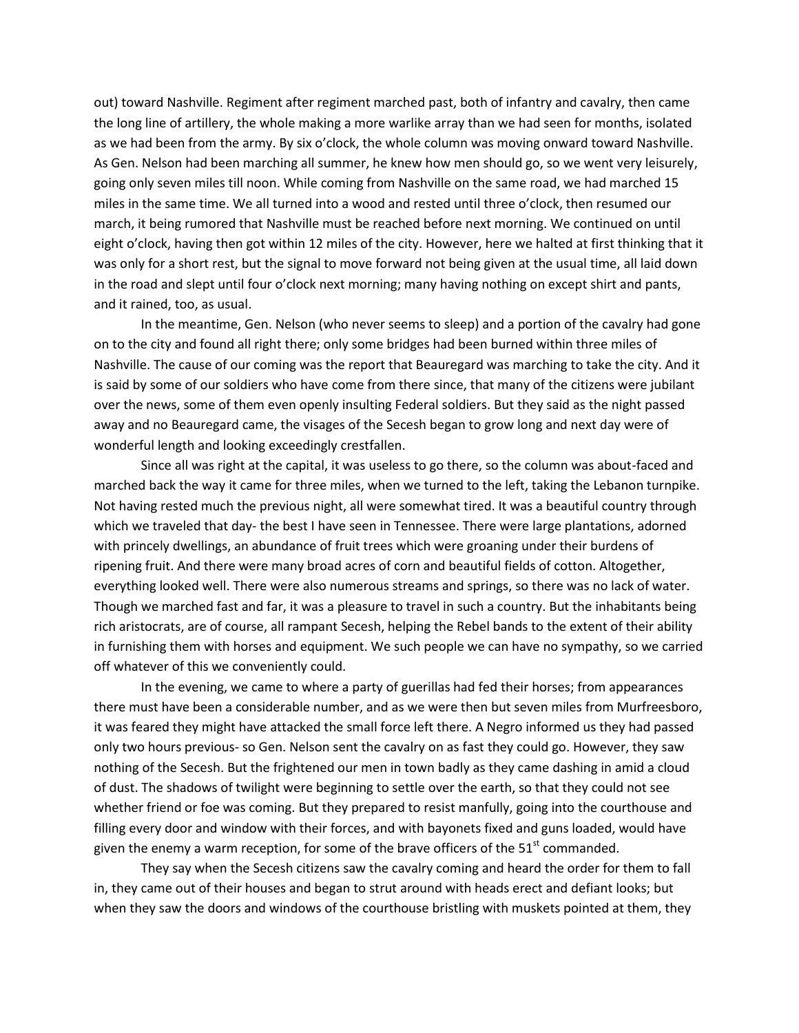out) toward Nashville. Regiment after regiment marched past, both of infantry and cavalry, then came the long line of artillery, the whole making a more warlike array than we had seen for months, isolated as we had been from the army. By six o'clock, the whole column was moving onward toward Nashville. As Gen. Nelson had been marching all summer, he knew how men should go, so we went very leisurely, going only seven miles till noon. While coming from Nashville on the same road, we had marched 15 miles in the same time. We all turned into a wood and rested until three o'clock, then resumed our march, it being rumored that Nashville must be reached before next morning. We continued on until eight o'clock, having then got within 12 miles of the city. However, here we halted at first thinking that it was only for a short rest, but the signal to move forward not being given at the usual time, all laid down in the road and slept until four o'clock next morning; many having nothing on except shirt and pants, and it rained, too, as usual.

In the meantime, Gen. Nelson (who never seems to sleep) and a portion of the cavalry had gone on to the city and found all right there; only some bridges had been burned within three miles of Nashville. The cause of our coming was the report that Beauregard was marching to take the city. And it is said by some of our soldiers who have come from there since, that many of the citizens were jubilant over the news, some of them even openly insulting Federal soldiers. But they said as the night passed away and no Beauregard came, the visages of the Secesh began to grow long and next day were of wonderful length and looking exceedingly crestfallen.

Since all was right at the capital, it was useless to go there, so the column was about-faced and marched back the way it came for three miles, when we turned to the left, taking the Lebanon turnpike. Not having rested much the previous night, all were somewhat tired. It was a beautiful country through which we traveled that day- the best I have seen in Tennessee. There were large plantations, adorned with princely dwellings, an abundance of fruit trees which were groaning under their burdens of ripening fruit. And there were many broad acres of corn and beautiful fields of cotton. Altogether, everything looked well. There were also numerous streams and springs, so there was no lack of water. Though we marched fast and far, it was a pleasure to travel in such a country. But the inhabitants being rich aristocrats, are of course, all rampant Secesh, helping the Rebel bands to the extent of their ability in furnishing them with horses and equipment. We such people we can have no sympathy, so we carried off whatever of this we conveniently could.

In the evening, we came to where a party of guerillas had fed their horses; from appearances there must have been a considerable number, and as we were then but seven miles from Murfreesboro, it was feared they might have attacked the small force left there. A Negro informed us they had passed only two hours previous- so Gen. Nelson sent the cavalry on as fast they could go. However, they saw nothing of the Secesh. But the frightened our men in town badly as they came dashing in amid a cloud of dust. The shadows of twilight were beginning to settle over the earth, so that they could not see whether friend or foe was coming. But they prepared to resist manfully, going into the courthouse and filling every door and window with their forces, and with bayonets fixed and guns loaded, would have given the enemy a warm reception, for some of the brave officers of the  $51<sup>st</sup>$  commanded.

They say when the Secesh citizens saw the cavalry coming and heard the order for them to fall in, they came out of their houses and began to strut around with heads erect and defiant looks; but when they saw the doors and windows of the courthouse bristling with muskets pointed at them, they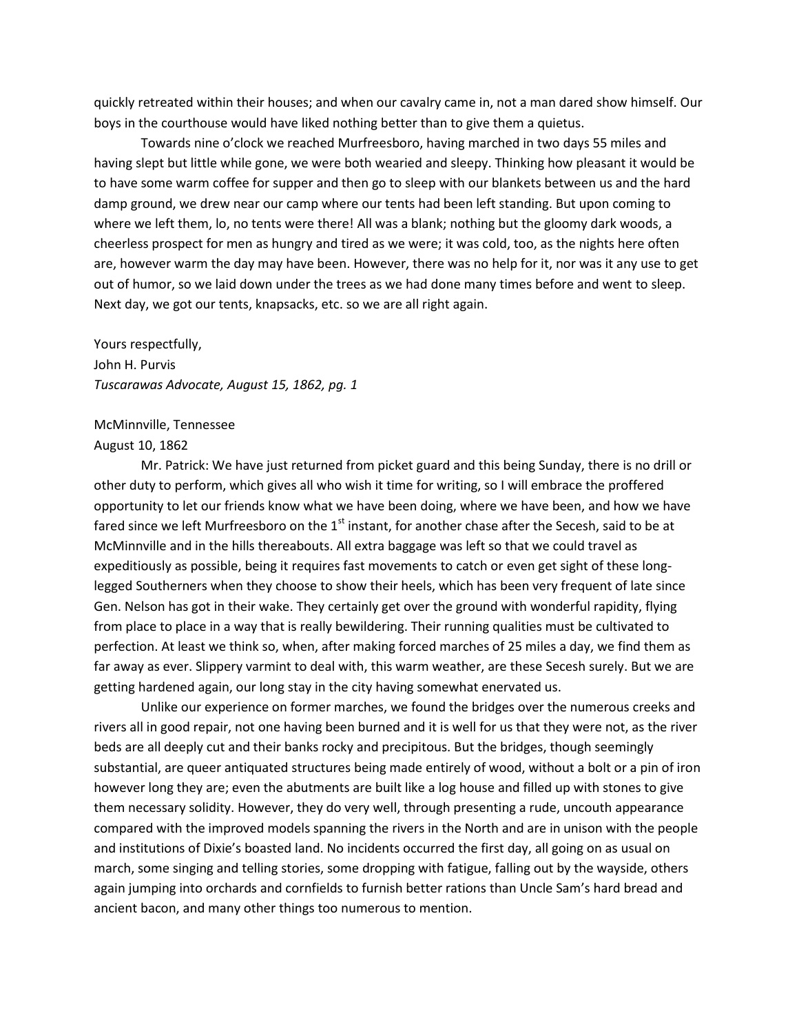quickly retreated within their houses; and when our cavalry came in, not a man dared show himself. Our boys in the courthouse would have liked nothing better than to give them a quietus.

Towards nine o'clock we reached Murfreesboro, having marched in two days 55 miles and having slept but little while gone, we were both wearied and sleepy. Thinking how pleasant it would be to have some warm coffee for supper and then go to sleep with our blankets between us and the hard damp ground, we drew near our camp where our tents had been left standing. But upon coming to where we left them, lo, no tents were there! All was a blank; nothing but the gloomy dark woods, a cheerless prospect for men as hungry and tired as we were; it was cold, too, as the nights here often are, however warm the day may have been. However, there was no help for it, nor was it any use to get out of humor, so we laid down under the trees as we had done many times before and went to sleep. Next day, we got our tents, knapsacks, etc. so we are all right again.

Yours respectfully, John H. Purvis *Tuscarawas Advocate, August 15, 1862, pg. 1*

# McMinnville, Tennessee

#### August 10, 1862

Mr. Patrick: We have just returned from picket guard and this being Sunday, there is no drill or other duty to perform, which gives all who wish it time for writing, so I will embrace the proffered opportunity to let our friends know what we have been doing, where we have been, and how we have fared since we left Murfreesboro on the 1<sup>st</sup> instant, for another chase after the Secesh, said to be at McMinnville and in the hills thereabouts. All extra baggage was left so that we could travel as expeditiously as possible, being it requires fast movements to catch or even get sight of these longlegged Southerners when they choose to show their heels, which has been very frequent of late since Gen. Nelson has got in their wake. They certainly get over the ground with wonderful rapidity, flying from place to place in a way that is really bewildering. Their running qualities must be cultivated to perfection. At least we think so, when, after making forced marches of 25 miles a day, we find them as far away as ever. Slippery varmint to deal with, this warm weather, are these Secesh surely. But we are getting hardened again, our long stay in the city having somewhat enervated us.

Unlike our experience on former marches, we found the bridges over the numerous creeks and rivers all in good repair, not one having been burned and it is well for us that they were not, as the river beds are all deeply cut and their banks rocky and precipitous. But the bridges, though seemingly substantial, are queer antiquated structures being made entirely of wood, without a bolt or a pin of iron however long they are; even the abutments are built like a log house and filled up with stones to give them necessary solidity. However, they do very well, through presenting a rude, uncouth appearance compared with the improved models spanning the rivers in the North and are in unison with the people and institutions of Dixie's boasted land. No incidents occurred the first day, all going on as usual on march, some singing and telling stories, some dropping with fatigue, falling out by the wayside, others again jumping into orchards and cornfields to furnish better rations than Uncle Sam's hard bread and ancient bacon, and many other things too numerous to mention.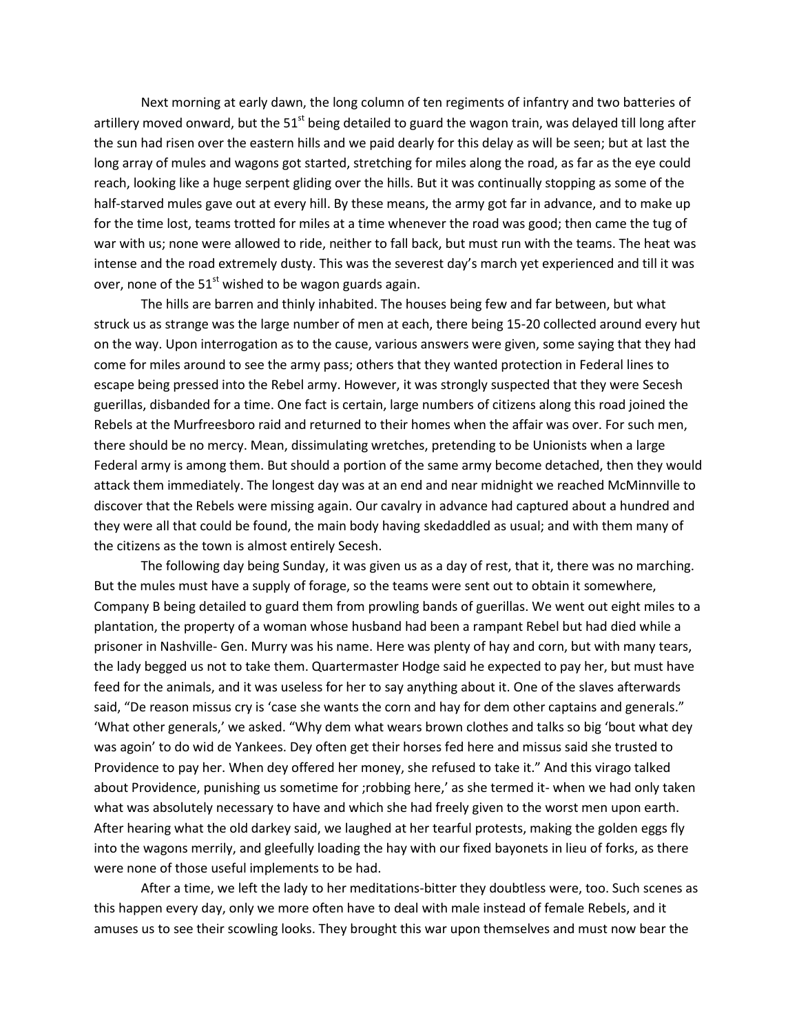Next morning at early dawn, the long column of ten regiments of infantry and two batteries of artillery moved onward, but the  $51<sup>st</sup>$  being detailed to guard the wagon train, was delayed till long after the sun had risen over the eastern hills and we paid dearly for this delay as will be seen; but at last the long array of mules and wagons got started, stretching for miles along the road, as far as the eye could reach, looking like a huge serpent gliding over the hills. But it was continually stopping as some of the half-starved mules gave out at every hill. By these means, the army got far in advance, and to make up for the time lost, teams trotted for miles at a time whenever the road was good; then came the tug of war with us; none were allowed to ride, neither to fall back, but must run with the teams. The heat was intense and the road extremely dusty. This was the severest day's march yet experienced and till it was over, none of the  $51<sup>st</sup>$  wished to be wagon guards again.

The hills are barren and thinly inhabited. The houses being few and far between, but what struck us as strange was the large number of men at each, there being 15-20 collected around every hut on the way. Upon interrogation as to the cause, various answers were given, some saying that they had come for miles around to see the army pass; others that they wanted protection in Federal lines to escape being pressed into the Rebel army. However, it was strongly suspected that they were Secesh guerillas, disbanded for a time. One fact is certain, large numbers of citizens along this road joined the Rebels at the Murfreesboro raid and returned to their homes when the affair was over. For such men, there should be no mercy. Mean, dissimulating wretches, pretending to be Unionists when a large Federal army is among them. But should a portion of the same army become detached, then they would attack them immediately. The longest day was at an end and near midnight we reached McMinnville to discover that the Rebels were missing again. Our cavalry in advance had captured about a hundred and they were all that could be found, the main body having skedaddled as usual; and with them many of the citizens as the town is almost entirely Secesh.

The following day being Sunday, it was given us as a day of rest, that it, there was no marching. But the mules must have a supply of forage, so the teams were sent out to obtain it somewhere, Company B being detailed to guard them from prowling bands of guerillas. We went out eight miles to a plantation, the property of a woman whose husband had been a rampant Rebel but had died while a prisoner in Nashville- Gen. Murry was his name. Here was plenty of hay and corn, but with many tears, the lady begged us not to take them. Quartermaster Hodge said he expected to pay her, but must have feed for the animals, and it was useless for her to say anything about it. One of the slaves afterwards said, "De reason missus cry is 'case she wants the corn and hay for dem other captains and generals." 'What other generals,' we asked. "Why dem what wears brown clothes and talks so big 'bout what dey was agoin' to do wid de Yankees. Dey often get their horses fed here and missus said she trusted to Providence to pay her. When dey offered her money, she refused to take it." And this virago talked about Providence, punishing us sometime for ;robbing here,' as she termed it- when we had only taken what was absolutely necessary to have and which she had freely given to the worst men upon earth. After hearing what the old darkey said, we laughed at her tearful protests, making the golden eggs fly into the wagons merrily, and gleefully loading the hay with our fixed bayonets in lieu of forks, as there were none of those useful implements to be had.

After a time, we left the lady to her meditations-bitter they doubtless were, too. Such scenes as this happen every day, only we more often have to deal with male instead of female Rebels, and it amuses us to see their scowling looks. They brought this war upon themselves and must now bear the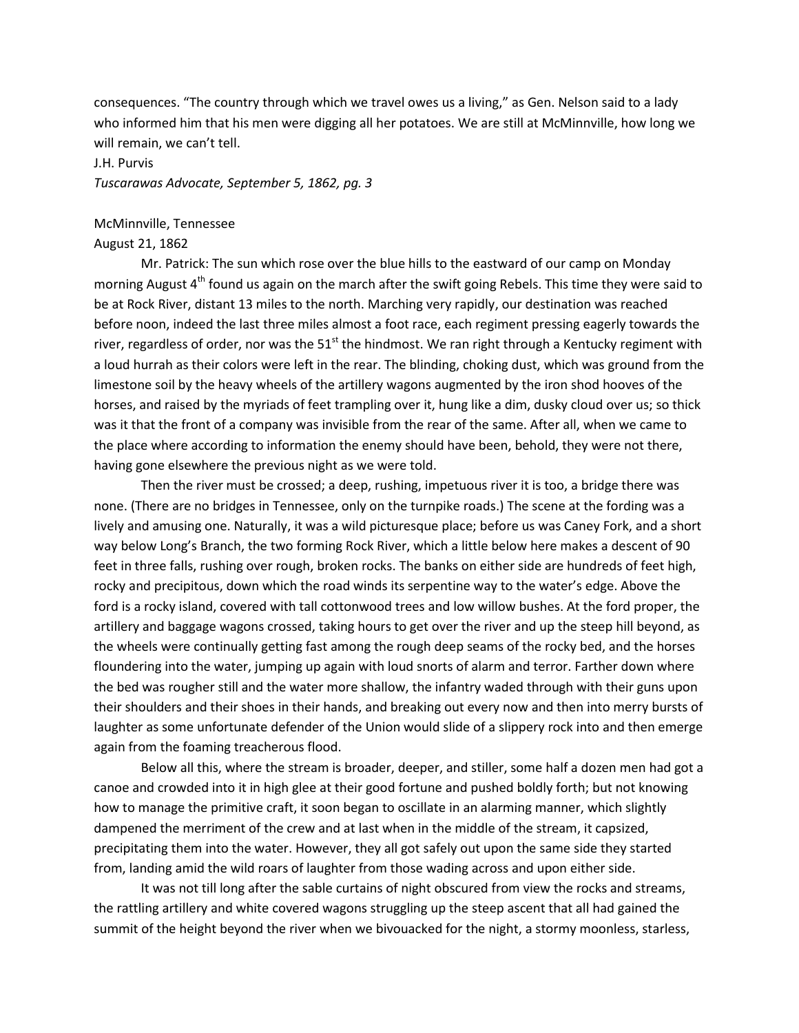consequences. "The country through which we travel owes us a living," as Gen. Nelson said to a lady who informed him that his men were digging all her potatoes. We are still at McMinnville, how long we will remain, we can't tell.

### J.H. Purvis

*Tuscarawas Advocate, September 5, 1862, pg. 3*

#### McMinnville, Tennessee

#### August 21, 1862

Mr. Patrick: The sun which rose over the blue hills to the eastward of our camp on Monday morning August 4<sup>th</sup> found us again on the march after the swift going Rebels. This time they were said to be at Rock River, distant 13 miles to the north. Marching very rapidly, our destination was reached before noon, indeed the last three miles almost a foot race, each regiment pressing eagerly towards the river, regardless of order, nor was the  $51<sup>st</sup>$  the hindmost. We ran right through a Kentucky regiment with a loud hurrah as their colors were left in the rear. The blinding, choking dust, which was ground from the limestone soil by the heavy wheels of the artillery wagons augmented by the iron shod hooves of the horses, and raised by the myriads of feet trampling over it, hung like a dim, dusky cloud over us; so thick was it that the front of a company was invisible from the rear of the same. After all, when we came to the place where according to information the enemy should have been, behold, they were not there, having gone elsewhere the previous night as we were told.

Then the river must be crossed; a deep, rushing, impetuous river it is too, a bridge there was none. (There are no bridges in Tennessee, only on the turnpike roads.) The scene at the fording was a lively and amusing one. Naturally, it was a wild picturesque place; before us was Caney Fork, and a short way below Long's Branch, the two forming Rock River, which a little below here makes a descent of 90 feet in three falls, rushing over rough, broken rocks. The banks on either side are hundreds of feet high, rocky and precipitous, down which the road winds its serpentine way to the water's edge. Above the ford is a rocky island, covered with tall cottonwood trees and low willow bushes. At the ford proper, the artillery and baggage wagons crossed, taking hours to get over the river and up the steep hill beyond, as the wheels were continually getting fast among the rough deep seams of the rocky bed, and the horses floundering into the water, jumping up again with loud snorts of alarm and terror. Farther down where the bed was rougher still and the water more shallow, the infantry waded through with their guns upon their shoulders and their shoes in their hands, and breaking out every now and then into merry bursts of laughter as some unfortunate defender of the Union would slide of a slippery rock into and then emerge again from the foaming treacherous flood.

Below all this, where the stream is broader, deeper, and stiller, some half a dozen men had got a canoe and crowded into it in high glee at their good fortune and pushed boldly forth; but not knowing how to manage the primitive craft, it soon began to oscillate in an alarming manner, which slightly dampened the merriment of the crew and at last when in the middle of the stream, it capsized, precipitating them into the water. However, they all got safely out upon the same side they started from, landing amid the wild roars of laughter from those wading across and upon either side.

It was not till long after the sable curtains of night obscured from view the rocks and streams, the rattling artillery and white covered wagons struggling up the steep ascent that all had gained the summit of the height beyond the river when we bivouacked for the night, a stormy moonless, starless,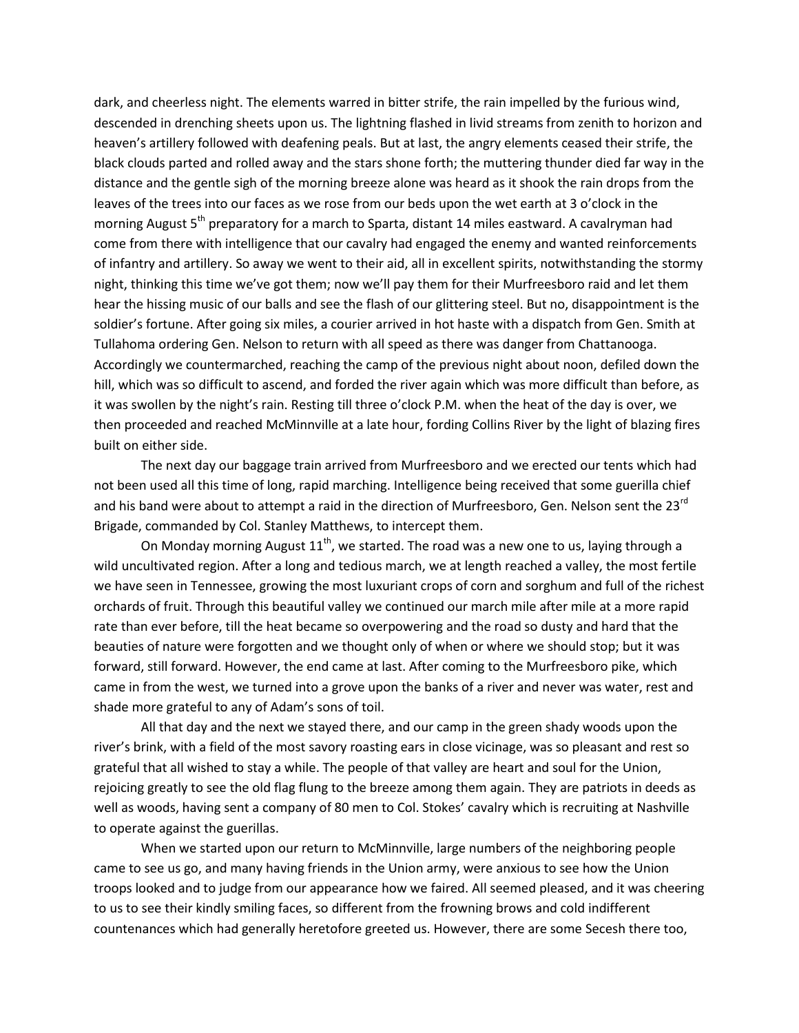dark, and cheerless night. The elements warred in bitter strife, the rain impelled by the furious wind, descended in drenching sheets upon us. The lightning flashed in livid streams from zenith to horizon and heaven's artillery followed with deafening peals. But at last, the angry elements ceased their strife, the black clouds parted and rolled away and the stars shone forth; the muttering thunder died far way in the distance and the gentle sigh of the morning breeze alone was heard as it shook the rain drops from the leaves of the trees into our faces as we rose from our beds upon the wet earth at 3 o'clock in the morning August 5<sup>th</sup> preparatory for a march to Sparta, distant 14 miles eastward. A cavalryman had come from there with intelligence that our cavalry had engaged the enemy and wanted reinforcements of infantry and artillery. So away we went to their aid, all in excellent spirits, notwithstanding the stormy night, thinking this time we've got them; now we'll pay them for their Murfreesboro raid and let them hear the hissing music of our balls and see the flash of our glittering steel. But no, disappointment is the soldier's fortune. After going six miles, a courier arrived in hot haste with a dispatch from Gen. Smith at Tullahoma ordering Gen. Nelson to return with all speed as there was danger from Chattanooga. Accordingly we countermarched, reaching the camp of the previous night about noon, defiled down the hill, which was so difficult to ascend, and forded the river again which was more difficult than before, as it was swollen by the night's rain. Resting till three o'clock P.M. when the heat of the day is over, we then proceeded and reached McMinnville at a late hour, fording Collins River by the light of blazing fires built on either side.

The next day our baggage train arrived from Murfreesboro and we erected our tents which had not been used all this time of long, rapid marching. Intelligence being received that some guerilla chief and his band were about to attempt a raid in the direction of Murfreesboro, Gen. Nelson sent the 23<sup>rd</sup> Brigade, commanded by Col. Stanley Matthews, to intercept them.

On Monday morning August  $11<sup>th</sup>$ , we started. The road was a new one to us, laying through a wild uncultivated region. After a long and tedious march, we at length reached a valley, the most fertile we have seen in Tennessee, growing the most luxuriant crops of corn and sorghum and full of the richest orchards of fruit. Through this beautiful valley we continued our march mile after mile at a more rapid rate than ever before, till the heat became so overpowering and the road so dusty and hard that the beauties of nature were forgotten and we thought only of when or where we should stop; but it was forward, still forward. However, the end came at last. After coming to the Murfreesboro pike, which came in from the west, we turned into a grove upon the banks of a river and never was water, rest and shade more grateful to any of Adam's sons of toil.

All that day and the next we stayed there, and our camp in the green shady woods upon the river's brink, with a field of the most savory roasting ears in close vicinage, was so pleasant and rest so grateful that all wished to stay a while. The people of that valley are heart and soul for the Union, rejoicing greatly to see the old flag flung to the breeze among them again. They are patriots in deeds as well as woods, having sent a company of 80 men to Col. Stokes' cavalry which is recruiting at Nashville to operate against the guerillas.

When we started upon our return to McMinnville, large numbers of the neighboring people came to see us go, and many having friends in the Union army, were anxious to see how the Union troops looked and to judge from our appearance how we faired. All seemed pleased, and it was cheering to us to see their kindly smiling faces, so different from the frowning brows and cold indifferent countenances which had generally heretofore greeted us. However, there are some Secesh there too,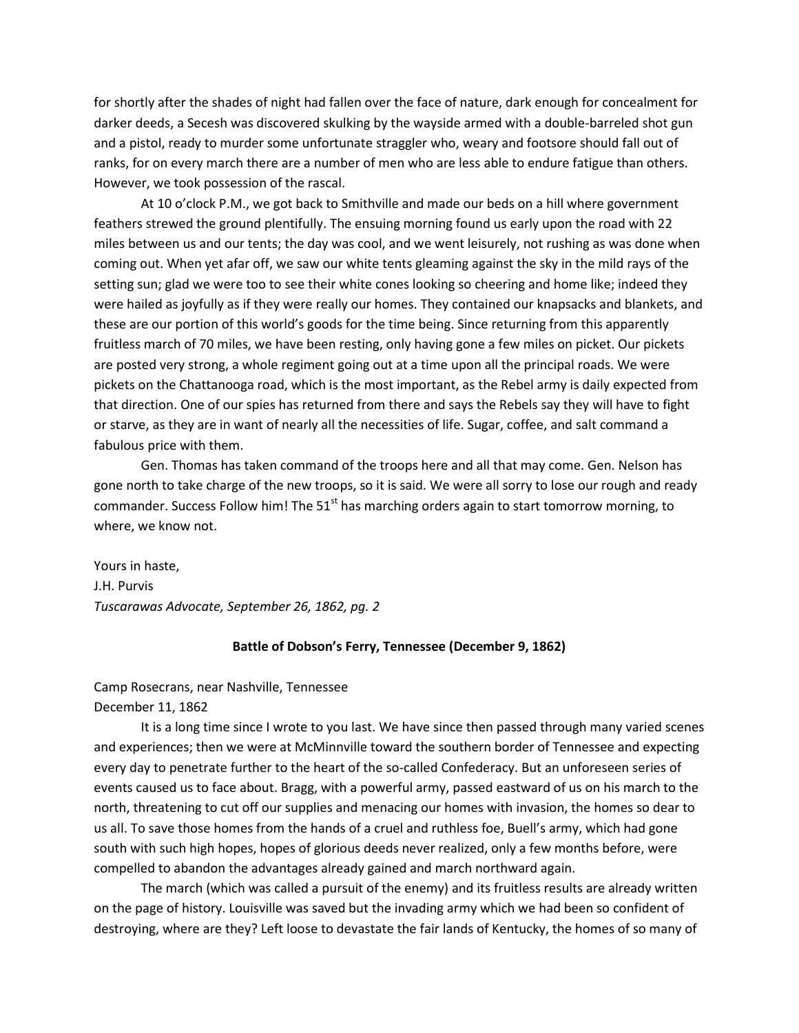for shortly after the shades of night had fallen over the face of nature, dark enough for concealment for darker deeds, a Secesh was discovered skulking by the wayside armed with a double-barreled shot gun and a pistol, ready to murder some unfortunate straggler who, weary and footsore should fall out of ranks, for on every march there are a number of men who are less able to endure fatigue than others. However, we took possession of the rascal.

At 10 o'clock P.M., we got back to Smithville and made our beds on a hill where government feathers strewed the ground plentifully. The ensuing morning found us early upon the road with 22 miles between us and our tents; the day was cool, and we went leisurely, not rushing as was done when coming out. When yet afar off, we saw our white tents gleaming against the sky in the mild rays of the setting sun; glad we were too to see their white cones looking so cheering and home like; indeed they were hailed as joyfully as if they were really our homes. They contained our knapsacks and blankets, and these are our portion of this world's goods for the time being. Since returning from this apparently fruitless march of 70 miles, we have been resting, only having gone a few miles on picket. Our pickets are posted very strong, a whole regiment going out at a time upon all the principal roads. We were pickets on the Chattanooga road, which is the most important, as the Rebel army is daily expected from that direction. One of our spies has returned from there and says the Rebels say they will have to fight or starve, as they are in want of nearly all the necessities of life. Sugar, coffee, and salt command a fabulous price with them.

Gen. Thomas has taken command of the troops here and all that may come. Gen. Nelson has gone north to take charge of the new troops, so it is said. We were all sorry to lose our rough and ready commander. Success Follow him! The  $51<sup>st</sup>$  has marching orders again to start tomorrow morning, to where, we know not.

Yours in haste, J.H. Purvis *Tuscarawas Advocate, September 26, 1862, pg. 2*

# **Battle of Dobson's Ferry, Tennessee (December 9, 1862)**

Camp Rosecrans, near Nashville, Tennessee December 11, 1862

It is a long time since I wrote to you last. We have since then passed through many varied scenes and experiences; then we were at McMinnville toward the southern border of Tennessee and expecting every day to penetrate further to the heart of the so-called Confederacy. But an unforeseen series of events caused us to face about. Bragg, with a powerful army, passed eastward of us on his march to the north, threatening to cut off our supplies and menacing our homes with invasion, the homes so dear to us all. To save those homes from the hands of a cruel and ruthless foe, Buell's army, which had gone south with such high hopes, hopes of glorious deeds never realized, only a few months before, were compelled to abandon the advantages already gained and march northward again.

The march (which was called a pursuit of the enemy) and its fruitless results are already written on the page of history. Louisville was saved but the invading army which we had been so confident of destroying, where are they? Left loose to devastate the fair lands of Kentucky, the homes of so many of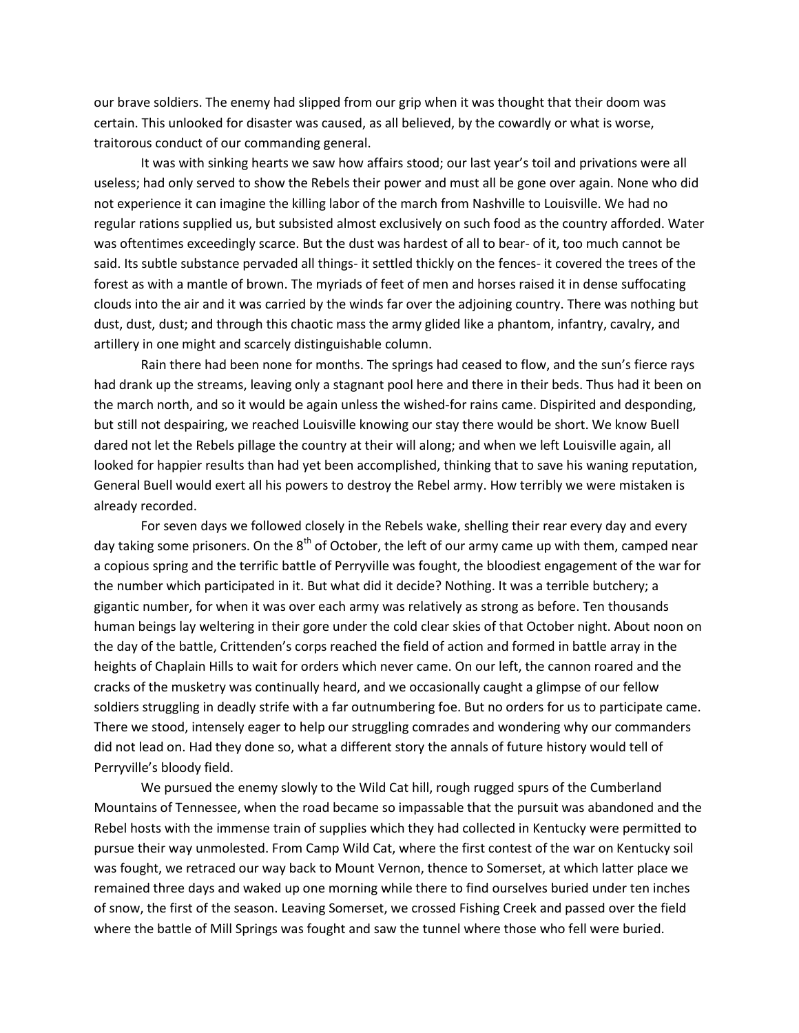our brave soldiers. The enemy had slipped from our grip when it was thought that their doom was certain. This unlooked for disaster was caused, as all believed, by the cowardly or what is worse, traitorous conduct of our commanding general.

It was with sinking hearts we saw how affairs stood; our last year's toil and privations were all useless; had only served to show the Rebels their power and must all be gone over again. None who did not experience it can imagine the killing labor of the march from Nashville to Louisville. We had no regular rations supplied us, but subsisted almost exclusively on such food as the country afforded. Water was oftentimes exceedingly scarce. But the dust was hardest of all to bear- of it, too much cannot be said. Its subtle substance pervaded all things- it settled thickly on the fences- it covered the trees of the forest as with a mantle of brown. The myriads of feet of men and horses raised it in dense suffocating clouds into the air and it was carried by the winds far over the adjoining country. There was nothing but dust, dust, dust; and through this chaotic mass the army glided like a phantom, infantry, cavalry, and artillery in one might and scarcely distinguishable column.

Rain there had been none for months. The springs had ceased to flow, and the sun's fierce rays had drank up the streams, leaving only a stagnant pool here and there in their beds. Thus had it been on the march north, and so it would be again unless the wished-for rains came. Dispirited and desponding, but still not despairing, we reached Louisville knowing our stay there would be short. We know Buell dared not let the Rebels pillage the country at their will along; and when we left Louisville again, all looked for happier results than had yet been accomplished, thinking that to save his waning reputation, General Buell would exert all his powers to destroy the Rebel army. How terribly we were mistaken is already recorded.

For seven days we followed closely in the Rebels wake, shelling their rear every day and every day taking some prisoners. On the  $8<sup>th</sup>$  of October, the left of our army came up with them, camped near a copious spring and the terrific battle of Perryville was fought, the bloodiest engagement of the war for the number which participated in it. But what did it decide? Nothing. It was a terrible butchery; a gigantic number, for when it was over each army was relatively as strong as before. Ten thousands human beings lay weltering in their gore under the cold clear skies of that October night. About noon on the day of the battle, Crittenden's corps reached the field of action and formed in battle array in the heights of Chaplain Hills to wait for orders which never came. On our left, the cannon roared and the cracks of the musketry was continually heard, and we occasionally caught a glimpse of our fellow soldiers struggling in deadly strife with a far outnumbering foe. But no orders for us to participate came. There we stood, intensely eager to help our struggling comrades and wondering why our commanders did not lead on. Had they done so, what a different story the annals of future history would tell of Perryville's bloody field.

We pursued the enemy slowly to the Wild Cat hill, rough rugged spurs of the Cumberland Mountains of Tennessee, when the road became so impassable that the pursuit was abandoned and the Rebel hosts with the immense train of supplies which they had collected in Kentucky were permitted to pursue their way unmolested. From Camp Wild Cat, where the first contest of the war on Kentucky soil was fought, we retraced our way back to Mount Vernon, thence to Somerset, at which latter place we remained three days and waked up one morning while there to find ourselves buried under ten inches of snow, the first of the season. Leaving Somerset, we crossed Fishing Creek and passed over the field where the battle of Mill Springs was fought and saw the tunnel where those who fell were buried.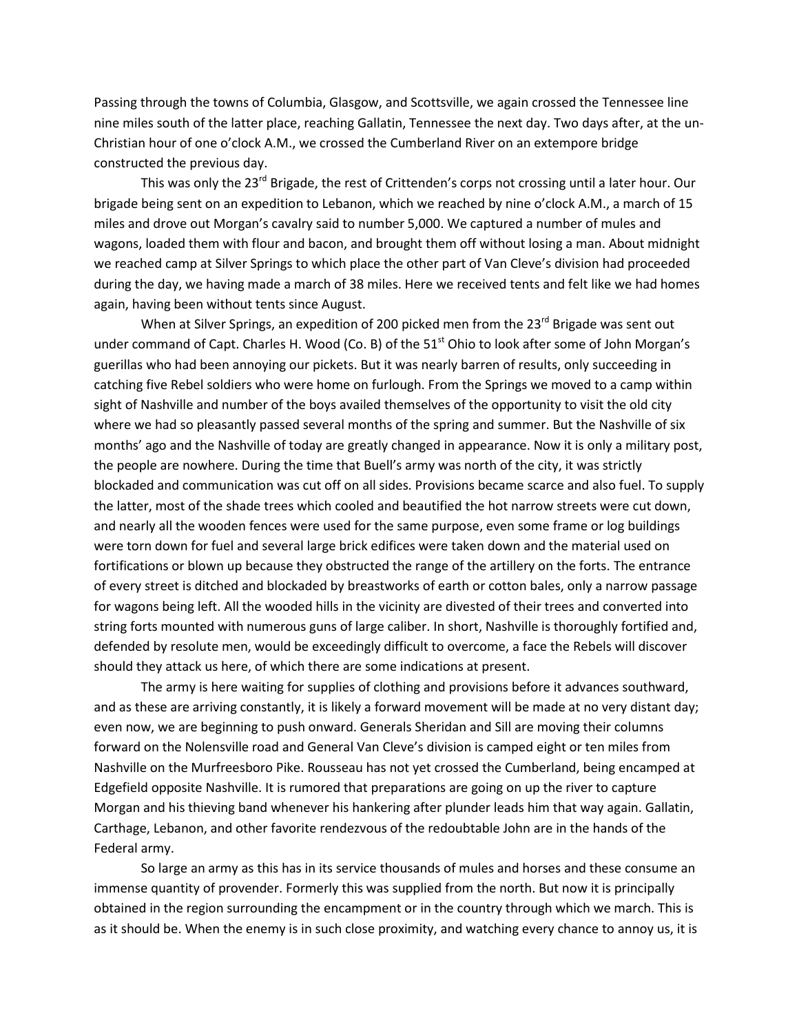Passing through the towns of Columbia, Glasgow, and Scottsville, we again crossed the Tennessee line nine miles south of the latter place, reaching Gallatin, Tennessee the next day. Two days after, at the un-Christian hour of one o'clock A.M., we crossed the Cumberland River on an extempore bridge constructed the previous day.

This was only the  $23<sup>rd</sup>$  Brigade, the rest of Crittenden's corps not crossing until a later hour. Our brigade being sent on an expedition to Lebanon, which we reached by nine o'clock A.M., a march of 15 miles and drove out Morgan's cavalry said to number 5,000. We captured a number of mules and wagons, loaded them with flour and bacon, and brought them off without losing a man. About midnight we reached camp at Silver Springs to which place the other part of Van Cleve's division had proceeded during the day, we having made a march of 38 miles. Here we received tents and felt like we had homes again, having been without tents since August.

When at Silver Springs, an expedition of 200 picked men from the  $23<sup>rd</sup>$  Brigade was sent out under command of Capt. Charles H. Wood (Co. B) of the 51<sup>st</sup> Ohio to look after some of John Morgan's guerillas who had been annoying our pickets. But it was nearly barren of results, only succeeding in catching five Rebel soldiers who were home on furlough. From the Springs we moved to a camp within sight of Nashville and number of the boys availed themselves of the opportunity to visit the old city where we had so pleasantly passed several months of the spring and summer. But the Nashville of six months' ago and the Nashville of today are greatly changed in appearance. Now it is only a military post, the people are nowhere. During the time that Buell's army was north of the city, it was strictly blockaded and communication was cut off on all sides. Provisions became scarce and also fuel. To supply the latter, most of the shade trees which cooled and beautified the hot narrow streets were cut down, and nearly all the wooden fences were used for the same purpose, even some frame or log buildings were torn down for fuel and several large brick edifices were taken down and the material used on fortifications or blown up because they obstructed the range of the artillery on the forts. The entrance of every street is ditched and blockaded by breastworks of earth or cotton bales, only a narrow passage for wagons being left. All the wooded hills in the vicinity are divested of their trees and converted into string forts mounted with numerous guns of large caliber. In short, Nashville is thoroughly fortified and, defended by resolute men, would be exceedingly difficult to overcome, a face the Rebels will discover should they attack us here, of which there are some indications at present.

The army is here waiting for supplies of clothing and provisions before it advances southward, and as these are arriving constantly, it is likely a forward movement will be made at no very distant day; even now, we are beginning to push onward. Generals Sheridan and Sill are moving their columns forward on the Nolensville road and General Van Cleve's division is camped eight or ten miles from Nashville on the Murfreesboro Pike. Rousseau has not yet crossed the Cumberland, being encamped at Edgefield opposite Nashville. It is rumored that preparations are going on up the river to capture Morgan and his thieving band whenever his hankering after plunder leads him that way again. Gallatin, Carthage, Lebanon, and other favorite rendezvous of the redoubtable John are in the hands of the Federal army.

So large an army as this has in its service thousands of mules and horses and these consume an immense quantity of provender. Formerly this was supplied from the north. But now it is principally obtained in the region surrounding the encampment or in the country through which we march. This is as it should be. When the enemy is in such close proximity, and watching every chance to annoy us, it is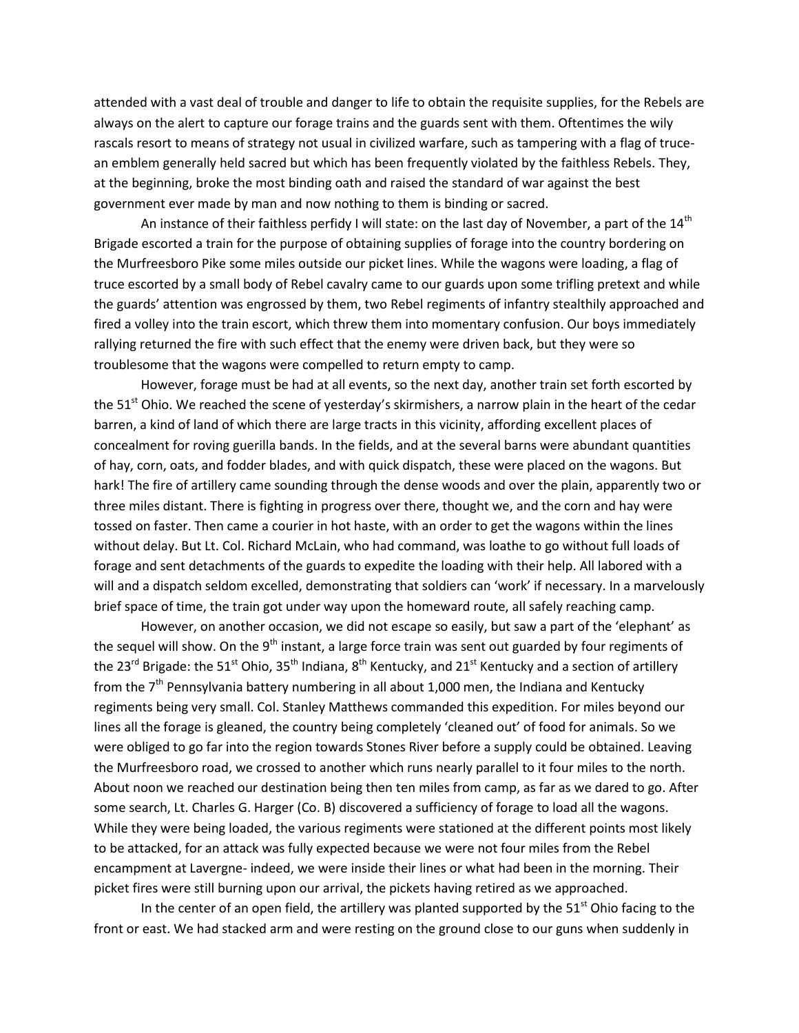attended with a vast deal of trouble and danger to life to obtain the requisite supplies, for the Rebels are always on the alert to capture our forage trains and the guards sent with them. Oftentimes the wily rascals resort to means of strategy not usual in civilized warfare, such as tampering with a flag of trucean emblem generally held sacred but which has been frequently violated by the faithless Rebels. They, at the beginning, broke the most binding oath and raised the standard of war against the best government ever made by man and now nothing to them is binding or sacred.

An instance of their faithless perfidy I will state: on the last day of November, a part of the  $14^{\text{th}}$ Brigade escorted a train for the purpose of obtaining supplies of forage into the country bordering on the Murfreesboro Pike some miles outside our picket lines. While the wagons were loading, a flag of truce escorted by a small body of Rebel cavalry came to our guards upon some trifling pretext and while the guards' attention was engrossed by them, two Rebel regiments of infantry stealthily approached and fired a volley into the train escort, which threw them into momentary confusion. Our boys immediately rallying returned the fire with such effect that the enemy were driven back, but they were so troublesome that the wagons were compelled to return empty to camp.

However, forage must be had at all events, so the next day, another train set forth escorted by the  $51<sup>st</sup>$  Ohio. We reached the scene of yesterday's skirmishers, a narrow plain in the heart of the cedar barren, a kind of land of which there are large tracts in this vicinity, affording excellent places of concealment for roving guerilla bands. In the fields, and at the several barns were abundant quantities of hay, corn, oats, and fodder blades, and with quick dispatch, these were placed on the wagons. But hark! The fire of artillery came sounding through the dense woods and over the plain, apparently two or three miles distant. There is fighting in progress over there, thought we, and the corn and hay were tossed on faster. Then came a courier in hot haste, with an order to get the wagons within the lines without delay. But Lt. Col. Richard McLain, who had command, was loathe to go without full loads of forage and sent detachments of the guards to expedite the loading with their help. All labored with a will and a dispatch seldom excelled, demonstrating that soldiers can 'work' if necessary. In a marvelously brief space of time, the train got under way upon the homeward route, all safely reaching camp.

However, on another occasion, we did not escape so easily, but saw a part of the 'elephant' as the sequel will show. On the 9<sup>th</sup> instant, a large force train was sent out guarded by four regiments of the 23<sup>rd</sup> Brigade: the 51<sup>st</sup> Ohio, 35<sup>th</sup> Indiana, 8<sup>th</sup> Kentucky, and 21<sup>st</sup> Kentucky and a section of artillery from the  $7<sup>th</sup>$  Pennsylvania battery numbering in all about 1,000 men, the Indiana and Kentucky regiments being very small. Col. Stanley Matthews commanded this expedition. For miles beyond our lines all the forage is gleaned, the country being completely 'cleaned out' of food for animals. So we were obliged to go far into the region towards Stones River before a supply could be obtained. Leaving the Murfreesboro road, we crossed to another which runs nearly parallel to it four miles to the north. About noon we reached our destination being then ten miles from camp, as far as we dared to go. After some search, Lt. Charles G. Harger (Co. B) discovered a sufficiency of forage to load all the wagons. While they were being loaded, the various regiments were stationed at the different points most likely to be attacked, for an attack was fully expected because we were not four miles from the Rebel encampment at Lavergne- indeed, we were inside their lines or what had been in the morning. Their picket fires were still burning upon our arrival, the pickets having retired as we approached.

In the center of an open field, the artillery was planted supported by the  $51<sup>st</sup>$  Ohio facing to the front or east. We had stacked arm and were resting on the ground close to our guns when suddenly in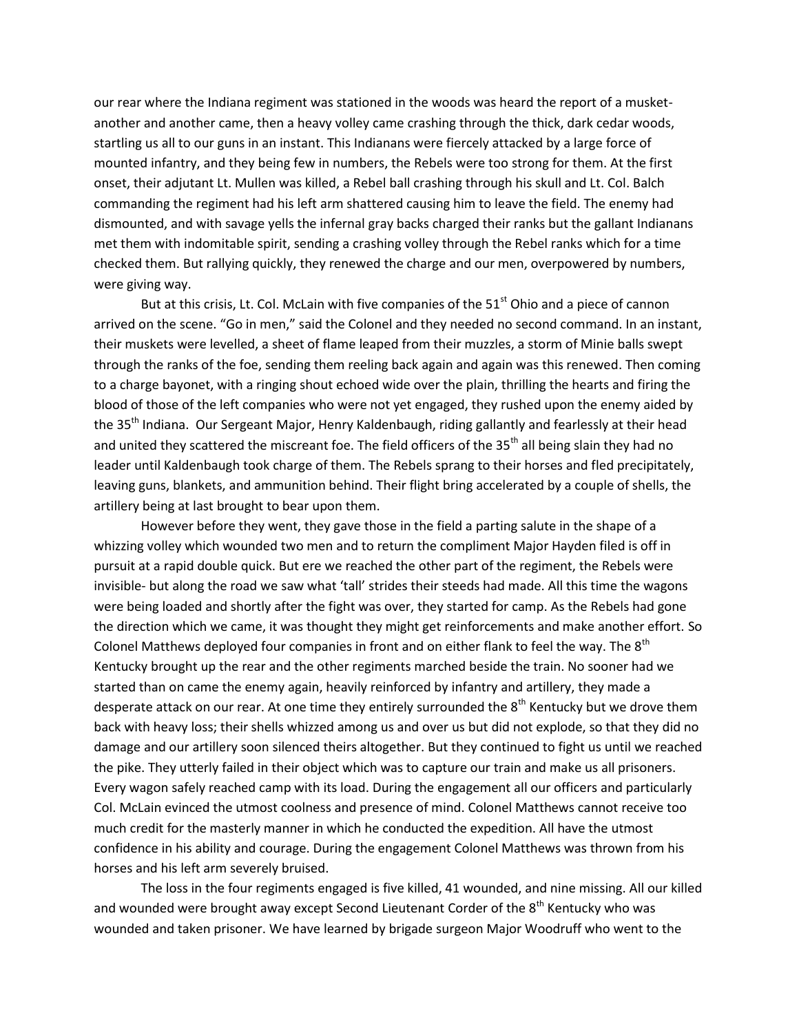our rear where the Indiana regiment was stationed in the woods was heard the report of a musketanother and another came, then a heavy volley came crashing through the thick, dark cedar woods, startling us all to our guns in an instant. This Indianans were fiercely attacked by a large force of mounted infantry, and they being few in numbers, the Rebels were too strong for them. At the first onset, their adjutant Lt. Mullen was killed, a Rebel ball crashing through his skull and Lt. Col. Balch commanding the regiment had his left arm shattered causing him to leave the field. The enemy had dismounted, and with savage yells the infernal gray backs charged their ranks but the gallant Indianans met them with indomitable spirit, sending a crashing volley through the Rebel ranks which for a time checked them. But rallying quickly, they renewed the charge and our men, overpowered by numbers, were giving way.

But at this crisis, Lt. Col. McLain with five companies of the  $51<sup>st</sup>$  Ohio and a piece of cannon arrived on the scene. "Go in men," said the Colonel and they needed no second command. In an instant, their muskets were levelled, a sheet of flame leaped from their muzzles, a storm of Minie balls swept through the ranks of the foe, sending them reeling back again and again was this renewed. Then coming to a charge bayonet, with a ringing shout echoed wide over the plain, thrilling the hearts and firing the blood of those of the left companies who were not yet engaged, they rushed upon the enemy aided by the 35<sup>th</sup> Indiana. Our Sergeant Major, Henry Kaldenbaugh, riding gallantly and fearlessly at their head and united they scattered the miscreant foe. The field officers of the 35<sup>th</sup> all being slain they had no leader until Kaldenbaugh took charge of them. The Rebels sprang to their horses and fled precipitately, leaving guns, blankets, and ammunition behind. Their flight bring accelerated by a couple of shells, the artillery being at last brought to bear upon them.

However before they went, they gave those in the field a parting salute in the shape of a whizzing volley which wounded two men and to return the compliment Major Hayden filed is off in pursuit at a rapid double quick. But ere we reached the other part of the regiment, the Rebels were invisible- but along the road we saw what 'tall' strides their steeds had made. All this time the wagons were being loaded and shortly after the fight was over, they started for camp. As the Rebels had gone the direction which we came, it was thought they might get reinforcements and make another effort. So Colonel Matthews deployed four companies in front and on either flank to feel the way. The 8<sup>th</sup> Kentucky brought up the rear and the other regiments marched beside the train. No sooner had we started than on came the enemy again, heavily reinforced by infantry and artillery, they made a desperate attack on our rear. At one time they entirely surrounded the 8<sup>th</sup> Kentucky but we drove them back with heavy loss; their shells whizzed among us and over us but did not explode, so that they did no damage and our artillery soon silenced theirs altogether. But they continued to fight us until we reached the pike. They utterly failed in their object which was to capture our train and make us all prisoners. Every wagon safely reached camp with its load. During the engagement all our officers and particularly Col. McLain evinced the utmost coolness and presence of mind. Colonel Matthews cannot receive too much credit for the masterly manner in which he conducted the expedition. All have the utmost confidence in his ability and courage. During the engagement Colonel Matthews was thrown from his horses and his left arm severely bruised.

The loss in the four regiments engaged is five killed, 41 wounded, and nine missing. All our killed and wounded were brought away except Second Lieutenant Corder of the  $8<sup>th</sup>$  Kentucky who was wounded and taken prisoner. We have learned by brigade surgeon Major Woodruff who went to the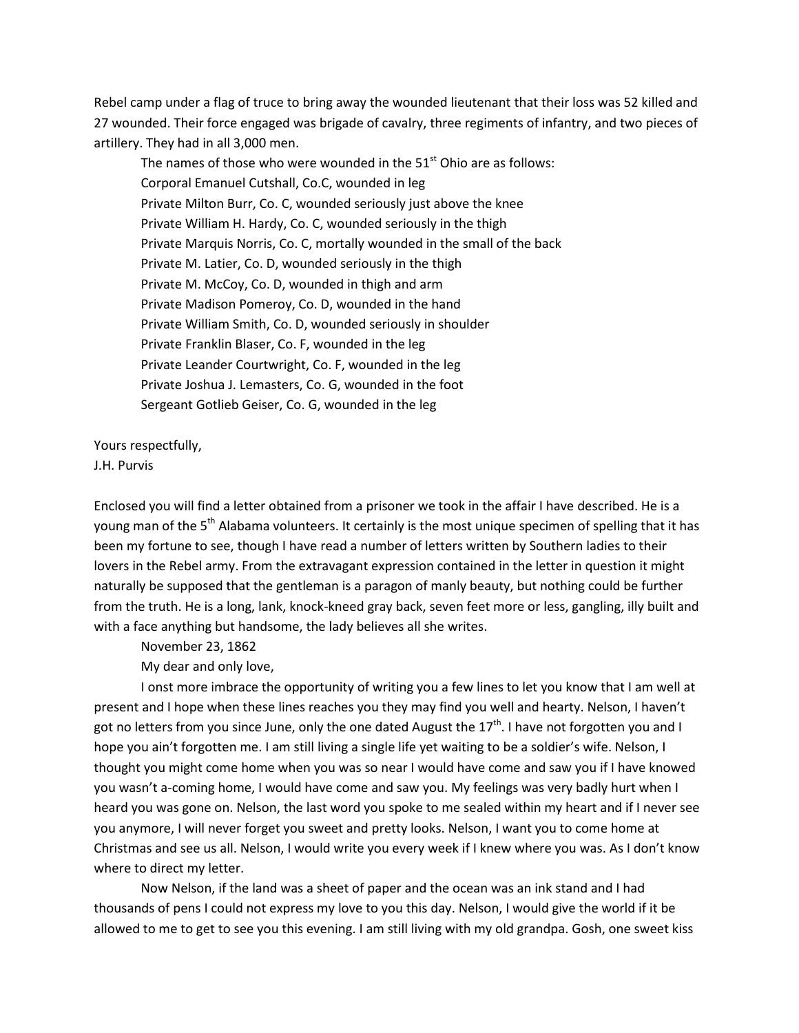Rebel camp under a flag of truce to bring away the wounded lieutenant that their loss was 52 killed and 27 wounded. Their force engaged was brigade of cavalry, three regiments of infantry, and two pieces of artillery. They had in all 3,000 men.

The names of those who were wounded in the  $51<sup>st</sup>$  Ohio are as follows: Corporal Emanuel Cutshall, Co.C, wounded in leg Private Milton Burr, Co. C, wounded seriously just above the knee Private William H. Hardy, Co. C, wounded seriously in the thigh Private Marquis Norris, Co. C, mortally wounded in the small of the back Private M. Latier, Co. D, wounded seriously in the thigh Private M. McCoy, Co. D, wounded in thigh and arm Private Madison Pomeroy, Co. D, wounded in the hand Private William Smith, Co. D, wounded seriously in shoulder Private Franklin Blaser, Co. F, wounded in the leg Private Leander Courtwright, Co. F, wounded in the leg Private Joshua J. Lemasters, Co. G, wounded in the foot Sergeant Gotlieb Geiser, Co. G, wounded in the leg

Yours respectfully, J.H. Purvis

Enclosed you will find a letter obtained from a prisoner we took in the affair I have described. He is a young man of the 5<sup>th</sup> Alabama volunteers. It certainly is the most unique specimen of spelling that it has been my fortune to see, though I have read a number of letters written by Southern ladies to their lovers in the Rebel army. From the extravagant expression contained in the letter in question it might naturally be supposed that the gentleman is a paragon of manly beauty, but nothing could be further from the truth. He is a long, lank, knock-kneed gray back, seven feet more or less, gangling, illy built and with a face anything but handsome, the lady believes all she writes.

November 23, 1862

My dear and only love,

I onst more imbrace the opportunity of writing you a few lines to let you know that I am well at present and I hope when these lines reaches you they may find you well and hearty. Nelson, I haven't got no letters from you since June, only the one dated August the  $17<sup>th</sup>$ . I have not forgotten you and I hope you ain't forgotten me. I am still living a single life yet waiting to be a soldier's wife. Nelson, I thought you might come home when you was so near I would have come and saw you if I have knowed you wasn't a-coming home, I would have come and saw you. My feelings was very badly hurt when I heard you was gone on. Nelson, the last word you spoke to me sealed within my heart and if I never see you anymore, I will never forget you sweet and pretty looks. Nelson, I want you to come home at Christmas and see us all. Nelson, I would write you every week if I knew where you was. As I don't know where to direct my letter.

Now Nelson, if the land was a sheet of paper and the ocean was an ink stand and I had thousands of pens I could not express my love to you this day. Nelson, I would give the world if it be allowed to me to get to see you this evening. I am still living with my old grandpa. Gosh, one sweet kiss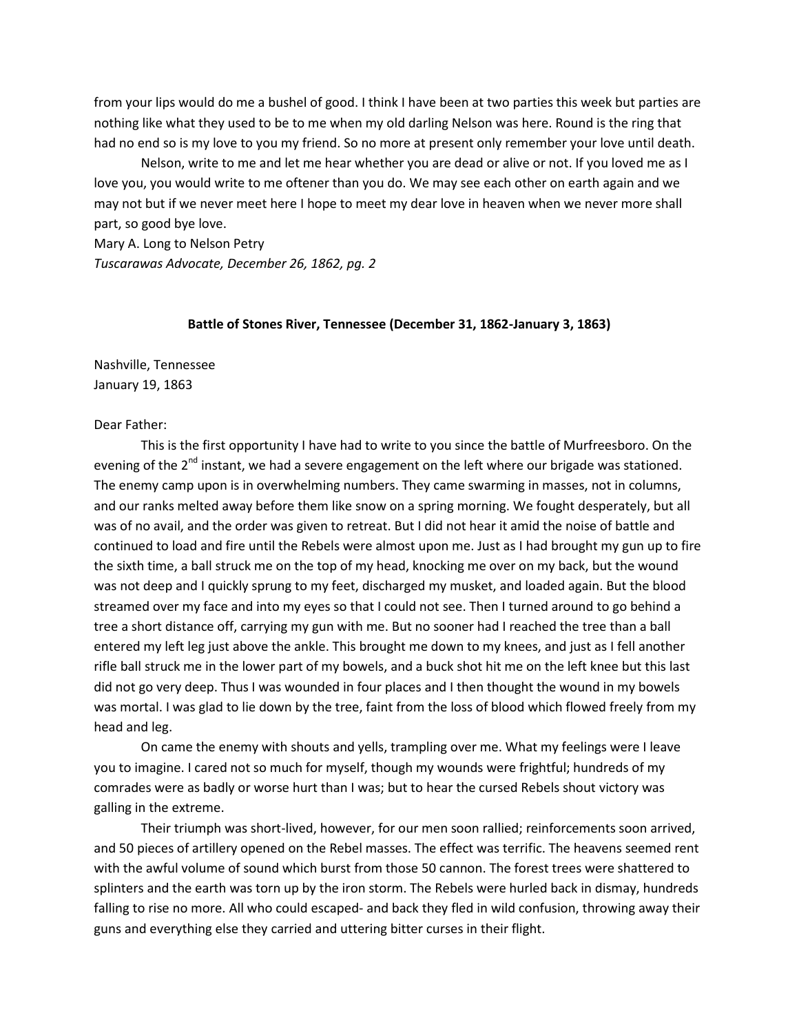from your lips would do me a bushel of good. I think I have been at two parties this week but parties are nothing like what they used to be to me when my old darling Nelson was here. Round is the ring that had no end so is my love to you my friend. So no more at present only remember your love until death.

Nelson, write to me and let me hear whether you are dead or alive or not. If you loved me as I love you, you would write to me oftener than you do. We may see each other on earth again and we may not but if we never meet here I hope to meet my dear love in heaven when we never more shall part, so good bye love.

Mary A. Long to Nelson Petry *Tuscarawas Advocate, December 26, 1862, pg. 2*

# **Battle of Stones River, Tennessee (December 31, 1862-January 3, 1863)**

Nashville, Tennessee January 19, 1863

### Dear Father:

This is the first opportunity I have had to write to you since the battle of Murfreesboro. On the evening of the  $2<sup>nd</sup>$  instant, we had a severe engagement on the left where our brigade was stationed. The enemy camp upon is in overwhelming numbers. They came swarming in masses, not in columns, and our ranks melted away before them like snow on a spring morning. We fought desperately, but all was of no avail, and the order was given to retreat. But I did not hear it amid the noise of battle and continued to load and fire until the Rebels were almost upon me. Just as I had brought my gun up to fire the sixth time, a ball struck me on the top of my head, knocking me over on my back, but the wound was not deep and I quickly sprung to my feet, discharged my musket, and loaded again. But the blood streamed over my face and into my eyes so that I could not see. Then I turned around to go behind a tree a short distance off, carrying my gun with me. But no sooner had I reached the tree than a ball entered my left leg just above the ankle. This brought me down to my knees, and just as I fell another rifle ball struck me in the lower part of my bowels, and a buck shot hit me on the left knee but this last did not go very deep. Thus I was wounded in four places and I then thought the wound in my bowels was mortal. I was glad to lie down by the tree, faint from the loss of blood which flowed freely from my head and leg.

On came the enemy with shouts and yells, trampling over me. What my feelings were I leave you to imagine. I cared not so much for myself, though my wounds were frightful; hundreds of my comrades were as badly or worse hurt than I was; but to hear the cursed Rebels shout victory was galling in the extreme.

Their triumph was short-lived, however, for our men soon rallied; reinforcements soon arrived, and 50 pieces of artillery opened on the Rebel masses. The effect was terrific. The heavens seemed rent with the awful volume of sound which burst from those 50 cannon. The forest trees were shattered to splinters and the earth was torn up by the iron storm. The Rebels were hurled back in dismay, hundreds falling to rise no more. All who could escaped- and back they fled in wild confusion, throwing away their guns and everything else they carried and uttering bitter curses in their flight.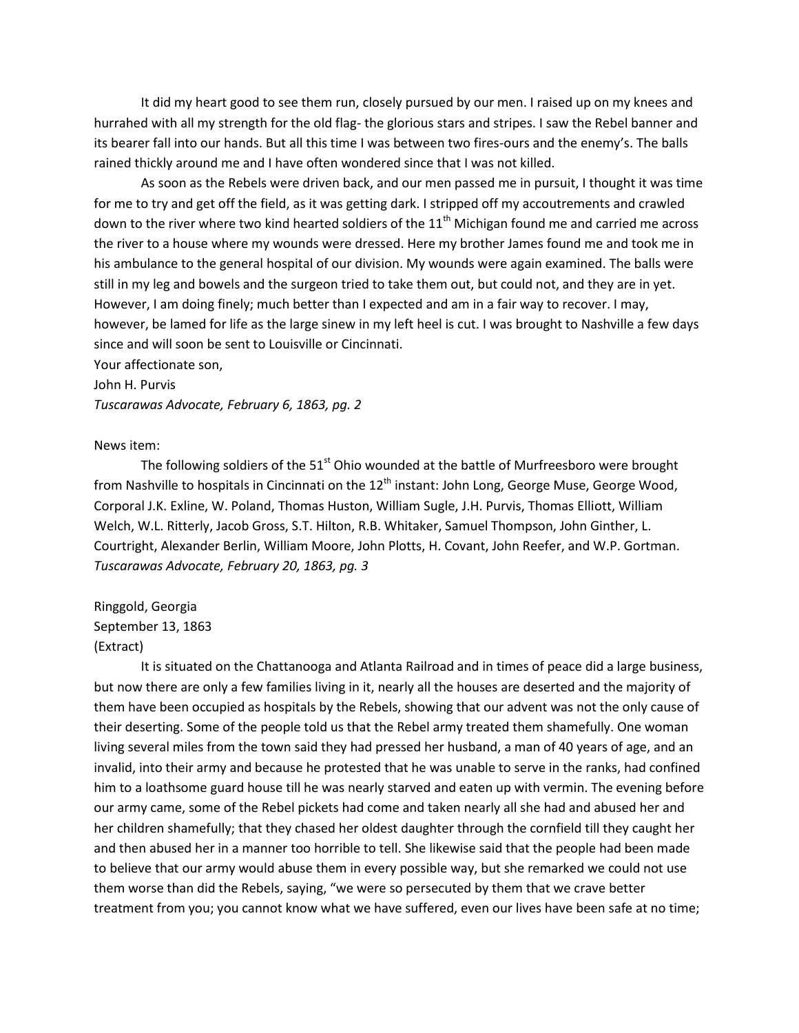It did my heart good to see them run, closely pursued by our men. I raised up on my knees and hurrahed with all my strength for the old flag- the glorious stars and stripes. I saw the Rebel banner and its bearer fall into our hands. But all this time I was between two fires-ours and the enemy's. The balls rained thickly around me and I have often wondered since that I was not killed.

As soon as the Rebels were driven back, and our men passed me in pursuit, I thought it was time for me to try and get off the field, as it was getting dark. I stripped off my accoutrements and crawled down to the river where two kind hearted soldiers of the  $11<sup>th</sup>$  Michigan found me and carried me across the river to a house where my wounds were dressed. Here my brother James found me and took me in his ambulance to the general hospital of our division. My wounds were again examined. The balls were still in my leg and bowels and the surgeon tried to take them out, but could not, and they are in yet. However, I am doing finely; much better than I expected and am in a fair way to recover. I may, however, be lamed for life as the large sinew in my left heel is cut. I was brought to Nashville a few days since and will soon be sent to Louisville or Cincinnati.

Your affectionate son,

John H. Purvis

*Tuscarawas Advocate, February 6, 1863, pg. 2*

## News item:

The following soldiers of the 51<sup>st</sup> Ohio wounded at the battle of Murfreesboro were brought from Nashville to hospitals in Cincinnati on the  $12<sup>th</sup>$  instant: John Long, George Muse, George Wood, Corporal J.K. Exline, W. Poland, Thomas Huston, William Sugle, J.H. Purvis, Thomas Elliott, William Welch, W.L. Ritterly, Jacob Gross, S.T. Hilton, R.B. Whitaker, Samuel Thompson, John Ginther, L. Courtright, Alexander Berlin, William Moore, John Plotts, H. Covant, John Reefer, and W.P. Gortman. *Tuscarawas Advocate, February 20, 1863, pg. 3*

Ringgold, Georgia September 13, 1863 (Extract)

It is situated on the Chattanooga and Atlanta Railroad and in times of peace did a large business, but now there are only a few families living in it, nearly all the houses are deserted and the majority of them have been occupied as hospitals by the Rebels, showing that our advent was not the only cause of their deserting. Some of the people told us that the Rebel army treated them shamefully. One woman living several miles from the town said they had pressed her husband, a man of 40 years of age, and an invalid, into their army and because he protested that he was unable to serve in the ranks, had confined him to a loathsome guard house till he was nearly starved and eaten up with vermin. The evening before our army came, some of the Rebel pickets had come and taken nearly all she had and abused her and her children shamefully; that they chased her oldest daughter through the cornfield till they caught her and then abused her in a manner too horrible to tell. She likewise said that the people had been made to believe that our army would abuse them in every possible way, but she remarked we could not use them worse than did the Rebels, saying, "we were so persecuted by them that we crave better treatment from you; you cannot know what we have suffered, even our lives have been safe at no time;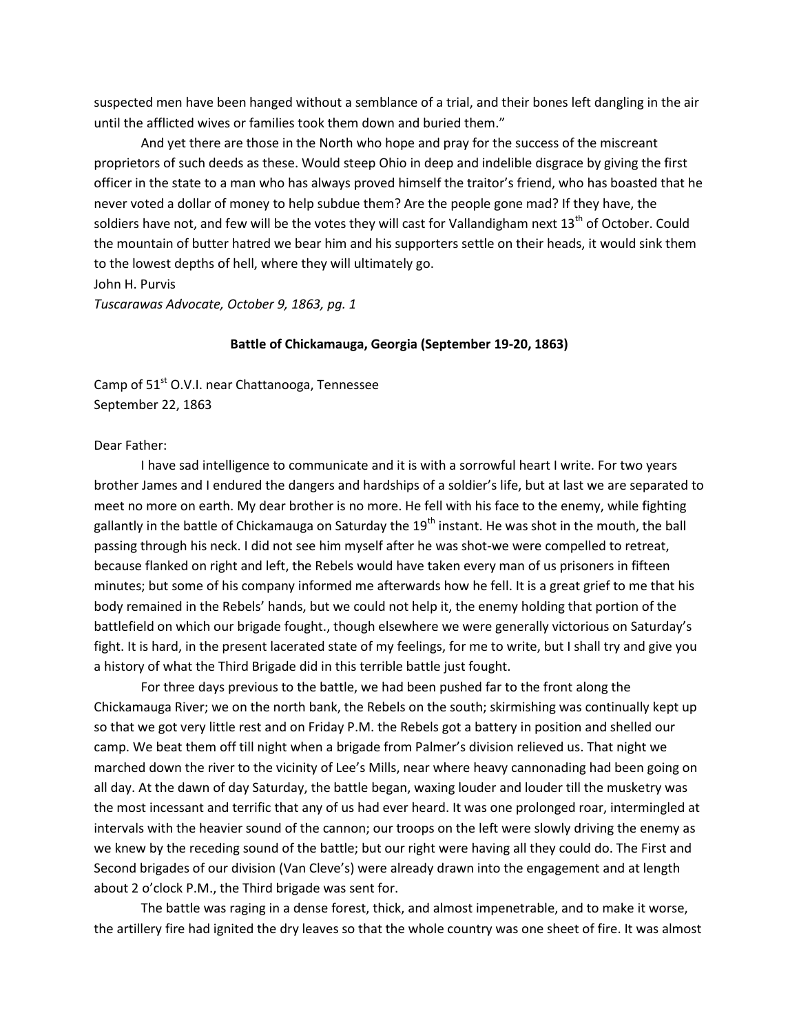suspected men have been hanged without a semblance of a trial, and their bones left dangling in the air until the afflicted wives or families took them down and buried them."

And yet there are those in the North who hope and pray for the success of the miscreant proprietors of such deeds as these. Would steep Ohio in deep and indelible disgrace by giving the first officer in the state to a man who has always proved himself the traitor's friend, who has boasted that he never voted a dollar of money to help subdue them? Are the people gone mad? If they have, the soldiers have not, and few will be the votes they will cast for Vallandigham next 13<sup>th</sup> of October. Could the mountain of butter hatred we bear him and his supporters settle on their heads, it would sink them to the lowest depths of hell, where they will ultimately go.

John H. Purvis

*Tuscarawas Advocate, October 9, 1863, pg. 1*

## **Battle of Chickamauga, Georgia (September 19-20, 1863)**

Camp of  $51<sup>st</sup>$  O.V.I. near Chattanooga, Tennessee September 22, 1863

# Dear Father:

I have sad intelligence to communicate and it is with a sorrowful heart I write. For two years brother James and I endured the dangers and hardships of a soldier's life, but at last we are separated to meet no more on earth. My dear brother is no more. He fell with his face to the enemy, while fighting gallantly in the battle of Chickamauga on Saturday the  $19<sup>th</sup>$  instant. He was shot in the mouth, the ball passing through his neck. I did not see him myself after he was shot-we were compelled to retreat, because flanked on right and left, the Rebels would have taken every man of us prisoners in fifteen minutes; but some of his company informed me afterwards how he fell. It is a great grief to me that his body remained in the Rebels' hands, but we could not help it, the enemy holding that portion of the battlefield on which our brigade fought., though elsewhere we were generally victorious on Saturday's fight. It is hard, in the present lacerated state of my feelings, for me to write, but I shall try and give you a history of what the Third Brigade did in this terrible battle just fought.

For three days previous to the battle, we had been pushed far to the front along the Chickamauga River; we on the north bank, the Rebels on the south; skirmishing was continually kept up so that we got very little rest and on Friday P.M. the Rebels got a battery in position and shelled our camp. We beat them off till night when a brigade from Palmer's division relieved us. That night we marched down the river to the vicinity of Lee's Mills, near where heavy cannonading had been going on all day. At the dawn of day Saturday, the battle began, waxing louder and louder till the musketry was the most incessant and terrific that any of us had ever heard. It was one prolonged roar, intermingled at intervals with the heavier sound of the cannon; our troops on the left were slowly driving the enemy as we knew by the receding sound of the battle; but our right were having all they could do. The First and Second brigades of our division (Van Cleve's) were already drawn into the engagement and at length about 2 o'clock P.M., the Third brigade was sent for.

The battle was raging in a dense forest, thick, and almost impenetrable, and to make it worse, the artillery fire had ignited the dry leaves so that the whole country was one sheet of fire. It was almost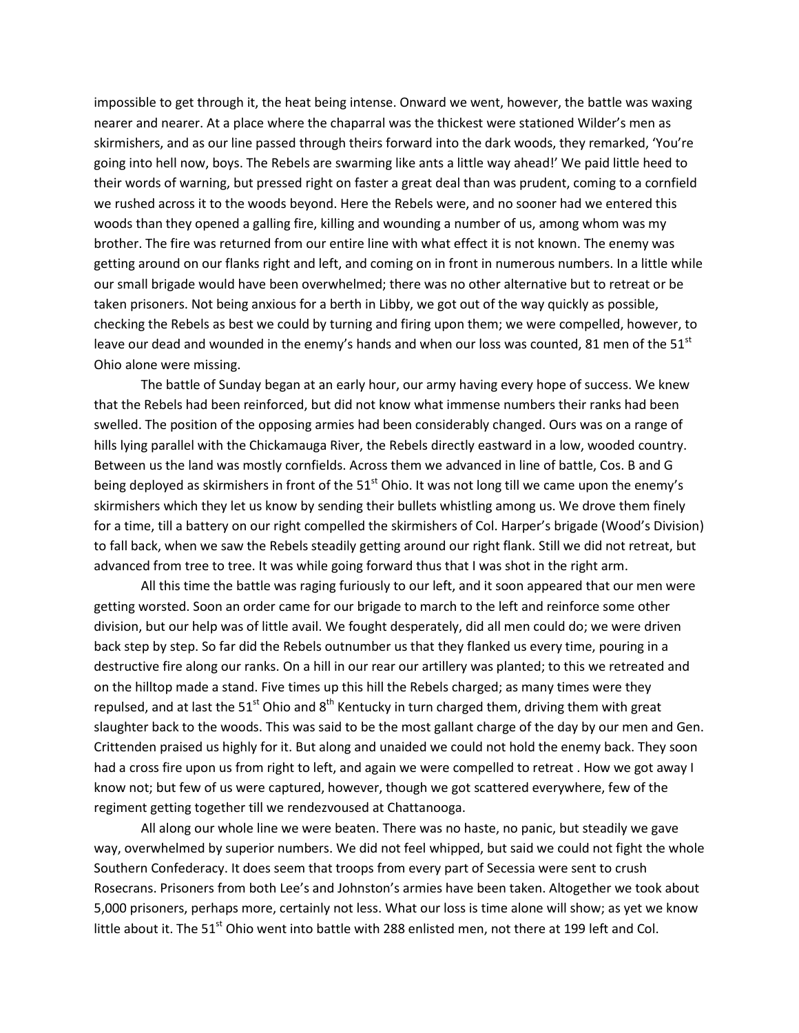impossible to get through it, the heat being intense. Onward we went, however, the battle was waxing nearer and nearer. At a place where the chaparral was the thickest were stationed Wilder's men as skirmishers, and as our line passed through theirs forward into the dark woods, they remarked, 'You're going into hell now, boys. The Rebels are swarming like ants a little way ahead!' We paid little heed to their words of warning, but pressed right on faster a great deal than was prudent, coming to a cornfield we rushed across it to the woods beyond. Here the Rebels were, and no sooner had we entered this woods than they opened a galling fire, killing and wounding a number of us, among whom was my brother. The fire was returned from our entire line with what effect it is not known. The enemy was getting around on our flanks right and left, and coming on in front in numerous numbers. In a little while our small brigade would have been overwhelmed; there was no other alternative but to retreat or be taken prisoners. Not being anxious for a berth in Libby, we got out of the way quickly as possible, checking the Rebels as best we could by turning and firing upon them; we were compelled, however, to leave our dead and wounded in the enemy's hands and when our loss was counted, 81 men of the 51 $^{\text{st}}$ Ohio alone were missing.

The battle of Sunday began at an early hour, our army having every hope of success. We knew that the Rebels had been reinforced, but did not know what immense numbers their ranks had been swelled. The position of the opposing armies had been considerably changed. Ours was on a range of hills lying parallel with the Chickamauga River, the Rebels directly eastward in a low, wooded country. Between us the land was mostly cornfields. Across them we advanced in line of battle, Cos. B and G being deployed as skirmishers in front of the  $51<sup>st</sup>$  Ohio. It was not long till we came upon the enemy's skirmishers which they let us know by sending their bullets whistling among us. We drove them finely for a time, till a battery on our right compelled the skirmishers of Col. Harper's brigade (Wood's Division) to fall back, when we saw the Rebels steadily getting around our right flank. Still we did not retreat, but advanced from tree to tree. It was while going forward thus that I was shot in the right arm.

All this time the battle was raging furiously to our left, and it soon appeared that our men were getting worsted. Soon an order came for our brigade to march to the left and reinforce some other division, but our help was of little avail. We fought desperately, did all men could do; we were driven back step by step. So far did the Rebels outnumber us that they flanked us every time, pouring in a destructive fire along our ranks. On a hill in our rear our artillery was planted; to this we retreated and on the hilltop made a stand. Five times up this hill the Rebels charged; as many times were they repulsed, and at last the  $51<sup>st</sup>$  Ohio and  $8<sup>th</sup>$  Kentucky in turn charged them, driving them with great slaughter back to the woods. This was said to be the most gallant charge of the day by our men and Gen. Crittenden praised us highly for it. But along and unaided we could not hold the enemy back. They soon had a cross fire upon us from right to left, and again we were compelled to retreat . How we got away I know not; but few of us were captured, however, though we got scattered everywhere, few of the regiment getting together till we rendezvoused at Chattanooga.

All along our whole line we were beaten. There was no haste, no panic, but steadily we gave way, overwhelmed by superior numbers. We did not feel whipped, but said we could not fight the whole Southern Confederacy. It does seem that troops from every part of Secessia were sent to crush Rosecrans. Prisoners from both Lee's and Johnston's armies have been taken. Altogether we took about 5,000 prisoners, perhaps more, certainly not less. What our loss is time alone will show; as yet we know little about it. The  $51<sup>st</sup>$  Ohio went into battle with 288 enlisted men, not there at 199 left and Col.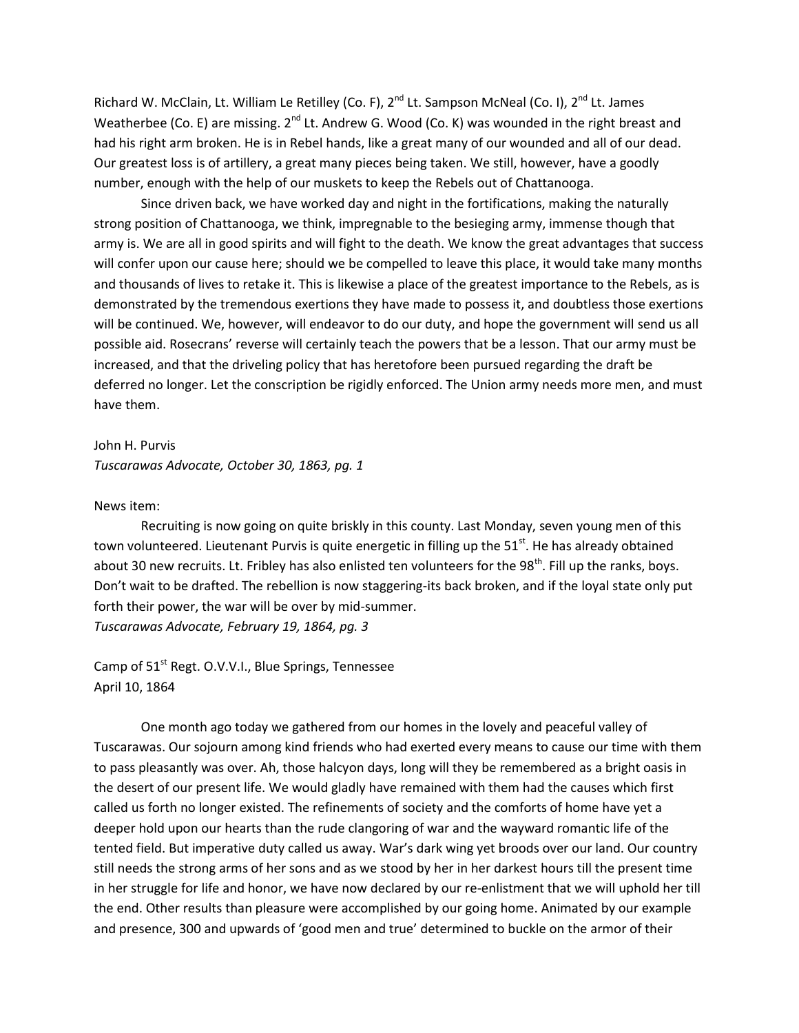Richard W. McClain, Lt. William Le Retilley (Co. F), 2<sup>nd</sup> Lt. Sampson McNeal (Co. I), 2<sup>nd</sup> Lt. James Weatherbee (Co. E) are missing. 2<sup>nd</sup> Lt. Andrew G. Wood (Co. K) was wounded in the right breast and had his right arm broken. He is in Rebel hands, like a great many of our wounded and all of our dead. Our greatest loss is of artillery, a great many pieces being taken. We still, however, have a goodly number, enough with the help of our muskets to keep the Rebels out of Chattanooga.

Since driven back, we have worked day and night in the fortifications, making the naturally strong position of Chattanooga, we think, impregnable to the besieging army, immense though that army is. We are all in good spirits and will fight to the death. We know the great advantages that success will confer upon our cause here; should we be compelled to leave this place, it would take many months and thousands of lives to retake it. This is likewise a place of the greatest importance to the Rebels, as is demonstrated by the tremendous exertions they have made to possess it, and doubtless those exertions will be continued. We, however, will endeavor to do our duty, and hope the government will send us all possible aid. Rosecrans' reverse will certainly teach the powers that be a lesson. That our army must be increased, and that the driveling policy that has heretofore been pursued regarding the draft be deferred no longer. Let the conscription be rigidly enforced. The Union army needs more men, and must have them.

#### John H. Purvis

*Tuscarawas Advocate, October 30, 1863, pg. 1*

#### News item:

Recruiting is now going on quite briskly in this county. Last Monday, seven young men of this town volunteered. Lieutenant Purvis is quite energetic in filling up the  $51<sup>st</sup>$ . He has already obtained about 30 new recruits. Lt. Fribley has also enlisted ten volunteers for the 98<sup>th</sup>. Fill up the ranks, boys. Don't wait to be drafted. The rebellion is now staggering-its back broken, and if the loyal state only put forth their power, the war will be over by mid-summer. *Tuscarawas Advocate, February 19, 1864, pg. 3*

Camp of 51<sup>st</sup> Regt. O.V.V.I., Blue Springs, Tennessee April 10, 1864

One month ago today we gathered from our homes in the lovely and peaceful valley of Tuscarawas. Our sojourn among kind friends who had exerted every means to cause our time with them to pass pleasantly was over. Ah, those halcyon days, long will they be remembered as a bright oasis in the desert of our present life. We would gladly have remained with them had the causes which first called us forth no longer existed. The refinements of society and the comforts of home have yet a deeper hold upon our hearts than the rude clangoring of war and the wayward romantic life of the tented field. But imperative duty called us away. War's dark wing yet broods over our land. Our country still needs the strong arms of her sons and as we stood by her in her darkest hours till the present time in her struggle for life and honor, we have now declared by our re-enlistment that we will uphold her till the end. Other results than pleasure were accomplished by our going home. Animated by our example and presence, 300 and upwards of 'good men and true' determined to buckle on the armor of their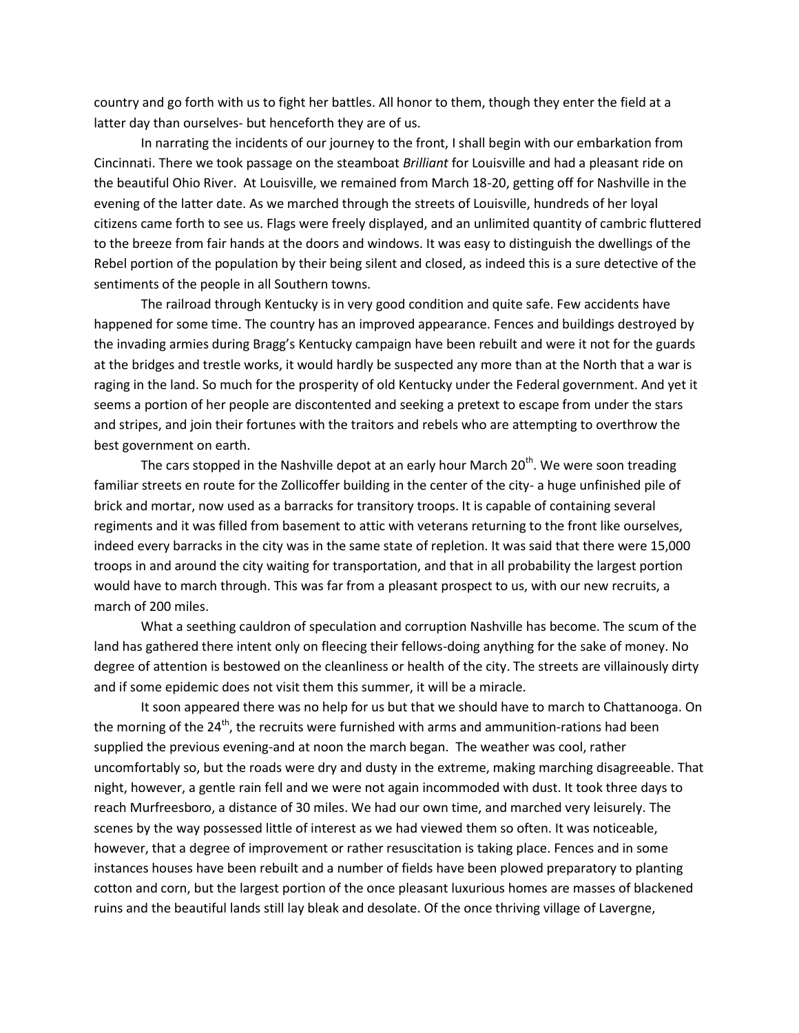country and go forth with us to fight her battles. All honor to them, though they enter the field at a latter day than ourselves- but henceforth they are of us.

In narrating the incidents of our journey to the front, I shall begin with our embarkation from Cincinnati. There we took passage on the steamboat *Brilliant* for Louisville and had a pleasant ride on the beautiful Ohio River. At Louisville, we remained from March 18-20, getting off for Nashville in the evening of the latter date. As we marched through the streets of Louisville, hundreds of her loyal citizens came forth to see us. Flags were freely displayed, and an unlimited quantity of cambric fluttered to the breeze from fair hands at the doors and windows. It was easy to distinguish the dwellings of the Rebel portion of the population by their being silent and closed, as indeed this is a sure detective of the sentiments of the people in all Southern towns.

The railroad through Kentucky is in very good condition and quite safe. Few accidents have happened for some time. The country has an improved appearance. Fences and buildings destroyed by the invading armies during Bragg's Kentucky campaign have been rebuilt and were it not for the guards at the bridges and trestle works, it would hardly be suspected any more than at the North that a war is raging in the land. So much for the prosperity of old Kentucky under the Federal government. And yet it seems a portion of her people are discontented and seeking a pretext to escape from under the stars and stripes, and join their fortunes with the traitors and rebels who are attempting to overthrow the best government on earth.

The cars stopped in the Nashville depot at an early hour March  $20<sup>th</sup>$ . We were soon treading familiar streets en route for the Zollicoffer building in the center of the city- a huge unfinished pile of brick and mortar, now used as a barracks for transitory troops. It is capable of containing several regiments and it was filled from basement to attic with veterans returning to the front like ourselves, indeed every barracks in the city was in the same state of repletion. It was said that there were 15,000 troops in and around the city waiting for transportation, and that in all probability the largest portion would have to march through. This was far from a pleasant prospect to us, with our new recruits, a march of 200 miles.

What a seething cauldron of speculation and corruption Nashville has become. The scum of the land has gathered there intent only on fleecing their fellows-doing anything for the sake of money. No degree of attention is bestowed on the cleanliness or health of the city. The streets are villainously dirty and if some epidemic does not visit them this summer, it will be a miracle.

It soon appeared there was no help for us but that we should have to march to Chattanooga. On the morning of the  $24<sup>th</sup>$ , the recruits were furnished with arms and ammunition-rations had been supplied the previous evening-and at noon the march began. The weather was cool, rather uncomfortably so, but the roads were dry and dusty in the extreme, making marching disagreeable. That night, however, a gentle rain fell and we were not again incommoded with dust. It took three days to reach Murfreesboro, a distance of 30 miles. We had our own time, and marched very leisurely. The scenes by the way possessed little of interest as we had viewed them so often. It was noticeable, however, that a degree of improvement or rather resuscitation is taking place. Fences and in some instances houses have been rebuilt and a number of fields have been plowed preparatory to planting cotton and corn, but the largest portion of the once pleasant luxurious homes are masses of blackened ruins and the beautiful lands still lay bleak and desolate. Of the once thriving village of Lavergne,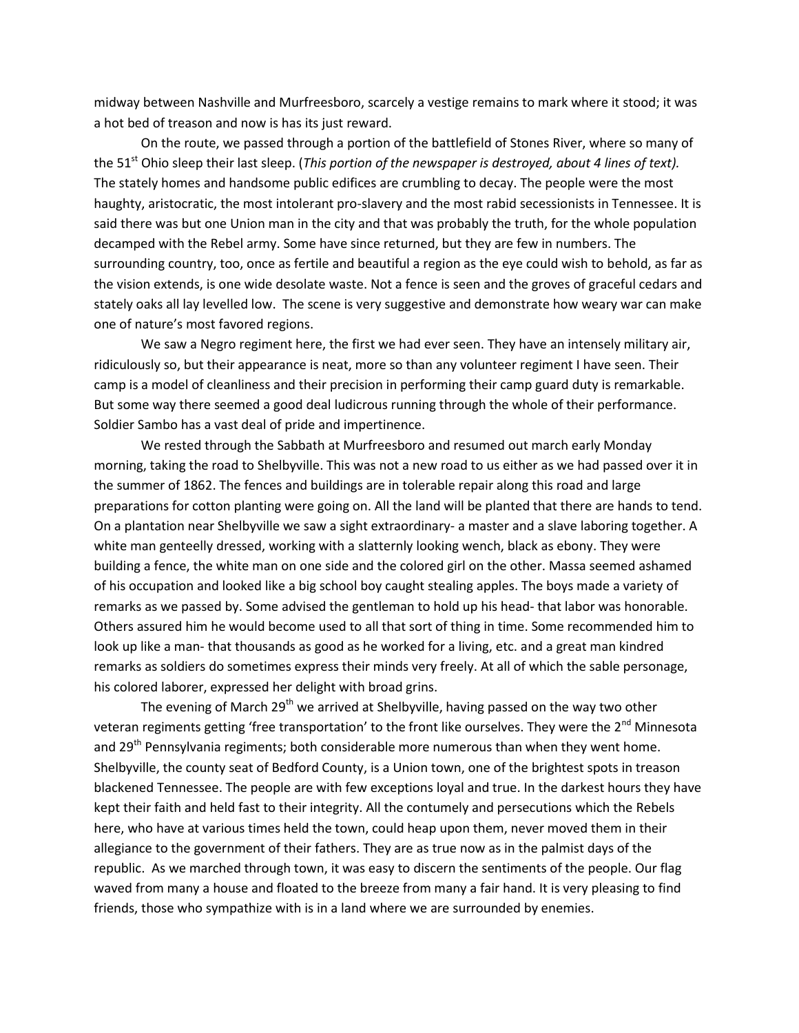midway between Nashville and Murfreesboro, scarcely a vestige remains to mark where it stood; it was a hot bed of treason and now is has its just reward.

On the route, we passed through a portion of the battlefield of Stones River, where so many of the 51<sup>st</sup> Ohio sleep their last sleep. (*This portion of the newspaper is destroyed, about 4 lines of text).* The stately homes and handsome public edifices are crumbling to decay. The people were the most haughty, aristocratic, the most intolerant pro-slavery and the most rabid secessionists in Tennessee. It is said there was but one Union man in the city and that was probably the truth, for the whole population decamped with the Rebel army. Some have since returned, but they are few in numbers. The surrounding country, too, once as fertile and beautiful a region as the eye could wish to behold, as far as the vision extends, is one wide desolate waste. Not a fence is seen and the groves of graceful cedars and stately oaks all lay levelled low. The scene is very suggestive and demonstrate how weary war can make one of nature's most favored regions.

We saw a Negro regiment here, the first we had ever seen. They have an intensely military air, ridiculously so, but their appearance is neat, more so than any volunteer regiment I have seen. Their camp is a model of cleanliness and their precision in performing their camp guard duty is remarkable. But some way there seemed a good deal ludicrous running through the whole of their performance. Soldier Sambo has a vast deal of pride and impertinence.

We rested through the Sabbath at Murfreesboro and resumed out march early Monday morning, taking the road to Shelbyville. This was not a new road to us either as we had passed over it in the summer of 1862. The fences and buildings are in tolerable repair along this road and large preparations for cotton planting were going on. All the land will be planted that there are hands to tend. On a plantation near Shelbyville we saw a sight extraordinary- a master and a slave laboring together. A white man genteelly dressed, working with a slatternly looking wench, black as ebony. They were building a fence, the white man on one side and the colored girl on the other. Massa seemed ashamed of his occupation and looked like a big school boy caught stealing apples. The boys made a variety of remarks as we passed by. Some advised the gentleman to hold up his head- that labor was honorable. Others assured him he would become used to all that sort of thing in time. Some recommended him to look up like a man- that thousands as good as he worked for a living, etc. and a great man kindred remarks as soldiers do sometimes express their minds very freely. At all of which the sable personage, his colored laborer, expressed her delight with broad grins.

The evening of March  $29<sup>th</sup>$  we arrived at Shelbyville, having passed on the way two other veteran regiments getting 'free transportation' to the front like ourselves. They were the 2<sup>nd</sup> Minnesota and 29<sup>th</sup> Pennsylvania regiments; both considerable more numerous than when they went home. Shelbyville, the county seat of Bedford County, is a Union town, one of the brightest spots in treason blackened Tennessee. The people are with few exceptions loyal and true. In the darkest hours they have kept their faith and held fast to their integrity. All the contumely and persecutions which the Rebels here, who have at various times held the town, could heap upon them, never moved them in their allegiance to the government of their fathers. They are as true now as in the palmist days of the republic. As we marched through town, it was easy to discern the sentiments of the people. Our flag waved from many a house and floated to the breeze from many a fair hand. It is very pleasing to find friends, those who sympathize with is in a land where we are surrounded by enemies.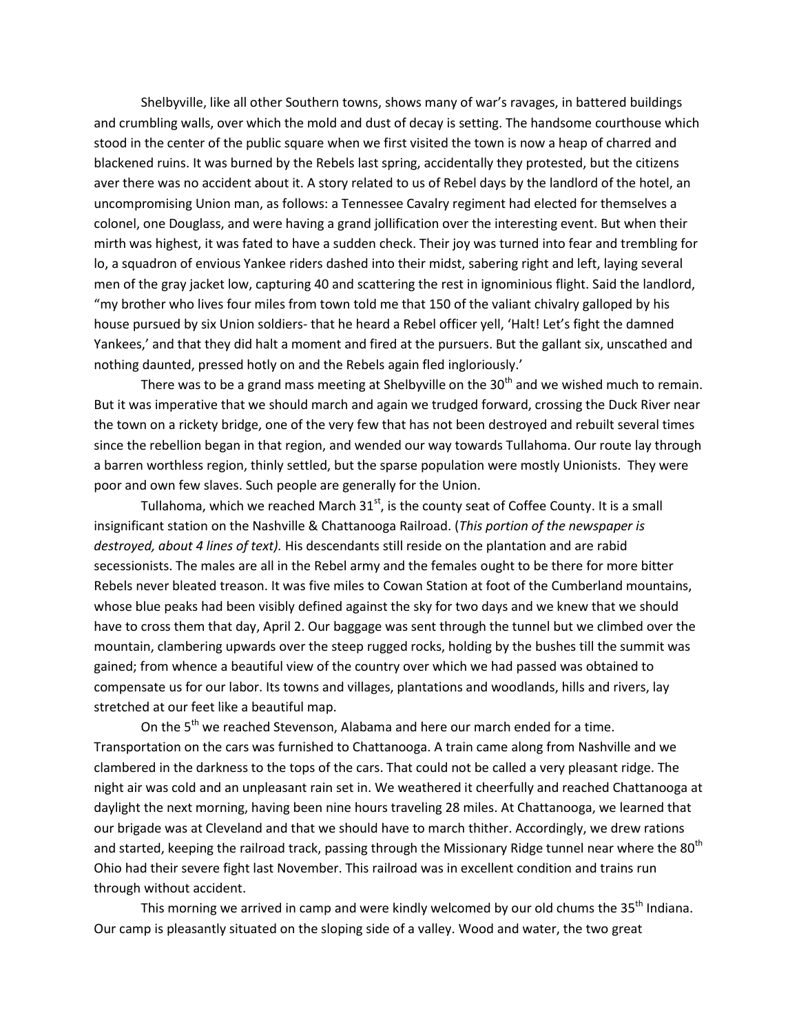Shelbyville, like all other Southern towns, shows many of war's ravages, in battered buildings and crumbling walls, over which the mold and dust of decay is setting. The handsome courthouse which stood in the center of the public square when we first visited the town is now a heap of charred and blackened ruins. It was burned by the Rebels last spring, accidentally they protested, but the citizens aver there was no accident about it. A story related to us of Rebel days by the landlord of the hotel, an uncompromising Union man, as follows: a Tennessee Cavalry regiment had elected for themselves a colonel, one Douglass, and were having a grand jollification over the interesting event. But when their mirth was highest, it was fated to have a sudden check. Their joy was turned into fear and trembling for lo, a squadron of envious Yankee riders dashed into their midst, sabering right and left, laying several men of the gray jacket low, capturing 40 and scattering the rest in ignominious flight. Said the landlord, "my brother who lives four miles from town told me that 150 of the valiant chivalry galloped by his house pursued by six Union soldiers- that he heard a Rebel officer yell, 'Halt! Let's fight the damned Yankees,' and that they did halt a moment and fired at the pursuers. But the gallant six, unscathed and nothing daunted, pressed hotly on and the Rebels again fled ingloriously.'

There was to be a grand mass meeting at Shelbyville on the  $30<sup>th</sup>$  and we wished much to remain. But it was imperative that we should march and again we trudged forward, crossing the Duck River near the town on a rickety bridge, one of the very few that has not been destroyed and rebuilt several times since the rebellion began in that region, and wended our way towards Tullahoma. Our route lay through a barren worthless region, thinly settled, but the sparse population were mostly Unionists. They were poor and own few slaves. Such people are generally for the Union.

Tullahoma, which we reached March  $31<sup>st</sup>$ , is the county seat of Coffee County. It is a small insignificant station on the Nashville & Chattanooga Railroad. (*This portion of the newspaper is destroyed, about 4 lines of text).* His descendants still reside on the plantation and are rabid secessionists. The males are all in the Rebel army and the females ought to be there for more bitter Rebels never bleated treason. It was five miles to Cowan Station at foot of the Cumberland mountains, whose blue peaks had been visibly defined against the sky for two days and we knew that we should have to cross them that day, April 2. Our baggage was sent through the tunnel but we climbed over the mountain, clambering upwards over the steep rugged rocks, holding by the bushes till the summit was gained; from whence a beautiful view of the country over which we had passed was obtained to compensate us for our labor. Its towns and villages, plantations and woodlands, hills and rivers, lay stretched at our feet like a beautiful map.

On the  $5<sup>th</sup>$  we reached Stevenson, Alabama and here our march ended for a time. Transportation on the cars was furnished to Chattanooga. A train came along from Nashville and we clambered in the darkness to the tops of the cars. That could not be called a very pleasant ridge. The night air was cold and an unpleasant rain set in. We weathered it cheerfully and reached Chattanooga at daylight the next morning, having been nine hours traveling 28 miles. At Chattanooga, we learned that our brigade was at Cleveland and that we should have to march thither. Accordingly, we drew rations and started, keeping the railroad track, passing through the Missionary Ridge tunnel near where the 80<sup>th</sup> Ohio had their severe fight last November. This railroad was in excellent condition and trains run through without accident.

This morning we arrived in camp and were kindly welcomed by our old chums the 35<sup>th</sup> Indiana. Our camp is pleasantly situated on the sloping side of a valley. Wood and water, the two great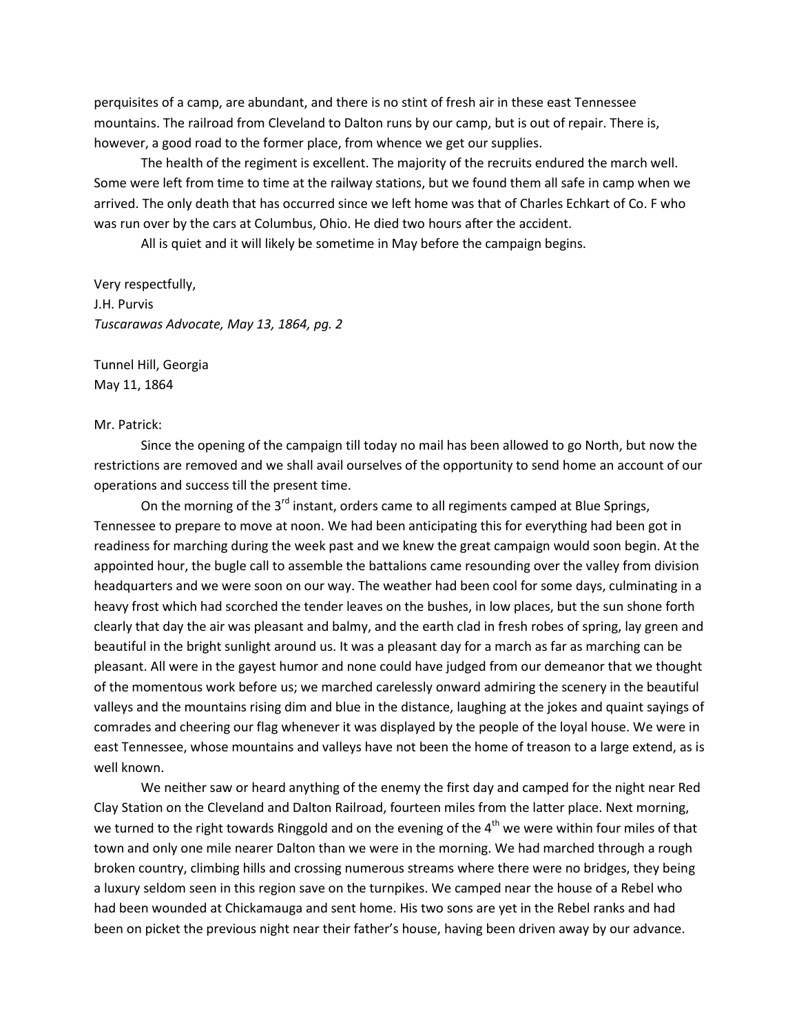perquisites of a camp, are abundant, and there is no stint of fresh air in these east Tennessee mountains. The railroad from Cleveland to Dalton runs by our camp, but is out of repair. There is, however, a good road to the former place, from whence we get our supplies.

The health of the regiment is excellent. The majority of the recruits endured the march well. Some were left from time to time at the railway stations, but we found them all safe in camp when we arrived. The only death that has occurred since we left home was that of Charles Echkart of Co. F who was run over by the cars at Columbus, Ohio. He died two hours after the accident.

All is quiet and it will likely be sometime in May before the campaign begins.

Very respectfully, J.H. Purvis *Tuscarawas Advocate, May 13, 1864, pg. 2*

Tunnel Hill, Georgia May 11, 1864

### Mr. Patrick:

Since the opening of the campaign till today no mail has been allowed to go North, but now the restrictions are removed and we shall avail ourselves of the opportunity to send home an account of our operations and success till the present time.

On the morning of the  $3^{rd}$  instant, orders came to all regiments camped at Blue Springs, Tennessee to prepare to move at noon. We had been anticipating this for everything had been got in readiness for marching during the week past and we knew the great campaign would soon begin. At the appointed hour, the bugle call to assemble the battalions came resounding over the valley from division headquarters and we were soon on our way. The weather had been cool for some days, culminating in a heavy frost which had scorched the tender leaves on the bushes, in low places, but the sun shone forth clearly that day the air was pleasant and balmy, and the earth clad in fresh robes of spring, lay green and beautiful in the bright sunlight around us. It was a pleasant day for a march as far as marching can be pleasant. All were in the gayest humor and none could have judged from our demeanor that we thought of the momentous work before us; we marched carelessly onward admiring the scenery in the beautiful valleys and the mountains rising dim and blue in the distance, laughing at the jokes and quaint sayings of comrades and cheering our flag whenever it was displayed by the people of the loyal house. We were in east Tennessee, whose mountains and valleys have not been the home of treason to a large extend, as is well known.

We neither saw or heard anything of the enemy the first day and camped for the night near Red Clay Station on the Cleveland and Dalton Railroad, fourteen miles from the latter place. Next morning, we turned to the right towards Ringgold and on the evening of the  $4<sup>th</sup>$  we were within four miles of that town and only one mile nearer Dalton than we were in the morning. We had marched through a rough broken country, climbing hills and crossing numerous streams where there were no bridges, they being a luxury seldom seen in this region save on the turnpikes. We camped near the house of a Rebel who had been wounded at Chickamauga and sent home. His two sons are yet in the Rebel ranks and had been on picket the previous night near their father's house, having been driven away by our advance.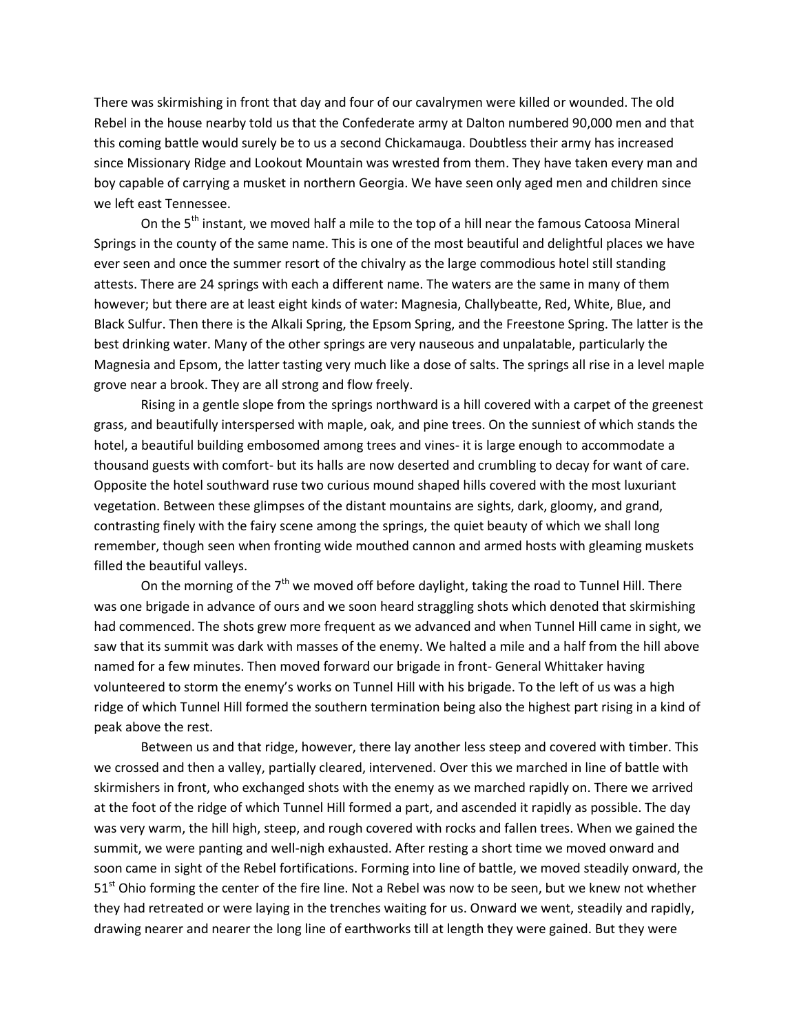There was skirmishing in front that day and four of our cavalrymen were killed or wounded. The old Rebel in the house nearby told us that the Confederate army at Dalton numbered 90,000 men and that this coming battle would surely be to us a second Chickamauga. Doubtless their army has increased since Missionary Ridge and Lookout Mountain was wrested from them. They have taken every man and boy capable of carrying a musket in northern Georgia. We have seen only aged men and children since we left east Tennessee.

On the 5<sup>th</sup> instant, we moved half a mile to the top of a hill near the famous Catoosa Mineral Springs in the county of the same name. This is one of the most beautiful and delightful places we have ever seen and once the summer resort of the chivalry as the large commodious hotel still standing attests. There are 24 springs with each a different name. The waters are the same in many of them however; but there are at least eight kinds of water: Magnesia, Challybeatte, Red, White, Blue, and Black Sulfur. Then there is the Alkali Spring, the Epsom Spring, and the Freestone Spring. The latter is the best drinking water. Many of the other springs are very nauseous and unpalatable, particularly the Magnesia and Epsom, the latter tasting very much like a dose of salts. The springs all rise in a level maple grove near a brook. They are all strong and flow freely.

Rising in a gentle slope from the springs northward is a hill covered with a carpet of the greenest grass, and beautifully interspersed with maple, oak, and pine trees. On the sunniest of which stands the hotel, a beautiful building embosomed among trees and vines- it is large enough to accommodate a thousand guests with comfort- but its halls are now deserted and crumbling to decay for want of care. Opposite the hotel southward ruse two curious mound shaped hills covered with the most luxuriant vegetation. Between these glimpses of the distant mountains are sights, dark, gloomy, and grand, contrasting finely with the fairy scene among the springs, the quiet beauty of which we shall long remember, though seen when fronting wide mouthed cannon and armed hosts with gleaming muskets filled the beautiful valleys.

On the morning of the  $7<sup>th</sup>$  we moved off before daylight, taking the road to Tunnel Hill. There was one brigade in advance of ours and we soon heard straggling shots which denoted that skirmishing had commenced. The shots grew more frequent as we advanced and when Tunnel Hill came in sight, we saw that its summit was dark with masses of the enemy. We halted a mile and a half from the hill above named for a few minutes. Then moved forward our brigade in front- General Whittaker having volunteered to storm the enemy's works on Tunnel Hill with his brigade. To the left of us was a high ridge of which Tunnel Hill formed the southern termination being also the highest part rising in a kind of peak above the rest.

Between us and that ridge, however, there lay another less steep and covered with timber. This we crossed and then a valley, partially cleared, intervened. Over this we marched in line of battle with skirmishers in front, who exchanged shots with the enemy as we marched rapidly on. There we arrived at the foot of the ridge of which Tunnel Hill formed a part, and ascended it rapidly as possible. The day was very warm, the hill high, steep, and rough covered with rocks and fallen trees. When we gained the summit, we were panting and well-nigh exhausted. After resting a short time we moved onward and soon came in sight of the Rebel fortifications. Forming into line of battle, we moved steadily onward, the 51<sup>st</sup> Ohio forming the center of the fire line. Not a Rebel was now to be seen, but we knew not whether they had retreated or were laying in the trenches waiting for us. Onward we went, steadily and rapidly, drawing nearer and nearer the long line of earthworks till at length they were gained. But they were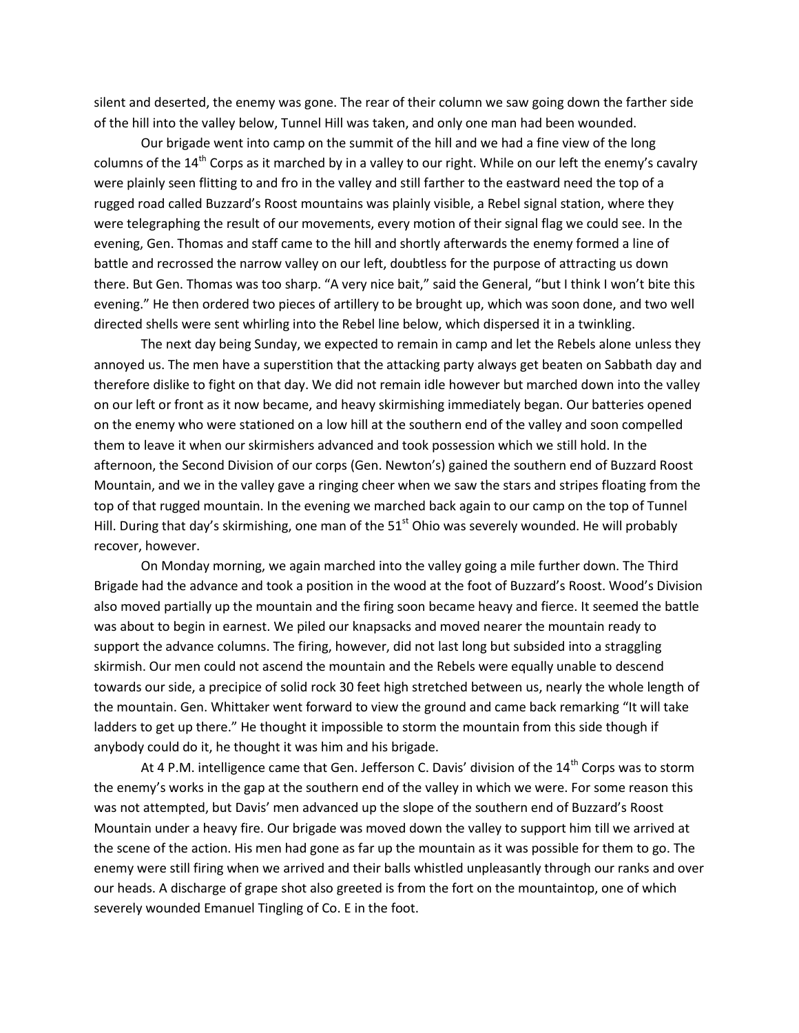silent and deserted, the enemy was gone. The rear of their column we saw going down the farther side of the hill into the valley below, Tunnel Hill was taken, and only one man had been wounded.

Our brigade went into camp on the summit of the hill and we had a fine view of the long columns of the 14<sup>th</sup> Corps as it marched by in a valley to our right. While on our left the enemy's cavalry were plainly seen flitting to and fro in the valley and still farther to the eastward need the top of a rugged road called Buzzard's Roost mountains was plainly visible, a Rebel signal station, where they were telegraphing the result of our movements, every motion of their signal flag we could see. In the evening, Gen. Thomas and staff came to the hill and shortly afterwards the enemy formed a line of battle and recrossed the narrow valley on our left, doubtless for the purpose of attracting us down there. But Gen. Thomas was too sharp. "A very nice bait," said the General, "but I think I won't bite this evening." He then ordered two pieces of artillery to be brought up, which was soon done, and two well directed shells were sent whirling into the Rebel line below, which dispersed it in a twinkling.

The next day being Sunday, we expected to remain in camp and let the Rebels alone unless they annoyed us. The men have a superstition that the attacking party always get beaten on Sabbath day and therefore dislike to fight on that day. We did not remain idle however but marched down into the valley on our left or front as it now became, and heavy skirmishing immediately began. Our batteries opened on the enemy who were stationed on a low hill at the southern end of the valley and soon compelled them to leave it when our skirmishers advanced and took possession which we still hold. In the afternoon, the Second Division of our corps (Gen. Newton's) gained the southern end of Buzzard Roost Mountain, and we in the valley gave a ringing cheer when we saw the stars and stripes floating from the top of that rugged mountain. In the evening we marched back again to our camp on the top of Tunnel Hill. During that day's skirmishing, one man of the  $51<sup>st</sup>$  Ohio was severely wounded. He will probably recover, however.

On Monday morning, we again marched into the valley going a mile further down. The Third Brigade had the advance and took a position in the wood at the foot of Buzzard's Roost. Wood's Division also moved partially up the mountain and the firing soon became heavy and fierce. It seemed the battle was about to begin in earnest. We piled our knapsacks and moved nearer the mountain ready to support the advance columns. The firing, however, did not last long but subsided into a straggling skirmish. Our men could not ascend the mountain and the Rebels were equally unable to descend towards our side, a precipice of solid rock 30 feet high stretched between us, nearly the whole length of the mountain. Gen. Whittaker went forward to view the ground and came back remarking "It will take ladders to get up there." He thought it impossible to storm the mountain from this side though if anybody could do it, he thought it was him and his brigade.

At 4 P.M. intelligence came that Gen. Jefferson C. Davis' division of the  $14^{th}$  Corps was to storm the enemy's works in the gap at the southern end of the valley in which we were. For some reason this was not attempted, but Davis' men advanced up the slope of the southern end of Buzzard's Roost Mountain under a heavy fire. Our brigade was moved down the valley to support him till we arrived at the scene of the action. His men had gone as far up the mountain as it was possible for them to go. The enemy were still firing when we arrived and their balls whistled unpleasantly through our ranks and over our heads. A discharge of grape shot also greeted is from the fort on the mountaintop, one of which severely wounded Emanuel Tingling of Co. E in the foot.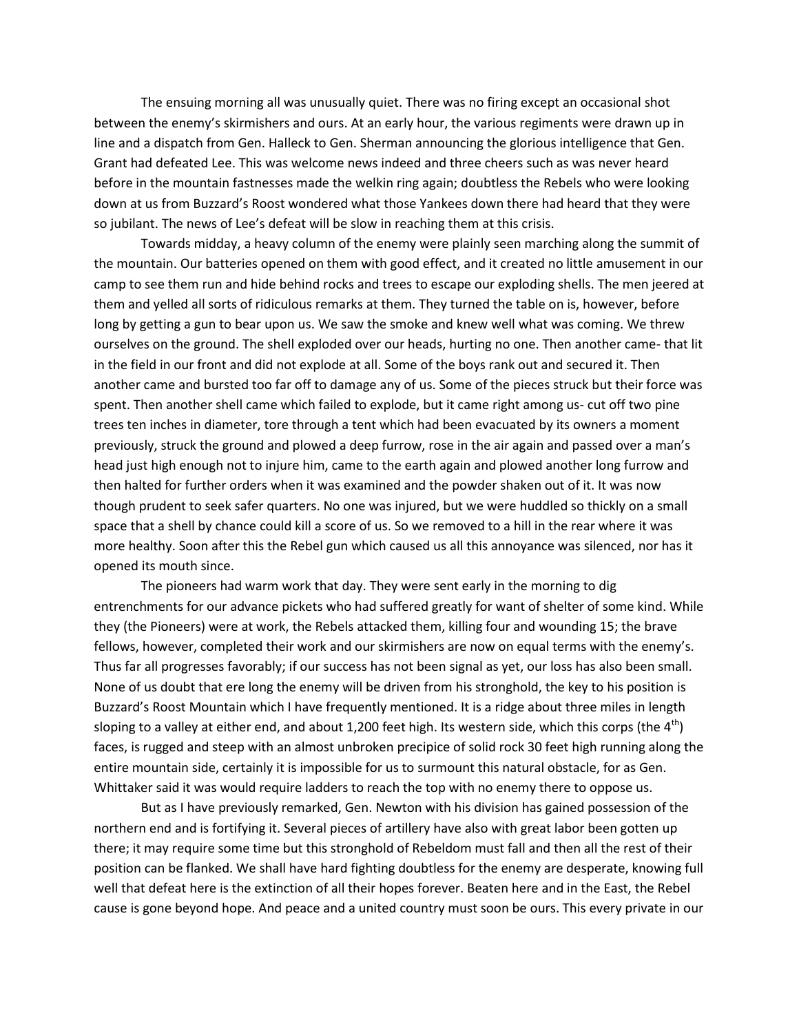The ensuing morning all was unusually quiet. There was no firing except an occasional shot between the enemy's skirmishers and ours. At an early hour, the various regiments were drawn up in line and a dispatch from Gen. Halleck to Gen. Sherman announcing the glorious intelligence that Gen. Grant had defeated Lee. This was welcome news indeed and three cheers such as was never heard before in the mountain fastnesses made the welkin ring again; doubtless the Rebels who were looking down at us from Buzzard's Roost wondered what those Yankees down there had heard that they were so jubilant. The news of Lee's defeat will be slow in reaching them at this crisis.

Towards midday, a heavy column of the enemy were plainly seen marching along the summit of the mountain. Our batteries opened on them with good effect, and it created no little amusement in our camp to see them run and hide behind rocks and trees to escape our exploding shells. The men jeered at them and yelled all sorts of ridiculous remarks at them. They turned the table on is, however, before long by getting a gun to bear upon us. We saw the smoke and knew well what was coming. We threw ourselves on the ground. The shell exploded over our heads, hurting no one. Then another came- that lit in the field in our front and did not explode at all. Some of the boys rank out and secured it. Then another came and bursted too far off to damage any of us. Some of the pieces struck but their force was spent. Then another shell came which failed to explode, but it came right among us- cut off two pine trees ten inches in diameter, tore through a tent which had been evacuated by its owners a moment previously, struck the ground and plowed a deep furrow, rose in the air again and passed over a man's head just high enough not to injure him, came to the earth again and plowed another long furrow and then halted for further orders when it was examined and the powder shaken out of it. It was now though prudent to seek safer quarters. No one was injured, but we were huddled so thickly on a small space that a shell by chance could kill a score of us. So we removed to a hill in the rear where it was more healthy. Soon after this the Rebel gun which caused us all this annoyance was silenced, nor has it opened its mouth since.

The pioneers had warm work that day. They were sent early in the morning to dig entrenchments for our advance pickets who had suffered greatly for want of shelter of some kind. While they (the Pioneers) were at work, the Rebels attacked them, killing four and wounding 15; the brave fellows, however, completed their work and our skirmishers are now on equal terms with the enemy's. Thus far all progresses favorably; if our success has not been signal as yet, our loss has also been small. None of us doubt that ere long the enemy will be driven from his stronghold, the key to his position is Buzzard's Roost Mountain which I have frequently mentioned. It is a ridge about three miles in length sloping to a valley at either end, and about 1,200 feet high. Its western side, which this corps (the  $4<sup>th</sup>$ ) faces, is rugged and steep with an almost unbroken precipice of solid rock 30 feet high running along the entire mountain side, certainly it is impossible for us to surmount this natural obstacle, for as Gen. Whittaker said it was would require ladders to reach the top with no enemy there to oppose us.

But as I have previously remarked, Gen. Newton with his division has gained possession of the northern end and is fortifying it. Several pieces of artillery have also with great labor been gotten up there; it may require some time but this stronghold of Rebeldom must fall and then all the rest of their position can be flanked. We shall have hard fighting doubtless for the enemy are desperate, knowing full well that defeat here is the extinction of all their hopes forever. Beaten here and in the East, the Rebel cause is gone beyond hope. And peace and a united country must soon be ours. This every private in our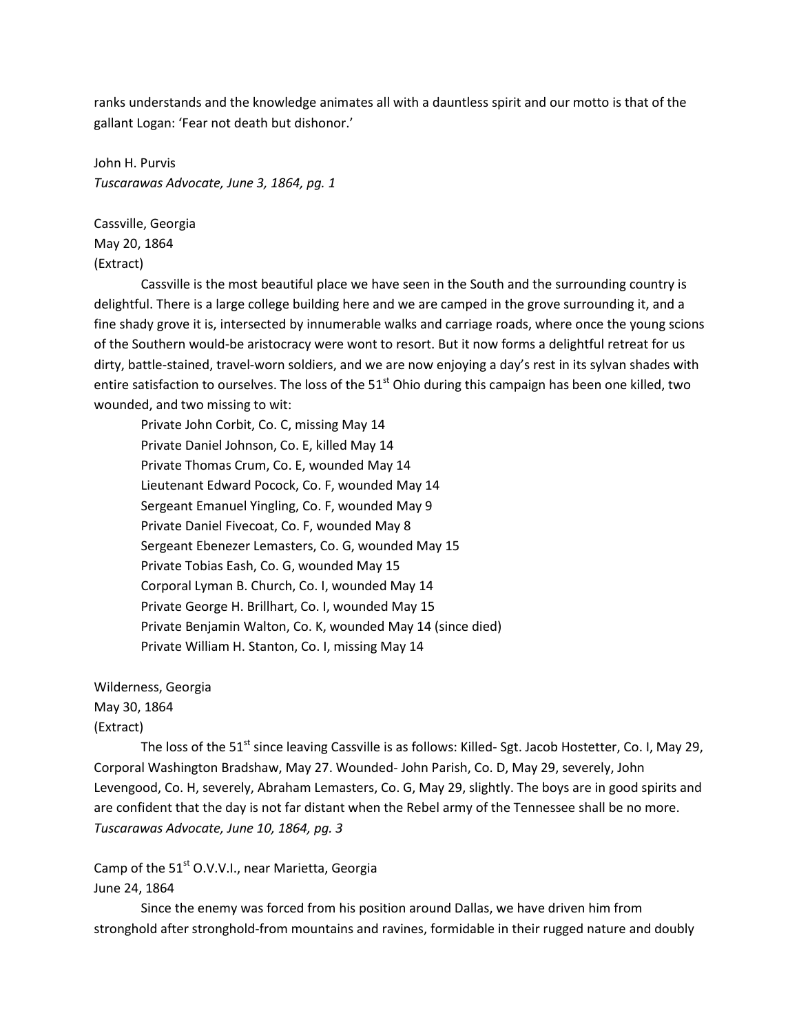ranks understands and the knowledge animates all with a dauntless spirit and our motto is that of the gallant Logan: 'Fear not death but dishonor.'

John H. Purvis *Tuscarawas Advocate, June 3, 1864, pg. 1*

Cassville, Georgia May 20, 1864 (Extract)

Cassville is the most beautiful place we have seen in the South and the surrounding country is delightful. There is a large college building here and we are camped in the grove surrounding it, and a fine shady grove it is, intersected by innumerable walks and carriage roads, where once the young scions of the Southern would-be aristocracy were wont to resort. But it now forms a delightful retreat for us dirty, battle-stained, travel-worn soldiers, and we are now enjoying a day's rest in its sylvan shades with entire satisfaction to ourselves. The loss of the 51<sup>st</sup> Ohio during this campaign has been one killed, two wounded, and two missing to wit:

Private John Corbit, Co. C, missing May 14 Private Daniel Johnson, Co. E, killed May 14 Private Thomas Crum, Co. E, wounded May 14 Lieutenant Edward Pocock, Co. F, wounded May 14 Sergeant Emanuel Yingling, Co. F, wounded May 9 Private Daniel Fivecoat, Co. F, wounded May 8 Sergeant Ebenezer Lemasters, Co. G, wounded May 15 Private Tobias Eash, Co. G, wounded May 15 Corporal Lyman B. Church, Co. I, wounded May 14 Private George H. Brillhart, Co. I, wounded May 15 Private Benjamin Walton, Co. K, wounded May 14 (since died) Private William H. Stanton, Co. I, missing May 14

Wilderness, Georgia

May 30, 1864

(Extract)

The loss of the 51<sup>st</sup> since leaving Cassville is as follows: Killed- Sgt. Jacob Hostetter, Co. I, May 29, Corporal Washington Bradshaw, May 27. Wounded- John Parish, Co. D, May 29, severely, John Levengood, Co. H, severely, Abraham Lemasters, Co. G, May 29, slightly. The boys are in good spirits and are confident that the day is not far distant when the Rebel army of the Tennessee shall be no more. *Tuscarawas Advocate, June 10, 1864, pg. 3*

Camp of the  $51<sup>st</sup>$  O.V.V.I., near Marietta, Georgia

# June 24, 1864

Since the enemy was forced from his position around Dallas, we have driven him from stronghold after stronghold-from mountains and ravines, formidable in their rugged nature and doubly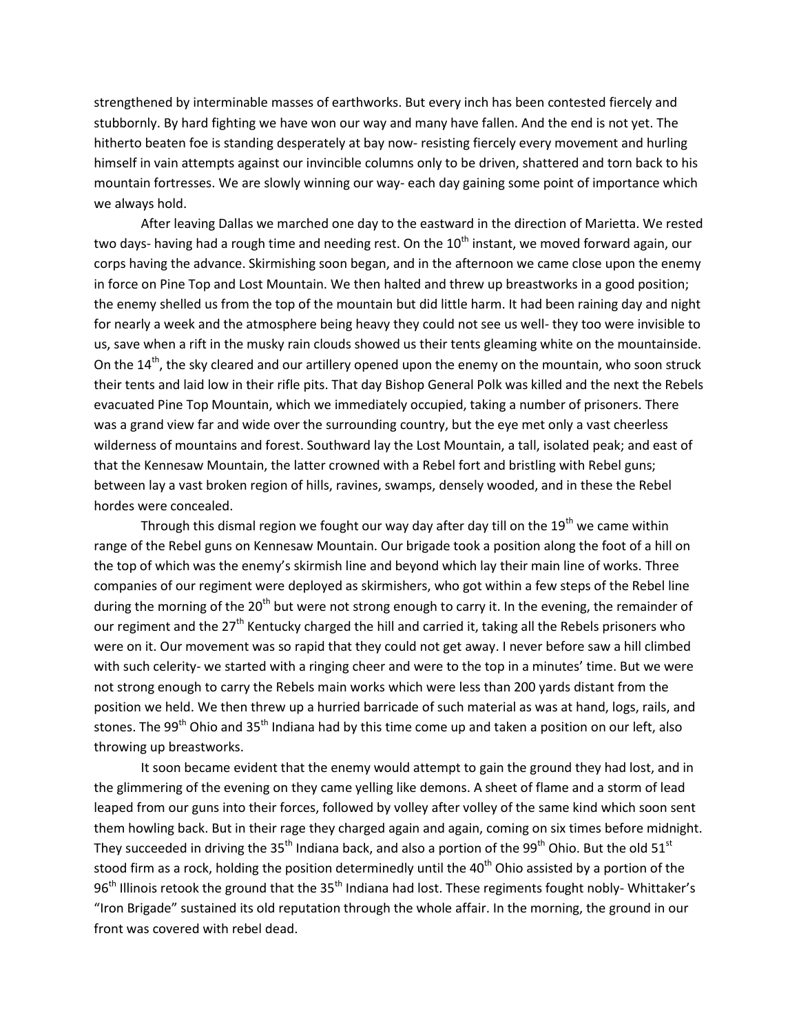strengthened by interminable masses of earthworks. But every inch has been contested fiercely and stubbornly. By hard fighting we have won our way and many have fallen. And the end is not yet. The hitherto beaten foe is standing desperately at bay now- resisting fiercely every movement and hurling himself in vain attempts against our invincible columns only to be driven, shattered and torn back to his mountain fortresses. We are slowly winning our way- each day gaining some point of importance which we always hold.

After leaving Dallas we marched one day to the eastward in the direction of Marietta. We rested two days- having had a rough time and needing rest. On the  $10<sup>th</sup>$  instant, we moved forward again, our corps having the advance. Skirmishing soon began, and in the afternoon we came close upon the enemy in force on Pine Top and Lost Mountain. We then halted and threw up breastworks in a good position; the enemy shelled us from the top of the mountain but did little harm. It had been raining day and night for nearly a week and the atmosphere being heavy they could not see us well- they too were invisible to us, save when a rift in the musky rain clouds showed us their tents gleaming white on the mountainside. On the  $14<sup>th</sup>$ , the sky cleared and our artillery opened upon the enemy on the mountain, who soon struck their tents and laid low in their rifle pits. That day Bishop General Polk was killed and the next the Rebels evacuated Pine Top Mountain, which we immediately occupied, taking a number of prisoners. There was a grand view far and wide over the surrounding country, but the eye met only a vast cheerless wilderness of mountains and forest. Southward lay the Lost Mountain, a tall, isolated peak; and east of that the Kennesaw Mountain, the latter crowned with a Rebel fort and bristling with Rebel guns; between lay a vast broken region of hills, ravines, swamps, densely wooded, and in these the Rebel hordes were concealed.

Through this dismal region we fought our way day after day till on the  $19<sup>th</sup>$  we came within range of the Rebel guns on Kennesaw Mountain. Our brigade took a position along the foot of a hill on the top of which was the enemy's skirmish line and beyond which lay their main line of works. Three companies of our regiment were deployed as skirmishers, who got within a few steps of the Rebel line during the morning of the  $20<sup>th</sup>$  but were not strong enough to carry it. In the evening, the remainder of our regiment and the 27<sup>th</sup> Kentucky charged the hill and carried it, taking all the Rebels prisoners who were on it. Our movement was so rapid that they could not get away. I never before saw a hill climbed with such celerity- we started with a ringing cheer and were to the top in a minutes' time. But we were not strong enough to carry the Rebels main works which were less than 200 yards distant from the position we held. We then threw up a hurried barricade of such material as was at hand, logs, rails, and stones. The 99<sup>th</sup> Ohio and 35<sup>th</sup> Indiana had by this time come up and taken a position on our left, also throwing up breastworks.

It soon became evident that the enemy would attempt to gain the ground they had lost, and in the glimmering of the evening on they came yelling like demons. A sheet of flame and a storm of lead leaped from our guns into their forces, followed by volley after volley of the same kind which soon sent them howling back. But in their rage they charged again and again, coming on six times before midnight. They succeeded in driving the 35<sup>th</sup> Indiana back, and also a portion of the 99<sup>th</sup> Ohio. But the old 51<sup>st</sup> stood firm as a rock, holding the position determinedly until the  $40<sup>th</sup>$  Ohio assisted by a portion of the  $96<sup>th</sup>$  Illinois retook the ground that the 35<sup>th</sup> Indiana had lost. These regiments fought nobly- Whittaker's "Iron Brigade" sustained its old reputation through the whole affair. In the morning, the ground in our front was covered with rebel dead.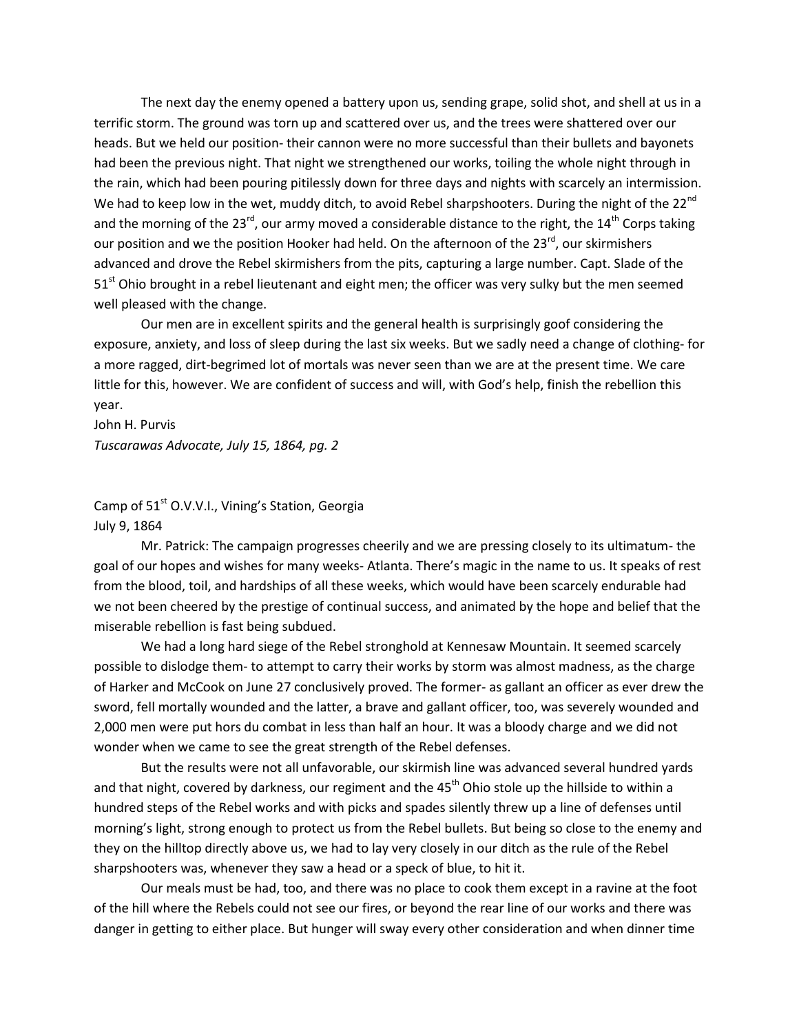The next day the enemy opened a battery upon us, sending grape, solid shot, and shell at us in a terrific storm. The ground was torn up and scattered over us, and the trees were shattered over our heads. But we held our position- their cannon were no more successful than their bullets and bayonets had been the previous night. That night we strengthened our works, toiling the whole night through in the rain, which had been pouring pitilessly down for three days and nights with scarcely an intermission. We had to keep low in the wet, muddy ditch, to avoid Rebel sharpshooters. During the night of the 22<sup>nd</sup> and the morning of the 23<sup>rd</sup>, our army moved a considerable distance to the right, the 14<sup>th</sup> Corps taking our position and we the position Hooker had held. On the afternoon of the  $23^{rd}$ , our skirmishers advanced and drove the Rebel skirmishers from the pits, capturing a large number. Capt. Slade of the 51<sup>st</sup> Ohio brought in a rebel lieutenant and eight men; the officer was very sulky but the men seemed well pleased with the change.

Our men are in excellent spirits and the general health is surprisingly goof considering the exposure, anxiety, and loss of sleep during the last six weeks. But we sadly need a change of clothing- for a more ragged, dirt-begrimed lot of mortals was never seen than we are at the present time. We care little for this, however. We are confident of success and will, with God's help, finish the rebellion this year.

John H. Purvis *Tuscarawas Advocate, July 15, 1864, pg. 2*

Camp of 51<sup>st</sup> O.V.V.I., Vining's Station, Georgia July 9, 1864

Mr. Patrick: The campaign progresses cheerily and we are pressing closely to its ultimatum- the goal of our hopes and wishes for many weeks- Atlanta. There's magic in the name to us. It speaks of rest from the blood, toil, and hardships of all these weeks, which would have been scarcely endurable had we not been cheered by the prestige of continual success, and animated by the hope and belief that the miserable rebellion is fast being subdued.

We had a long hard siege of the Rebel stronghold at Kennesaw Mountain. It seemed scarcely possible to dislodge them- to attempt to carry their works by storm was almost madness, as the charge of Harker and McCook on June 27 conclusively proved. The former- as gallant an officer as ever drew the sword, fell mortally wounded and the latter, a brave and gallant officer, too, was severely wounded and 2,000 men were put hors du combat in less than half an hour. It was a bloody charge and we did not wonder when we came to see the great strength of the Rebel defenses.

But the results were not all unfavorable, our skirmish line was advanced several hundred yards and that night, covered by darkness, our regiment and the  $45<sup>th</sup>$  Ohio stole up the hillside to within a hundred steps of the Rebel works and with picks and spades silently threw up a line of defenses until morning's light, strong enough to protect us from the Rebel bullets. But being so close to the enemy and they on the hilltop directly above us, we had to lay very closely in our ditch as the rule of the Rebel sharpshooters was, whenever they saw a head or a speck of blue, to hit it.

Our meals must be had, too, and there was no place to cook them except in a ravine at the foot of the hill where the Rebels could not see our fires, or beyond the rear line of our works and there was danger in getting to either place. But hunger will sway every other consideration and when dinner time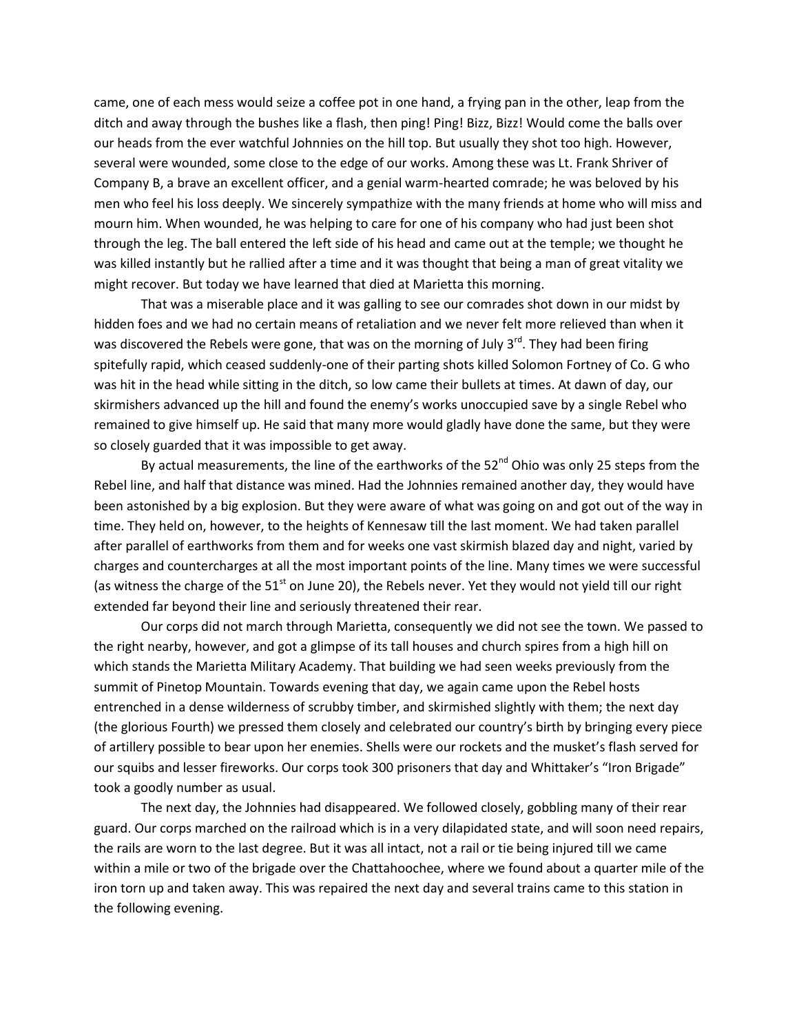came, one of each mess would seize a coffee pot in one hand, a frying pan in the other, leap from the ditch and away through the bushes like a flash, then ping! Ping! Bizz, Bizz! Would come the balls over our heads from the ever watchful Johnnies on the hill top. But usually they shot too high. However, several were wounded, some close to the edge of our works. Among these was Lt. Frank Shriver of Company B, a brave an excellent officer, and a genial warm-hearted comrade; he was beloved by his men who feel his loss deeply. We sincerely sympathize with the many friends at home who will miss and mourn him. When wounded, he was helping to care for one of his company who had just been shot through the leg. The ball entered the left side of his head and came out at the temple; we thought he was killed instantly but he rallied after a time and it was thought that being a man of great vitality we might recover. But today we have learned that died at Marietta this morning.

That was a miserable place and it was galling to see our comrades shot down in our midst by hidden foes and we had no certain means of retaliation and we never felt more relieved than when it was discovered the Rebels were gone, that was on the morning of July  $3^{rd}$ . They had been firing spitefully rapid, which ceased suddenly-one of their parting shots killed Solomon Fortney of Co. G who was hit in the head while sitting in the ditch, so low came their bullets at times. At dawn of day, our skirmishers advanced up the hill and found the enemy's works unoccupied save by a single Rebel who remained to give himself up. He said that many more would gladly have done the same, but they were so closely guarded that it was impossible to get away.

By actual measurements, the line of the earthworks of the  $52^{nd}$  Ohio was only 25 steps from the Rebel line, and half that distance was mined. Had the Johnnies remained another day, they would have been astonished by a big explosion. But they were aware of what was going on and got out of the way in time. They held on, however, to the heights of Kennesaw till the last moment. We had taken parallel after parallel of earthworks from them and for weeks one vast skirmish blazed day and night, varied by charges and countercharges at all the most important points of the line. Many times we were successful (as witness the charge of the  $51<sup>st</sup>$  on June 20), the Rebels never. Yet they would not yield till our right extended far beyond their line and seriously threatened their rear.

Our corps did not march through Marietta, consequently we did not see the town. We passed to the right nearby, however, and got a glimpse of its tall houses and church spires from a high hill on which stands the Marietta Military Academy. That building we had seen weeks previously from the summit of Pinetop Mountain. Towards evening that day, we again came upon the Rebel hosts entrenched in a dense wilderness of scrubby timber, and skirmished slightly with them; the next day (the glorious Fourth) we pressed them closely and celebrated our country's birth by bringing every piece of artillery possible to bear upon her enemies. Shells were our rockets and the musket's flash served for our squibs and lesser fireworks. Our corps took 300 prisoners that day and Whittaker's "Iron Brigade" took a goodly number as usual.

The next day, the Johnnies had disappeared. We followed closely, gobbling many of their rear guard. Our corps marched on the railroad which is in a very dilapidated state, and will soon need repairs, the rails are worn to the last degree. But it was all intact, not a rail or tie being injured till we came within a mile or two of the brigade over the Chattahoochee, where we found about a quarter mile of the iron torn up and taken away. This was repaired the next day and several trains came to this station in the following evening.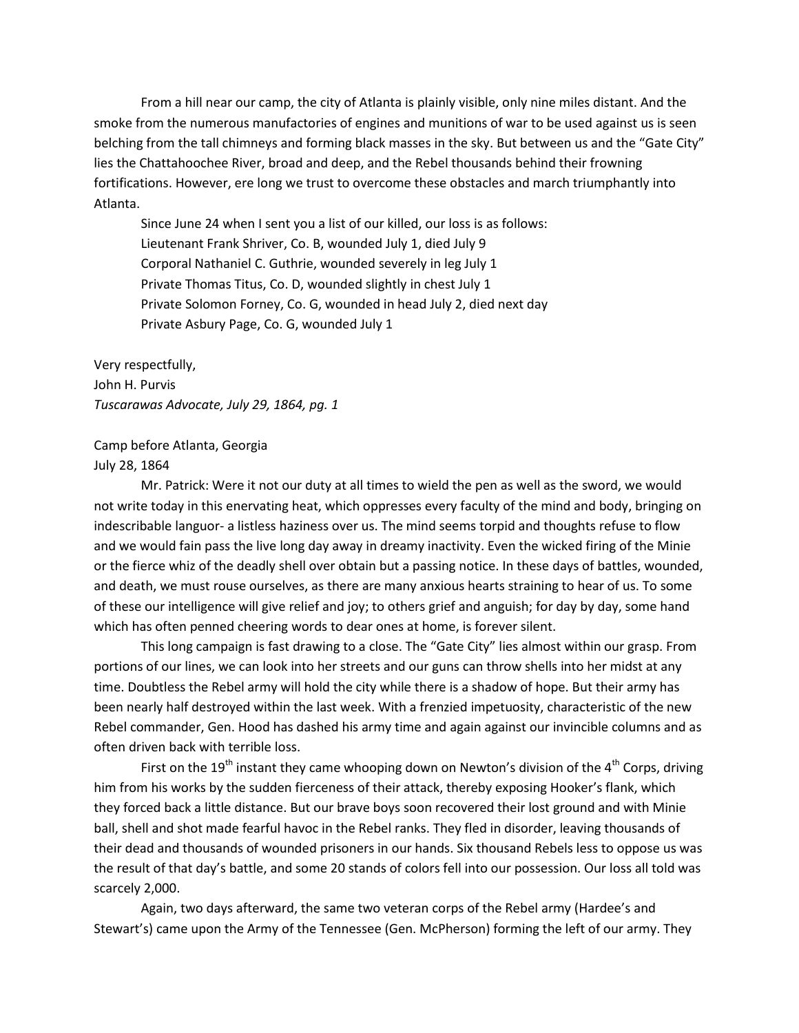From a hill near our camp, the city of Atlanta is plainly visible, only nine miles distant. And the smoke from the numerous manufactories of engines and munitions of war to be used against us is seen belching from the tall chimneys and forming black masses in the sky. But between us and the "Gate City" lies the Chattahoochee River, broad and deep, and the Rebel thousands behind their frowning fortifications. However, ere long we trust to overcome these obstacles and march triumphantly into Atlanta.

Since June 24 when I sent you a list of our killed, our loss is as follows: Lieutenant Frank Shriver, Co. B, wounded July 1, died July 9 Corporal Nathaniel C. Guthrie, wounded severely in leg July 1 Private Thomas Titus, Co. D, wounded slightly in chest July 1 Private Solomon Forney, Co. G, wounded in head July 2, died next day Private Asbury Page, Co. G, wounded July 1

Very respectfully, John H. Purvis *Tuscarawas Advocate, July 29, 1864, pg. 1*

Camp before Atlanta, Georgia July 28, 1864

Mr. Patrick: Were it not our duty at all times to wield the pen as well as the sword, we would not write today in this enervating heat, which oppresses every faculty of the mind and body, bringing on indescribable languor- a listless haziness over us. The mind seems torpid and thoughts refuse to flow and we would fain pass the live long day away in dreamy inactivity. Even the wicked firing of the Minie or the fierce whiz of the deadly shell over obtain but a passing notice. In these days of battles, wounded, and death, we must rouse ourselves, as there are many anxious hearts straining to hear of us. To some of these our intelligence will give relief and joy; to others grief and anguish; for day by day, some hand which has often penned cheering words to dear ones at home, is forever silent.

This long campaign is fast drawing to a close. The "Gate City" lies almost within our grasp. From portions of our lines, we can look into her streets and our guns can throw shells into her midst at any time. Doubtless the Rebel army will hold the city while there is a shadow of hope. But their army has been nearly half destroyed within the last week. With a frenzied impetuosity, characteristic of the new Rebel commander, Gen. Hood has dashed his army time and again against our invincible columns and as often driven back with terrible loss.

First on the 19<sup>th</sup> instant they came whooping down on Newton's division of the 4<sup>th</sup> Corps, driving him from his works by the sudden fierceness of their attack, thereby exposing Hooker's flank, which they forced back a little distance. But our brave boys soon recovered their lost ground and with Minie ball, shell and shot made fearful havoc in the Rebel ranks. They fled in disorder, leaving thousands of their dead and thousands of wounded prisoners in our hands. Six thousand Rebels less to oppose us was the result of that day's battle, and some 20 stands of colors fell into our possession. Our loss all told was scarcely 2,000.

Again, two days afterward, the same two veteran corps of the Rebel army (Hardee's and Stewart's) came upon the Army of the Tennessee (Gen. McPherson) forming the left of our army. They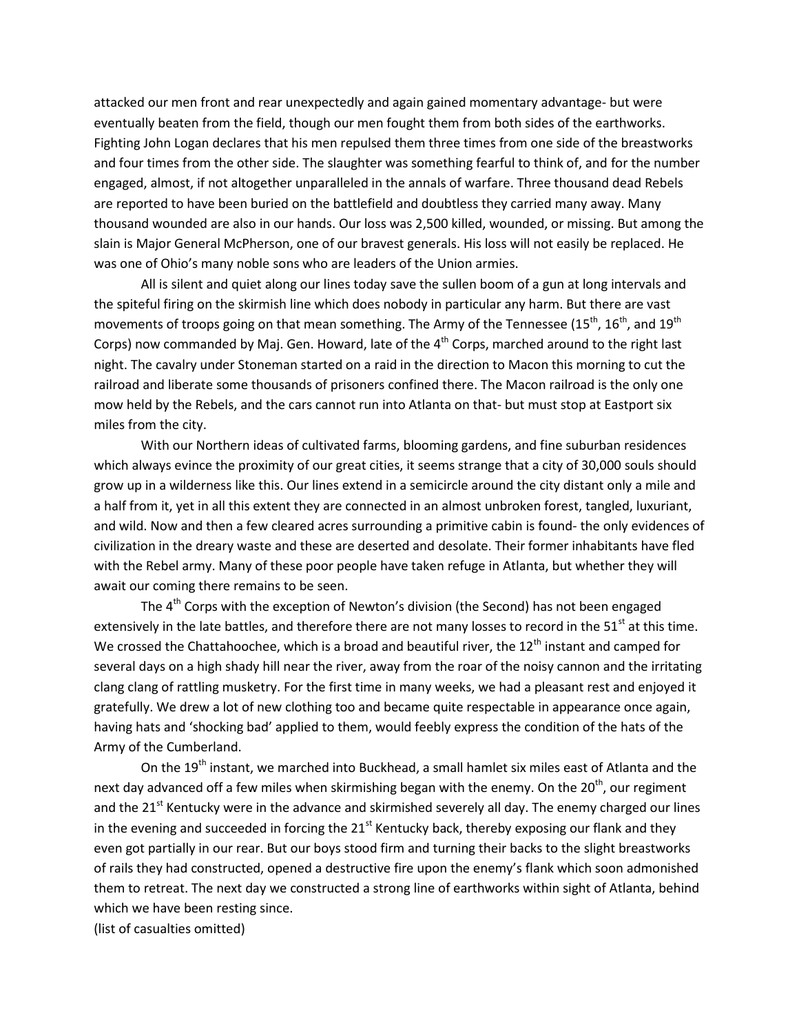attacked our men front and rear unexpectedly and again gained momentary advantage- but were eventually beaten from the field, though our men fought them from both sides of the earthworks. Fighting John Logan declares that his men repulsed them three times from one side of the breastworks and four times from the other side. The slaughter was something fearful to think of, and for the number engaged, almost, if not altogether unparalleled in the annals of warfare. Three thousand dead Rebels are reported to have been buried on the battlefield and doubtless they carried many away. Many thousand wounded are also in our hands. Our loss was 2,500 killed, wounded, or missing. But among the slain is Major General McPherson, one of our bravest generals. His loss will not easily be replaced. He was one of Ohio's many noble sons who are leaders of the Union armies.

All is silent and quiet along our lines today save the sullen boom of a gun at long intervals and the spiteful firing on the skirmish line which does nobody in particular any harm. But there are vast movements of troops going on that mean something. The Army of the Tennessee (15<sup>th</sup>, 16<sup>th</sup>, and 19<sup>th</sup> Corps) now commanded by Maj. Gen. Howard, late of the  $4<sup>th</sup>$  Corps, marched around to the right last night. The cavalry under Stoneman started on a raid in the direction to Macon this morning to cut the railroad and liberate some thousands of prisoners confined there. The Macon railroad is the only one mow held by the Rebels, and the cars cannot run into Atlanta on that- but must stop at Eastport six miles from the city.

With our Northern ideas of cultivated farms, blooming gardens, and fine suburban residences which always evince the proximity of our great cities, it seems strange that a city of 30,000 souls should grow up in a wilderness like this. Our lines extend in a semicircle around the city distant only a mile and a half from it, yet in all this extent they are connected in an almost unbroken forest, tangled, luxuriant, and wild. Now and then a few cleared acres surrounding a primitive cabin is found- the only evidences of civilization in the dreary waste and these are deserted and desolate. Their former inhabitants have fled with the Rebel army. Many of these poor people have taken refuge in Atlanta, but whether they will await our coming there remains to be seen.

The  $4<sup>th</sup>$  Corps with the exception of Newton's division (the Second) has not been engaged extensively in the late battles, and therefore there are not many losses to record in the 51<sup>st</sup> at this time. We crossed the Chattahoochee, which is a broad and beautiful river, the  $12<sup>th</sup>$  instant and camped for several days on a high shady hill near the river, away from the roar of the noisy cannon and the irritating clang clang of rattling musketry. For the first time in many weeks, we had a pleasant rest and enjoyed it gratefully. We drew a lot of new clothing too and became quite respectable in appearance once again, having hats and 'shocking bad' applied to them, would feebly express the condition of the hats of the Army of the Cumberland.

On the 19<sup>th</sup> instant, we marched into Buckhead, a small hamlet six miles east of Atlanta and the next day advanced off a few miles when skirmishing began with the enemy. On the  $20<sup>th</sup>$ , our regiment and the 21<sup>st</sup> Kentucky were in the advance and skirmished severely all day. The enemy charged our lines in the evening and succeeded in forcing the  $21<sup>st</sup>$  Kentucky back, thereby exposing our flank and they even got partially in our rear. But our boys stood firm and turning their backs to the slight breastworks of rails they had constructed, opened a destructive fire upon the enemy's flank which soon admonished them to retreat. The next day we constructed a strong line of earthworks within sight of Atlanta, behind which we have been resting since.

(list of casualties omitted)